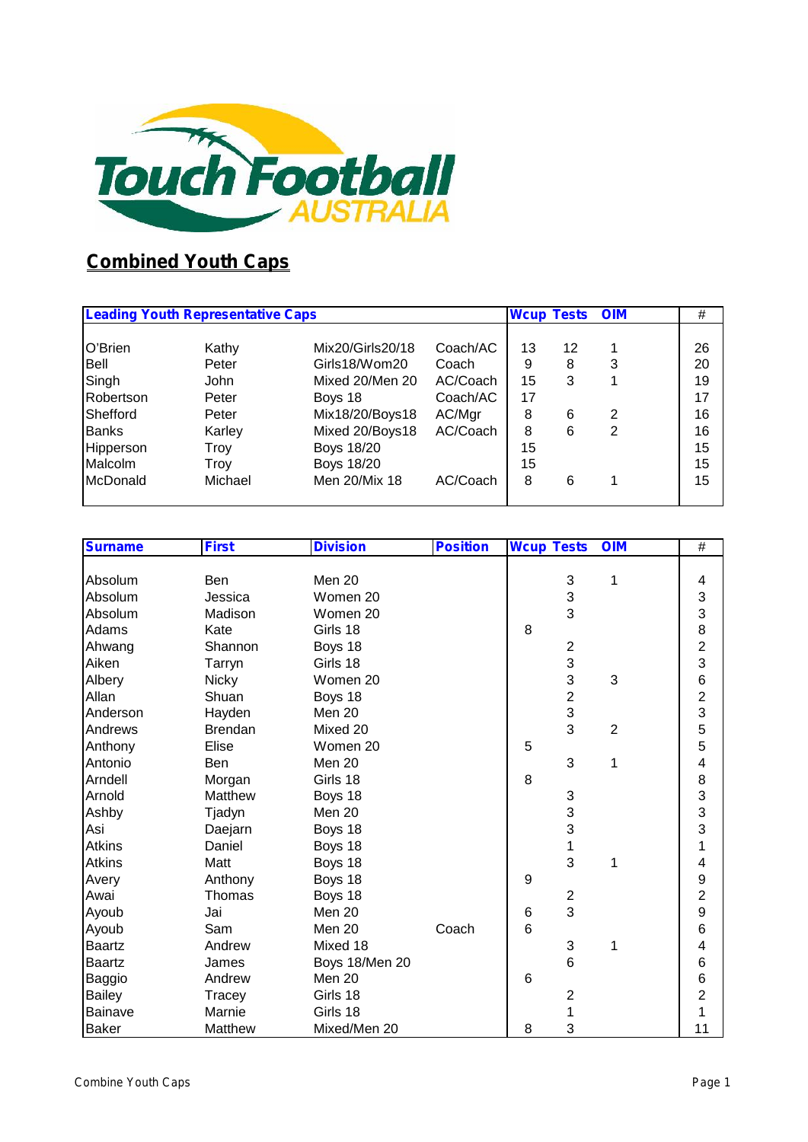

### **Combined Youth Caps**

| <b>Leading Youth Representative Caps</b> |         | <b>Wcup Tests</b> | <b>OIM</b> | #  |    |   |    |
|------------------------------------------|---------|-------------------|------------|----|----|---|----|
| O'Brien                                  | Kathy   | Mix20/Girls20/18  | Coach/AC   | 13 | 12 |   | 26 |
| Bell                                     | Peter   | Girls18/Wom20     | Coach      | 9  | 8  | 3 | 20 |
| Singh                                    | John    | Mixed 20/Men 20   | AC/Coach   | 15 | 3  |   | 19 |
| Robertson                                | Peter   | Boys 18           | Coach/AC   | 17 |    |   | 17 |
| Shefford                                 | Peter   | Mix18/20/Boys18   | AC/Mgr     | 8  | 6  | 2 | 16 |
| <b>Banks</b>                             | Karley  | Mixed 20/Boys18   | AC/Coach   | 8  | 6  | 2 | 16 |
| Hipperson                                | Troy    | <b>Boys 18/20</b> |            | 15 |    |   | 15 |
| Malcolm                                  | Troy    | <b>Boys 18/20</b> |            | 15 |    |   | 15 |
| McDonald                                 | Michael | Men 20/Mix 18     | AC/Coach   | 8  | 6  |   | 15 |

| <b>Surname</b> | <b>First</b>   | <b>Division</b> | <b>Position</b> | <b>Wcup Tests</b> |                | <b>OIM</b>     | $\#$           |
|----------------|----------------|-----------------|-----------------|-------------------|----------------|----------------|----------------|
|                |                |                 |                 |                   |                |                |                |
| Absolum        | Ben            | Men 20          |                 |                   | $\sqrt{3}$     | 1              | 4              |
| Absolum        | Jessica        | Women 20        |                 |                   | 3              |                | 3              |
| Absolum        | Madison        | Women 20        |                 |                   | 3              |                | 3              |
| Adams          | Kate           | Girls 18        |                 | 8                 |                |                | 8              |
| Ahwang         | Shannon        | Boys 18         |                 |                   | $\sqrt{2}$     |                | $\overline{2}$ |
| Aiken          | Tarryn         | Girls 18        |                 |                   | 3              |                | 3              |
| Albery         | <b>Nicky</b>   | Women 20        |                 |                   | 3              | 3              | $\,6$          |
| Allan          | Shuan          | Boys 18         |                 |                   | $\overline{c}$ |                | $\overline{2}$ |
| Anderson       | Hayden         | Men 20          |                 |                   | $\overline{3}$ |                | 3              |
| Andrews        | <b>Brendan</b> | Mixed 20        |                 |                   | 3              | $\overline{2}$ | 5              |
| Anthony        | Elise          | Women 20        |                 | 5                 |                |                | 5              |
| Antonio        | Ben            | Men 20          |                 |                   | 3              | 1              | 4              |
| Arndell        | Morgan         | Girls 18        |                 | 8                 |                |                | 8              |
| Arnold         | Matthew        | Boys 18         |                 |                   | $\sqrt{3}$     |                | 3              |
| Ashby          | Tjadyn         | Men 20          |                 |                   | 3              |                | 3              |
| Asi            | Daejarn        | Boys 18         |                 |                   | 3              |                | 3              |
| <b>Atkins</b>  | Daniel         | Boys 18         |                 |                   | 1              |                | 1              |
| <b>Atkins</b>  | Matt           | Boys 18         |                 |                   | 3              | 1              | 4              |
| Avery          | Anthony        | Boys 18         |                 | 9                 |                |                | 9              |
| Awai           | Thomas         | Boys 18         |                 |                   | $\overline{2}$ |                | $\overline{2}$ |
| Ayoub          | Jai            | Men 20          |                 | 6                 | 3              |                | 9              |
| Ayoub          | Sam            | Men 20          | Coach           | 6                 |                |                | $\,6$          |
| <b>Baartz</b>  | Andrew         | Mixed 18        |                 |                   | $\sqrt{3}$     | 1              | 4              |
| <b>Baartz</b>  | James          | Boys 18/Men 20  |                 |                   | 6              |                | $\,6$          |
| Baggio         | Andrew         | Men 20          |                 | 6                 |                |                | $\,6$          |
| <b>Bailey</b>  | Tracey         | Girls 18        |                 |                   | 2              |                | $\overline{c}$ |
| <b>Bainave</b> | Marnie         | Girls 18        |                 |                   | 1              |                | 1              |
| <b>Baker</b>   | Matthew        | Mixed/Men 20    |                 | 8                 | 3              |                | 11             |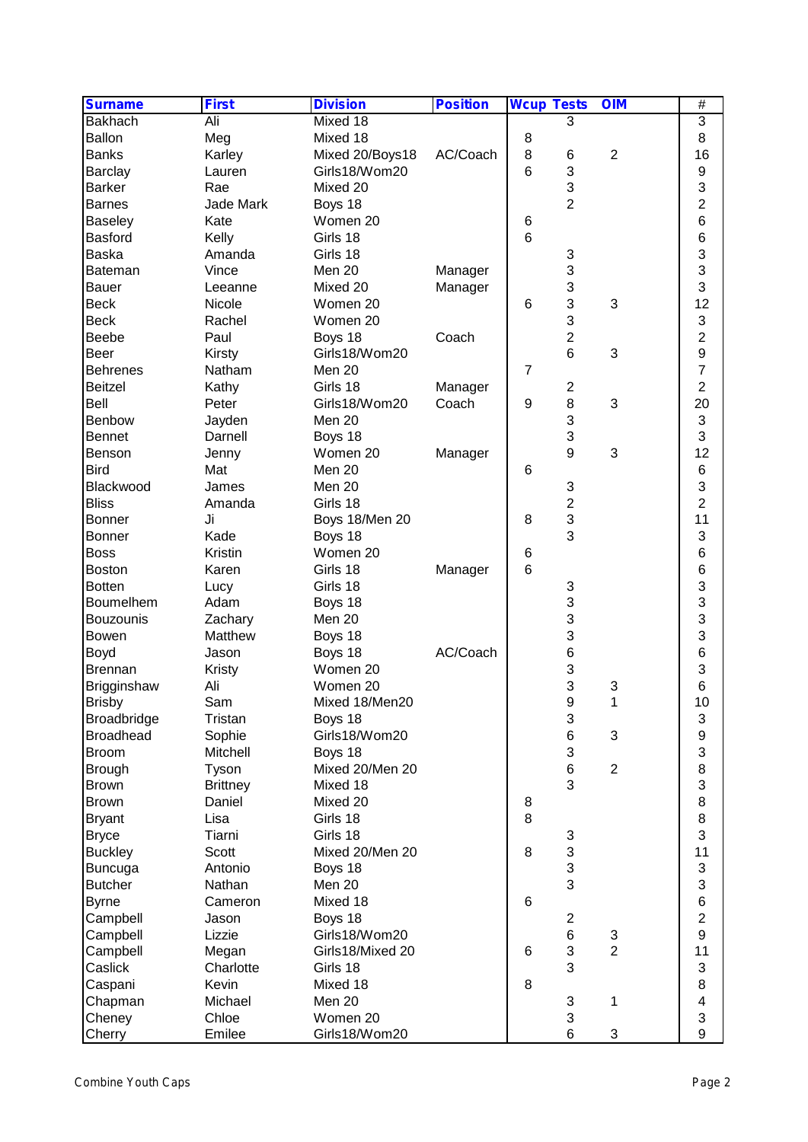| <b>Surname</b>   | <b>First</b>    | <b>Division</b>  | <b>Position</b> | <b>Wcup Tests</b> |                | <b>OIM</b>                | $\overline{\#}$ |
|------------------|-----------------|------------------|-----------------|-------------------|----------------|---------------------------|-----------------|
| <b>Bakhach</b>   | Ali             | Mixed 18         |                 |                   | 3              |                           | 3               |
| Ballon           | Meg             | Mixed 18         |                 | 8                 |                |                           | 8               |
| <b>Banks</b>     | Karley          | Mixed 20/Boys18  | AC/Coach        | 8                 | 6              | $\overline{2}$            | 16              |
| Barclay          | Lauren          | Girls18/Wom20    |                 | $6\phantom{1}6$   | 3              |                           | 9               |
| <b>Barker</b>    | Rae             | Mixed 20         |                 |                   | 3              |                           | 3               |
| <b>Barnes</b>    | Jade Mark       | Boys 18          |                 |                   | $\overline{2}$ |                           | $\overline{2}$  |
| Baseley          | Kate            | Women 20         |                 | 6                 |                |                           | 6               |
| Basford          | Kelly           | Girls 18         |                 | $6\phantom{1}6$   |                |                           | 6               |
| <b>Baska</b>     | Amanda          | Girls 18         |                 |                   | 3              |                           | 3               |
| <b>Bateman</b>   | Vince           | Men 20           | Manager         |                   | 3              |                           | 3               |
| <b>Bauer</b>     | Leeanne         | Mixed 20         | Manager         |                   | 3              |                           | 3               |
| <b>Beck</b>      | Nicole          | Women 20         |                 | 6                 | 3              | $\ensuremath{\mathsf{3}}$ | 12              |
| <b>Beck</b>      | Rachel          | Women 20         |                 |                   | 3              |                           | 3               |
| Beebe            | Paul            | Boys 18          | Coach           |                   | $\overline{c}$ |                           | $\overline{c}$  |
| Beer             |                 | Girls18/Wom20    |                 |                   | 6              | 3                         | 9               |
|                  | Kirsty          |                  |                 |                   |                |                           | $\overline{7}$  |
| Behrenes         | Natham          | Men 20           |                 | $\overline{7}$    |                |                           | $\overline{c}$  |
| <b>Beitzel</b>   | Kathy           | Girls 18         | Manager         |                   | $\overline{2}$ |                           |                 |
| Bell             | Peter           | Girls18/Wom20    | Coach           | 9                 | 8              | $\ensuremath{\mathsf{3}}$ | 20              |
| Benbow           | Jayden          | Men 20           |                 |                   | 3              |                           | 3               |
| <b>Bennet</b>    | Darnell         | Boys 18          |                 |                   | 3              |                           | 3               |
| Benson           | Jenny           | Women 20         | Manager         |                   | 9              | 3                         | 12              |
| <b>Bird</b>      | Mat             | Men 20           |                 | 6                 |                |                           | $6\phantom{1}6$ |
| Blackwood        | James           | Men 20           |                 |                   | 3              |                           | 3               |
| <b>Bliss</b>     | Amanda          | Girls 18         |                 |                   | $\overline{c}$ |                           | $\overline{2}$  |
| <b>Bonner</b>    | Ji              | Boys 18/Men 20   |                 | 8                 | 3              |                           | 11              |
| <b>Bonner</b>    | Kade            | Boys 18          |                 |                   | 3              |                           | 3               |
| <b>Boss</b>      | Kristin         | Women 20         |                 | 6                 |                |                           | 6               |
| <b>Boston</b>    | Karen           | Girls 18         | Manager         | $6\phantom{1}$    |                |                           | $\,6$           |
| <b>Botten</b>    | Lucy            | Girls 18         |                 |                   | 3              |                           | 3               |
| Boumelhem        | Adam            | Boys 18          |                 |                   | 3              |                           | 3               |
| <b>Bouzounis</b> | Zachary         | Men 20           |                 |                   | 3              |                           | 3               |
| Bowen            | Matthew         | Boys 18          |                 |                   | 3              |                           | 3               |
| Boyd             | Jason           | Boys 18          | AC/Coach        |                   | 6              |                           | 6               |
| <b>Brennan</b>   | Kristy          | Women 20         |                 |                   | 3              |                           | 3               |
| Brigginshaw      | Ali             | Women 20         |                 |                   | 3              | 3                         | $6\phantom{1}6$ |
| <b>Brisby</b>    | Sam             | Mixed 18/Men20   |                 |                   | 9              | 1                         | 10              |
| Broadbridge      | Tristan         | Boys 18          |                 |                   | 3              |                           | 3               |
| <b>Broadhead</b> | Sophie          | Girls18/Wom20    |                 |                   | 6              | 3                         | 9               |
| <b>Broom</b>     | Mitchell        | Boys 18          |                 |                   | 3              |                           | 3               |
| <b>Brough</b>    | Tyson           | Mixed 20/Men 20  |                 |                   | $\,6$          | $\overline{2}$            | 8               |
| <b>Brown</b>     | <b>Brittney</b> | Mixed 18         |                 |                   | 3              |                           | 3               |
| <b>Brown</b>     | Daniel          | Mixed 20         |                 | 8                 |                |                           | 8               |
| <b>Bryant</b>    | Lisa            | Girls 18         |                 | 8                 |                |                           | 8               |
| <b>Bryce</b>     | Tiarni          | Girls 18         |                 |                   | 3              |                           | 3               |
| <b>Buckley</b>   | Scott           | Mixed 20/Men 20  |                 | 8                 | 3              |                           | 11              |
| <b>Buncuga</b>   | Antonio         | Boys 18          |                 |                   | 3              |                           | 3               |
| <b>Butcher</b>   | Nathan          | Men 20           |                 |                   | 3              |                           | 3               |
|                  | Cameron         | Mixed 18         |                 | 6                 |                |                           | $\overline{6}$  |
| <b>Byrne</b>     |                 |                  |                 |                   | $\overline{2}$ |                           | $\overline{2}$  |
| Campbell         | Jason           | Boys 18          |                 |                   |                |                           |                 |
| Campbell         | Lizzie          | Girls18/Wom20    |                 |                   | 6              | 3                         | 9               |
| Campbell         | Megan           | Girls18/Mixed 20 |                 | 6                 | 3              | $\overline{2}$            | 11              |
| Caslick          | Charlotte       | Girls 18         |                 |                   | 3              |                           | 3               |
| Caspani          | Kevin           | Mixed 18         |                 | 8                 |                |                           | 8               |
| Chapman          | Michael         | Men 20           |                 |                   | 3              | 1                         | 4               |
| Cheney           | Chloe           | Women 20         |                 |                   | 3              |                           | 3               |
| Cherry           | Emilee          | Girls18/Wom20    |                 |                   | 6              | 3                         | 9               |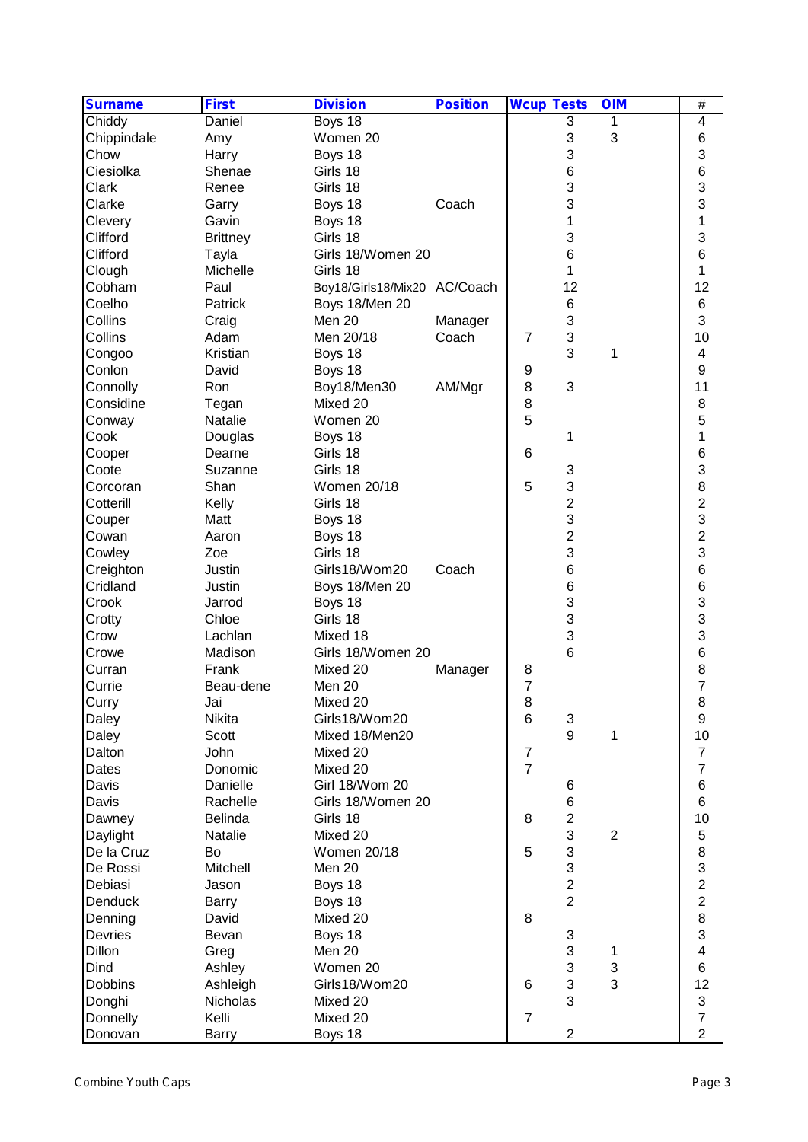| <b>Surname</b> | <b>First</b>    | <b>Division</b>              | <b>Position</b> | <b>Wcup Tests</b> |                 | <b>OIM</b>     | $\overline{\#}$         |  |
|----------------|-----------------|------------------------------|-----------------|-------------------|-----------------|----------------|-------------------------|--|
| Chiddy         | Daniel          | Boys 18                      |                 |                   | 3               | 1              | 4                       |  |
| Chippindale    | Amy             | Women 20                     |                 |                   | 3               | 3              | 6                       |  |
| Chow           | Harry           | Boys 18                      |                 |                   | 3               |                | 3                       |  |
| Ciesiolka      | Shenae          | Girls 18                     |                 |                   | $\,6$           |                | $\,6$                   |  |
| Clark          | Renee           | Girls 18                     |                 |                   | 3               |                | 3                       |  |
| Clarke         | Garry           | Boys 18                      | Coach           |                   | 3               |                | 3                       |  |
| Clevery        | Gavin           | Boys 18                      |                 |                   | 1               |                | 1                       |  |
| Clifford       | <b>Brittney</b> | Girls 18                     |                 |                   | 3               |                | 3                       |  |
| Clifford       | Tayla           | Girls 18/Women 20            |                 |                   | 6               |                | $6\phantom{1}6$         |  |
| Clough         | Michelle        | Girls 18                     |                 |                   | 1               |                | 1                       |  |
| Cobham         | Paul            | Boy18/Girls18/Mix20 AC/Coach |                 |                   | 12              |                | 12                      |  |
| Coelho         | Patrick         | Boys 18/Men 20               |                 |                   | 6               |                | $6\phantom{1}6$         |  |
| Collins        | Craig           | Men 20                       | Manager         |                   | 3               |                | 3                       |  |
| Collins        | Adam            | Men 20/18                    | Coach           | $\overline{7}$    | 3               |                | 10                      |  |
| Congoo         | Kristian        | Boys 18                      |                 |                   | 3               | 1              | 4                       |  |
| Conlon         | David           | Boys 18                      |                 | 9                 |                 |                | 9                       |  |
| Connolly       | Ron             | Boy18/Men30                  | AM/Mgr          | 8                 | 3               |                | 11                      |  |
| Considine      | Tegan           | Mixed 20                     |                 | 8                 |                 |                | 8                       |  |
| Conway         | Natalie         | Women 20                     |                 | 5                 |                 |                | 5                       |  |
| Cook           | Douglas         | Boys 18                      |                 |                   | 1               |                | 1                       |  |
| Cooper         | Dearne          | Girls 18                     |                 | $6\phantom{1}6$   |                 |                | $\,6$                   |  |
| Coote          | Suzanne         | Girls 18                     |                 |                   | 3               |                | 3                       |  |
| Corcoran       | Shan            | <b>Women 20/18</b>           |                 | 5                 | 3               |                | 8                       |  |
| Cotterill      | Kelly           | Girls 18                     |                 |                   | $\overline{c}$  |                | $\overline{\mathbf{c}}$ |  |
| Couper         | Matt            | Boys 18                      |                 |                   | 3               |                | 3                       |  |
| Cowan          | Aaron           | Boys 18                      |                 |                   | $\overline{2}$  |                | $\overline{2}$          |  |
| Cowley         | Zoe             | Girls 18                     |                 |                   | 3               |                | 3                       |  |
| Creighton      | Justin          | Girls18/Wom20                | Coach           |                   | $\,6$           |                | $\,6$                   |  |
| Cridland       | Justin          | Boys 18/Men 20               |                 |                   | $6\phantom{1}6$ |                | $\,6$                   |  |
| Crook          | Jarrod          | Boys 18                      |                 |                   | 3               |                | 3                       |  |
| Crotty         | Chloe           | Girls 18                     |                 |                   | 3               |                | 3                       |  |
| Crow           | Lachlan         | Mixed 18                     |                 |                   | 3               |                | 3                       |  |
| Crowe          | Madison         | Girls 18/Women 20            |                 |                   | 6               |                | $\,6$                   |  |
| Curran         | Frank           | Mixed 20                     | Manager         | 8                 |                 |                | 8                       |  |
| Currie         | Beau-dene       | Men 20                       |                 | 7                 |                 |                | $\overline{7}$          |  |
| Curry          | Jai             | Mixed 20                     |                 | 8                 |                 |                | 8                       |  |
| Daley          | Nikita          | Girls18/Wom20                |                 | $6\phantom{1}6$   | 3               |                | 9                       |  |
| Daley          | Scott           | Mixed 18/Men20               |                 |                   | 9               | 1              | 10                      |  |
| Dalton         | John            | Mixed 20                     |                 | $\boldsymbol{7}$  |                 |                | $\overline{7}$          |  |
| Dates          | Donomic         | Mixed 20                     |                 | $\overline{7}$    |                 |                | $\overline{7}$          |  |
| Davis          | Danielle        | Girl 18/Wom 20               |                 |                   | 6               |                | 6                       |  |
| Davis          | Rachelle        | Girls 18/Women 20            |                 |                   | $\,6$           |                | $6\phantom{1}6$         |  |
| Dawney         | Belinda         | Girls 18                     |                 | 8                 | $\overline{c}$  |                | 10                      |  |
| Daylight       | Natalie         | Mixed 20                     |                 |                   | 3               | $\overline{2}$ | 5                       |  |
| De la Cruz     | Bo              | Women 20/18                  |                 | 5                 | 3               |                | 8                       |  |
| De Rossi       | Mitchell        | Men 20                       |                 |                   | 3               |                | 3                       |  |
| Debiasi        | Jason           | Boys 18                      |                 |                   | $\overline{c}$  |                | $\overline{c}$          |  |
| Denduck        | Barry           | Boys 18                      |                 |                   | $\overline{2}$  |                | $\overline{a}$          |  |
| Denning        | David           | Mixed 20                     |                 | 8                 |                 |                | 8                       |  |
| Devries        | Bevan           | Boys 18                      |                 |                   | 3               |                | 3                       |  |
| Dillon         | Greg            | Men 20                       |                 |                   | $\mathbf{3}$    | 1              | 4                       |  |
| Dind           | Ashley          | Women 20                     |                 |                   | $\mathbf{3}$    | 3              | $\,6$                   |  |
| Dobbins        | Ashleigh        | Girls18/Wom20                |                 | 6                 | 3               | 3              | 12                      |  |
| Donghi         | Nicholas        | Mixed 20                     |                 |                   | 3               |                | 3                       |  |
| Donnelly       | Kelli           | Mixed 20                     |                 | $\overline{7}$    |                 |                | $\overline{7}$          |  |
| Donovan        | Barry           | Boys 18                      |                 |                   | $\overline{2}$  |                | $\overline{2}$          |  |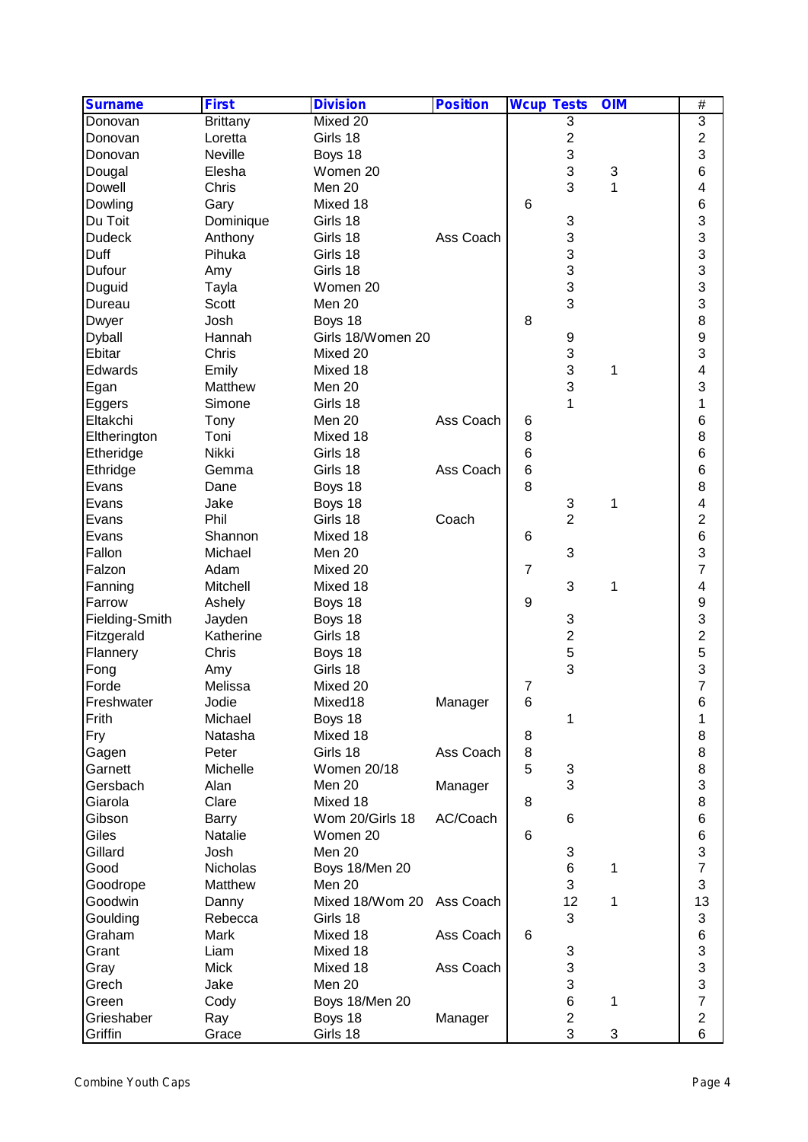| <b>Surname</b> | <b>First</b>    | <b>Division</b>    | <b>Position</b> | <b>Wcup Tests</b> |                         | <b>OIM</b> | $\overline{\#}$  |  |
|----------------|-----------------|--------------------|-----------------|-------------------|-------------------------|------------|------------------|--|
| Donovan        | <b>Brittany</b> | Mixed 20           |                 |                   | 3                       |            | 3                |  |
| Donovan        | Loretta         | Girls 18           |                 |                   | $\boldsymbol{2}$        |            | 2                |  |
| Donovan        | Neville         | Boys 18            |                 |                   | 3                       |            | 3                |  |
| Dougal         | Elesha          | Women 20           |                 |                   | 3                       | 3          | 6                |  |
| Dowell         | Chris           | Men 20             |                 |                   | 3                       | 1          | 4                |  |
| Dowling        | Gary            | Mixed 18           |                 | 6                 |                         |            | $6\phantom{1}6$  |  |
| Du Toit        | Dominique       | Girls 18           |                 |                   | 3                       |            | 3                |  |
| <b>Dudeck</b>  | Anthony         | Girls 18           | Ass Coach       |                   | 3                       |            | 3                |  |
| Duff           | Pihuka          | Girls 18           |                 |                   | 3                       |            | 3                |  |
| Dufour         | Amy             | Girls 18           |                 |                   | 3                       |            | 3                |  |
| Duguid         | Tayla           | Women 20           |                 |                   | 3                       |            | 3                |  |
| Dureau         | Scott           | Men 20             |                 |                   | 3                       |            | 3                |  |
| Dwyer          | Josh            | Boys 18            |                 | 8                 |                         |            | 8                |  |
| <b>Dyball</b>  | Hannah          | Girls 18/Women 20  |                 |                   | 9                       |            | $\boldsymbol{9}$ |  |
| Ebitar         | Chris           | Mixed 20           |                 |                   | 3                       |            | 3                |  |
| Edwards        | Emily           | Mixed 18           |                 |                   | 3                       | 1          | 4                |  |
| Egan           | Matthew         | Men 20             |                 |                   | 3                       |            | 3                |  |
|                | Simone          | Girls 18           |                 |                   | 1                       |            | 1                |  |
| Eggers         |                 | Men 20             | Ass Coach       |                   |                         |            | $\,6$            |  |
| Eltakchi       | Tony            |                    |                 | 6<br>8            |                         |            |                  |  |
| Eltherington   | Toni            | Mixed 18           |                 |                   |                         |            | 8                |  |
| Etheridge      | Nikki           | Girls 18           |                 | $6\phantom{1}6$   |                         |            | $6\phantom{1}6$  |  |
| Ethridge       | Gemma           | Girls 18           | Ass Coach       | $\,6$             |                         |            | $6\phantom{1}6$  |  |
| Evans          | Dane            | Boys 18            |                 | 8                 |                         |            | 8                |  |
| Evans          | Jake            | Boys 18            |                 |                   | $\sqrt{3}$              | 1          | 4                |  |
| Evans          | Phil            | Girls 18           | Coach           |                   | $\overline{2}$          |            | $\overline{c}$   |  |
| Evans          | Shannon         | Mixed 18           |                 | 6                 |                         |            | $\overline{6}$   |  |
| Fallon         | Michael         | Men 20             |                 |                   | 3                       |            | 3                |  |
| Falzon         | Adam            | Mixed 20           |                 | $\overline{7}$    |                         |            | $\overline{7}$   |  |
| Fanning        | Mitchell        | Mixed 18           |                 |                   | 3                       | 1          | 4                |  |
| Farrow         | Ashely          | Boys 18            |                 | 9                 |                         |            | 9                |  |
| Fielding-Smith | Jayden          | Boys 18            |                 |                   | 3                       |            | 3                |  |
| Fitzgerald     | Katherine       | Girls 18           |                 |                   | $\overline{\mathbf{c}}$ |            | 2                |  |
| Flannery       | Chris           | Boys 18            |                 |                   | 5                       |            | 5                |  |
| Fong           | Amy             | Girls 18           |                 |                   | 3                       |            | 3                |  |
| Forde          | Melissa         | Mixed 20           |                 | $\overline{7}$    |                         |            | $\overline{7}$   |  |
| Freshwater     | Jodie           | Mixed18            | Manager         | 6                 |                         |            | 6                |  |
| Frith          | Michael         | Boys 18            |                 |                   | 1                       |            | 1                |  |
| Fry            | Natasha         | Mixed 18           |                 | 8                 |                         |            | 8                |  |
| Gagen          | Peter           | Girls 18           | Ass Coach       | $\, 8$            |                         |            | 8                |  |
| Garnett        | Michelle        | <b>Women 20/18</b> |                 | 5                 | 3                       |            | 8                |  |
| Gersbach       | Alan            | Men 20             | Manager         |                   | 3                       |            | 3                |  |
| Giarola        | Clare           | Mixed 18           |                 | 8                 |                         |            | 8                |  |
| Gibson         | Barry           | Wom 20/Girls 18    | AC/Coach        |                   | 6                       |            | $\,6$            |  |
| Giles          | Natalie         | Women 20           |                 | 6                 |                         |            | $\,6$            |  |
| Gillard        | Josh            | Men 20             |                 |                   | 3                       |            | 3                |  |
| Good           | Nicholas        | Boys 18/Men 20     |                 |                   | 6                       | 1          | $\overline{7}$   |  |
| Goodrope       | Matthew         | Men 20             |                 |                   | 3                       |            | 3                |  |
| Goodwin        | Danny           | Mixed 18/Wom 20    | Ass Coach       |                   | 12                      | 1          | 13               |  |
| Goulding       | Rebecca         | Girls 18           |                 |                   | 3                       |            | 3                |  |
| Graham         | Mark            | Mixed 18           | Ass Coach       | 6                 |                         |            | $\overline{6}$   |  |
| Grant          | Liam            | Mixed 18           |                 |                   | 3                       |            | 3                |  |
| Gray           | <b>Mick</b>     | Mixed 18           | Ass Coach       |                   | 3                       |            | 3                |  |
| Grech          | Jake            | Men 20             |                 |                   | 3                       |            | 3                |  |
| Green          | Cody            | Boys 18/Men 20     |                 |                   | 6                       | 1          | $\overline{7}$   |  |
| Grieshaber     | Ray             | Boys 18            | Manager         |                   | $\overline{2}$          |            | $\overline{c}$   |  |
| Griffin        | Grace           | Girls 18           |                 |                   | 3                       | $\sqrt{3}$ | 6                |  |
|                |                 |                    |                 |                   |                         |            |                  |  |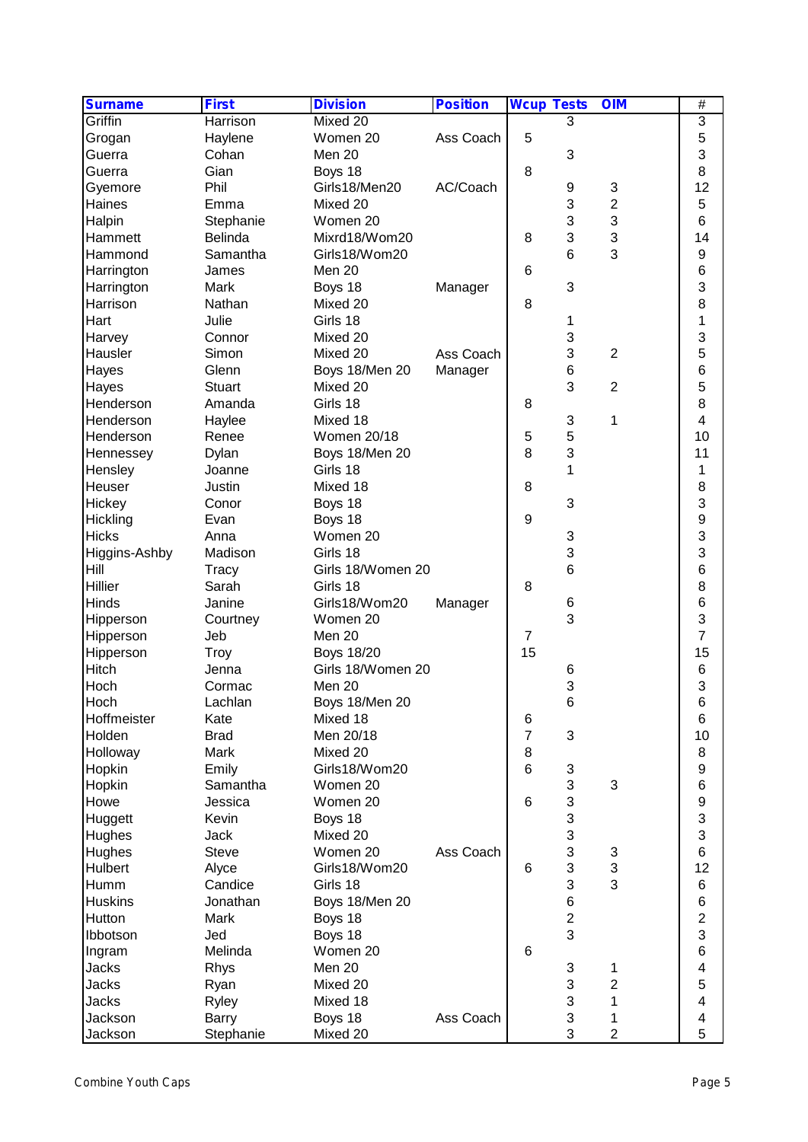| <b>Surname</b> | <b>First</b>  | <b>Division</b>    | <b>Position</b> | <b>Wcup Tests</b> |                           | <b>OIM</b>              | $\overline{\#}$         |
|----------------|---------------|--------------------|-----------------|-------------------|---------------------------|-------------------------|-------------------------|
| Griffin        | Harrison      | Mixed 20           |                 |                   | 3                         |                         | 3                       |
| Grogan         | Haylene       | Women 20           | Ass Coach       | 5                 |                           |                         | 5                       |
| Guerra         | Cohan         | Men 20             |                 |                   | 3                         |                         | 3                       |
| Guerra         | Gian          | Boys 18            |                 | 8                 |                           |                         | 8                       |
| Gyemore        | Phil          | Girls18/Men20      | AC/Coach        |                   | 9                         | 3                       | 12                      |
| Haines         | Emma          | Mixed 20           |                 |                   | 3                         | $\overline{2}$          | 5                       |
| Halpin         | Stephanie     | Women 20           |                 |                   | 3                         | 3                       | 6                       |
| Hammett        | Belinda       | Mixrd18/Wom20      |                 | 8                 | 3                         | 3                       | 14                      |
| Hammond        | Samantha      | Girls18/Wom20      |                 |                   | 6                         | 3                       | 9                       |
| Harrington     | James         | Men 20             |                 | 6                 |                           |                         | 6                       |
| Harrington     | Mark          | Boys 18            | Manager         |                   | 3                         |                         | 3                       |
| Harrison       | Nathan        | Mixed 20           |                 | 8                 |                           |                         | 8                       |
| Hart           | Julie         | Girls 18           |                 |                   | 1                         |                         | 1                       |
| Harvey         | Connor        | Mixed 20           |                 |                   | 3                         |                         | 3                       |
| Hausler        | Simon         | Mixed 20           | Ass Coach       |                   | 3                         | $\overline{2}$          | 5                       |
|                |               |                    |                 |                   |                           |                         |                         |
| Hayes          | Glenn         | Boys 18/Men 20     | Manager         |                   | 6                         |                         | 6                       |
| Hayes          | <b>Stuart</b> | Mixed 20           |                 |                   | 3                         | $\overline{2}$          | 5                       |
| Henderson      | Amanda        | Girls 18           |                 | 8                 |                           |                         | 8                       |
| Henderson      | Haylee        | Mixed 18           |                 |                   | $\ensuremath{\mathsf{3}}$ | 1                       | $\overline{\mathbf{4}}$ |
| Henderson      | Renee         | <b>Women 20/18</b> |                 | 5                 | 5                         |                         | 10                      |
| Hennessey      | Dylan         | Boys 18/Men 20     |                 | 8                 | 3                         |                         | 11                      |
| Hensley        | Joanne        | Girls 18           |                 |                   | $\mathbf{1}$              |                         | 1                       |
| Heuser         | Justin        | Mixed 18           |                 | 8                 |                           |                         | 8                       |
| Hickey         | Conor         | Boys 18            |                 |                   | 3                         |                         | 3                       |
| Hickling       | Evan          | Boys 18            |                 | 9                 |                           |                         | 9                       |
| <b>Hicks</b>   | Anna          | Women 20           |                 |                   | 3                         |                         | 3                       |
| Higgins-Ashby  | Madison       | Girls 18           |                 |                   | 3                         |                         | 3                       |
| Hill           | Tracy         | Girls 18/Women 20  |                 |                   | 6                         |                         | 6                       |
| Hillier        | Sarah         | Girls 18           |                 | 8                 |                           |                         | 8                       |
| Hinds          | Janine        | Girls18/Wom20      | Manager         |                   | 6                         |                         | 6                       |
| Hipperson      | Courtney      | Women 20           |                 |                   | 3                         |                         | 3                       |
| Hipperson      | Jeb           | Men 20             |                 | $\overline{7}$    |                           |                         | 7                       |
| Hipperson      | <b>Troy</b>   | <b>Boys 18/20</b>  |                 | 15                |                           |                         | 15                      |
| Hitch          | Jenna         | Girls 18/Women 20  |                 |                   | 6                         |                         | $\,$ 6 $\,$             |
| Hoch           | Cormac        | Men 20             |                 |                   | 3                         |                         | 3                       |
| Hoch           |               | Boys 18/Men 20     |                 |                   | 6                         |                         | 6                       |
|                | Lachlan       |                    |                 |                   |                           |                         |                         |
| Hoffmeister    | Kate          | Mixed 18           |                 | 6                 |                           |                         | $6\phantom{1}6$         |
| Holden         | <b>Brad</b>   | Men 20/18          |                 | $\overline{7}$    | 3                         |                         | 10                      |
| Holloway       | Mark          | Mixed 20           |                 | 8                 |                           |                         | 8                       |
| Hopkin         | Emily         | Girls18/Wom20      |                 | 6                 | 3                         |                         | $\boldsymbol{9}$        |
| Hopkin         | Samantha      | Women 20           |                 |                   | 3                         | 3                       | $\,6$                   |
| Howe           | Jessica       | Women 20           |                 | 6                 | 3                         |                         | 9                       |
| Huggett        | Kevin         | Boys 18            |                 |                   | 3                         |                         | 3                       |
| Hughes         | Jack          | Mixed 20           |                 |                   | 3                         |                         | 3                       |
| Hughes         | <b>Steve</b>  | Women 20           | Ass Coach       |                   | 3                         | 3                       | $\,6$                   |
| Hulbert        | Alyce         | Girls18/Wom20      |                 | 6                 | 3                         | 3                       | 12                      |
| Humm           | Candice       | Girls 18           |                 |                   | 3                         | 3                       | 6                       |
| <b>Huskins</b> | Jonathan      | Boys 18/Men 20     |                 |                   | 6                         |                         | $\,$ 6 $\,$             |
| Hutton         | Mark          | Boys 18            |                 |                   | $\overline{2}$            |                         | $\overline{c}$          |
| Ibbotson       | Jed           | Boys 18            |                 |                   | 3                         |                         | 3                       |
| Ingram         | Melinda       | Women 20           |                 | 6                 |                           |                         | $\,6$                   |
| Jacks          | Rhys          | Men 20             |                 |                   | 3                         | 1                       | 4                       |
| <b>Jacks</b>   | Ryan          | Mixed 20           |                 |                   | 3                         | $\overline{\mathbf{c}}$ | 5                       |
| <b>Jacks</b>   |               | Mixed 18           |                 |                   | 3                         | 1                       | 4                       |
|                | Ryley         |                    | Ass Coach       |                   | 3                         |                         | 4                       |
| Jackson        | Barry         | Boys 18            |                 |                   |                           | 1                       |                         |
| Jackson        | Stephanie     | Mixed 20           |                 |                   | 3                         | $\overline{2}$          | 5                       |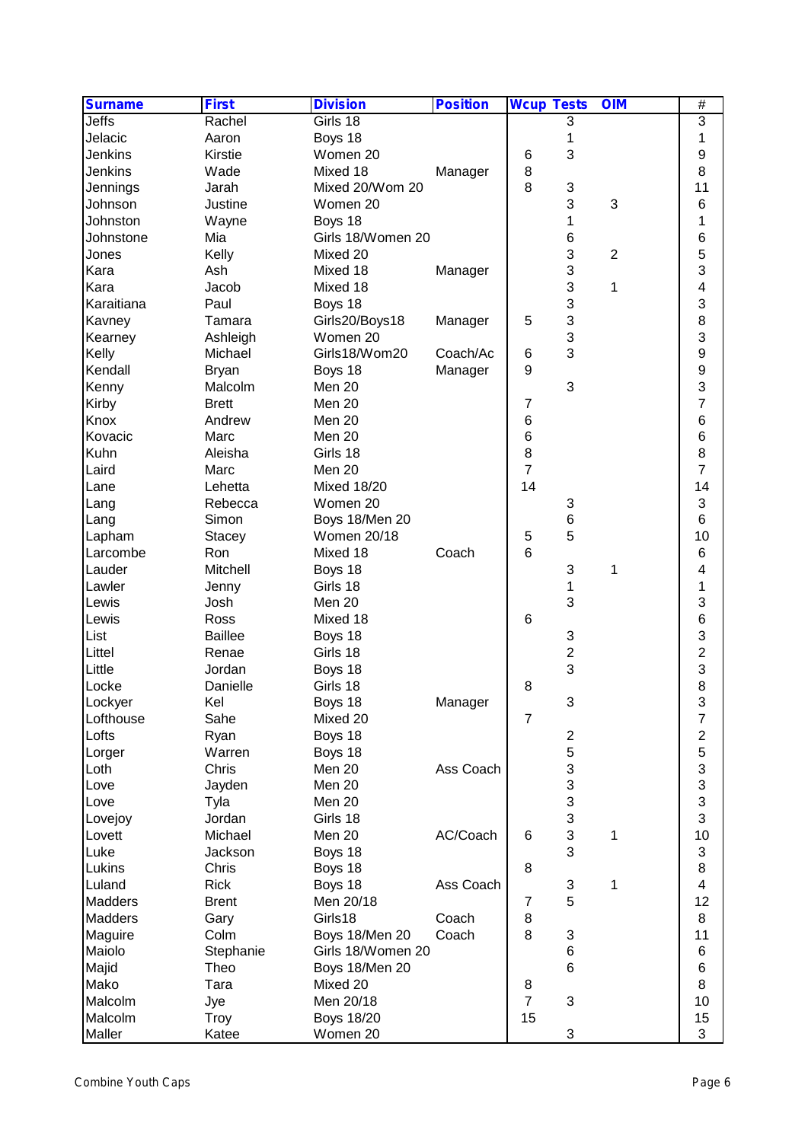| <b>Surname</b> | <b>First</b>   | <b>Division</b>    | <b>Position</b> | <b>Wcup Tests</b> |                         | <b>OIM</b>     | $\overline{\#}$         |
|----------------|----------------|--------------------|-----------------|-------------------|-------------------------|----------------|-------------------------|
| Jeffs          | Rachel         | Girls 18           |                 |                   | 3                       |                | 3                       |
| Jelacic        | Aaron          | Boys 18            |                 |                   | 1                       |                | 1                       |
| Jenkins        | Kirstie        | Women 20           |                 | 6                 | 3                       |                | 9                       |
| Jenkins        | Wade           | Mixed 18           | Manager         | $\, 8$            |                         |                | 8                       |
| Jennings       | Jarah          | Mixed 20/Wom 20    |                 | 8                 | 3                       |                | 11                      |
| Johnson        | Justine        | Women 20           |                 |                   | 3                       | 3              | 6                       |
| Johnston       | Wayne          | Boys 18            |                 |                   | 1                       |                | 1                       |
| Johnstone      | Mia            | Girls 18/Women 20  |                 |                   | 6                       |                | 6                       |
| Jones          | Kelly          | Mixed 20           |                 |                   | 3                       | $\overline{2}$ | 5                       |
| Kara           | Ash            | Mixed 18           | Manager         |                   | 3                       |                | 3                       |
| Kara           | Jacob          | Mixed 18           |                 |                   | 3                       | 1              | 4                       |
|                | Paul           |                    |                 |                   |                         |                |                         |
| Karaitiana     |                | Boys 18            |                 |                   | 3                       |                | 3                       |
| Kavney         | Tamara         | Girls20/Boys18     | Manager         | 5                 | 3                       |                | 8                       |
| Kearney        | Ashleigh       | Women 20           |                 |                   | 3                       |                | 3                       |
| Kelly          | Michael        | Girls18/Wom20      | Coach/Ac        | 6                 | 3                       |                | 9                       |
| Kendall        | <b>Bryan</b>   | Boys 18            | Manager         | $9$               |                         |                | 9                       |
| Kenny          | Malcolm        | Men 20             |                 |                   | 3                       |                | 3                       |
| Kirby          | <b>Brett</b>   | Men 20             |                 | 7                 |                         |                | $\overline{7}$          |
| Knox           | Andrew         | Men 20             |                 | $\,6$             |                         |                | $6\phantom{1}6$         |
| Kovacic        | Marc           | Men 20             |                 | $6\phantom{1}6$   |                         |                | 6                       |
| Kuhn           | Aleisha        | Girls 18           |                 | 8                 |                         |                | 8                       |
| Laird          | Marc           | Men 20             |                 | $\overline{7}$    |                         |                | $\overline{7}$          |
| Lane           | Lehetta        | <b>Mixed 18/20</b> |                 | 14                |                         |                | 14                      |
| Lang           | Rebecca        | Women 20           |                 |                   | 3                       |                | 3                       |
| Lang           | Simon          | Boys 18/Men 20     |                 |                   | 6                       |                | 6                       |
| Lapham         | <b>Stacey</b>  | <b>Women 20/18</b> |                 | 5                 | 5                       |                | 10                      |
| Larcombe       | Ron            | Mixed 18           | Coach           | 6                 |                         |                | $6\phantom{1}6$         |
| Lauder         | Mitchell       | Boys 18            |                 |                   | 3                       | 1              | 4                       |
|                |                |                    |                 |                   |                         |                |                         |
| Lawler         | Jenny          | Girls 18           |                 |                   | 1                       |                | 1                       |
| Lewis          | Josh           | Men 20             |                 |                   | 3                       |                | 3                       |
| Lewis          | Ross           | Mixed 18           |                 | 6                 |                         |                | $\,6$                   |
| List           | <b>Baillee</b> | Boys 18            |                 |                   | 3                       |                | 3                       |
| Littel         | Renae          | Girls 18           |                 |                   | $\overline{2}$          |                | $\overline{c}$          |
| Little         | Jordan         | Boys 18            |                 |                   | 3                       |                | 3                       |
| Locke          | Danielle       | Girls 18           |                 | 8                 |                         |                | 8                       |
| Lockyer        | Kel            | Boys 18            | Manager         |                   | 3                       |                | 3                       |
| Lofthouse      | Sahe           | Mixed 20           |                 | $\overline{7}$    |                         |                | $\overline{7}$          |
| Lofts          | Ryan           | Boys 18            |                 |                   | $\overline{\mathbf{c}}$ |                | $\overline{\mathbf{c}}$ |
| Lorger         | Warren         | Boys 18            |                 |                   | 5                       |                | 5                       |
| Loth           | Chris          | Men 20             | Ass Coach       |                   | 3                       |                | 3                       |
| Love           | Jayden         | Men 20             |                 |                   | 3                       |                | 3                       |
| Love           | Tyla           | Men 20             |                 |                   | 3                       |                | 3                       |
| Lovejoy        | Jordan         | Girls 18           |                 |                   | 3                       |                | 3                       |
| Lovett         | Michael        | Men 20             | AC/Coach        | 6                 | 3                       | 1              | 10                      |
| Luke           | Jackson        | Boys 18            |                 |                   | 3                       |                | 3                       |
| Lukins         | Chris          | Boys 18            |                 | 8                 |                         |                | 8                       |
| Luland         | <b>Rick</b>    |                    | Ass Coach       |                   | $\sqrt{3}$              |                | $\overline{\mathbf{4}}$ |
|                |                | Boys 18            |                 |                   |                         | 1              |                         |
| Madders        | <b>Brent</b>   | Men 20/18          |                 | $\overline{7}$    | 5                       |                | 12                      |
| Madders        | Gary           | Girls18            | Coach           | 8                 |                         |                | 8                       |
| Maguire        | Colm           | Boys 18/Men 20     | Coach           | 8                 | 3                       |                | 11                      |
| Maiolo         | Stephanie      | Girls 18/Women 20  |                 |                   | 6                       |                | 6                       |
| Majid          | Theo           | Boys 18/Men 20     |                 |                   | $6\phantom{1}6$         |                | 6                       |
| Mako           | Tara           | Mixed 20           |                 | 8                 |                         |                | $\, 8$                  |
| Malcolm        | Jye            | Men 20/18          |                 | $\overline{7}$    | $\mathfrak{S}$          |                | 10                      |
| Malcolm        | Troy           | <b>Boys 18/20</b>  |                 | 15                |                         |                | 15                      |
| Maller         | Katee          | Women 20           |                 |                   | 3                       |                | 3                       |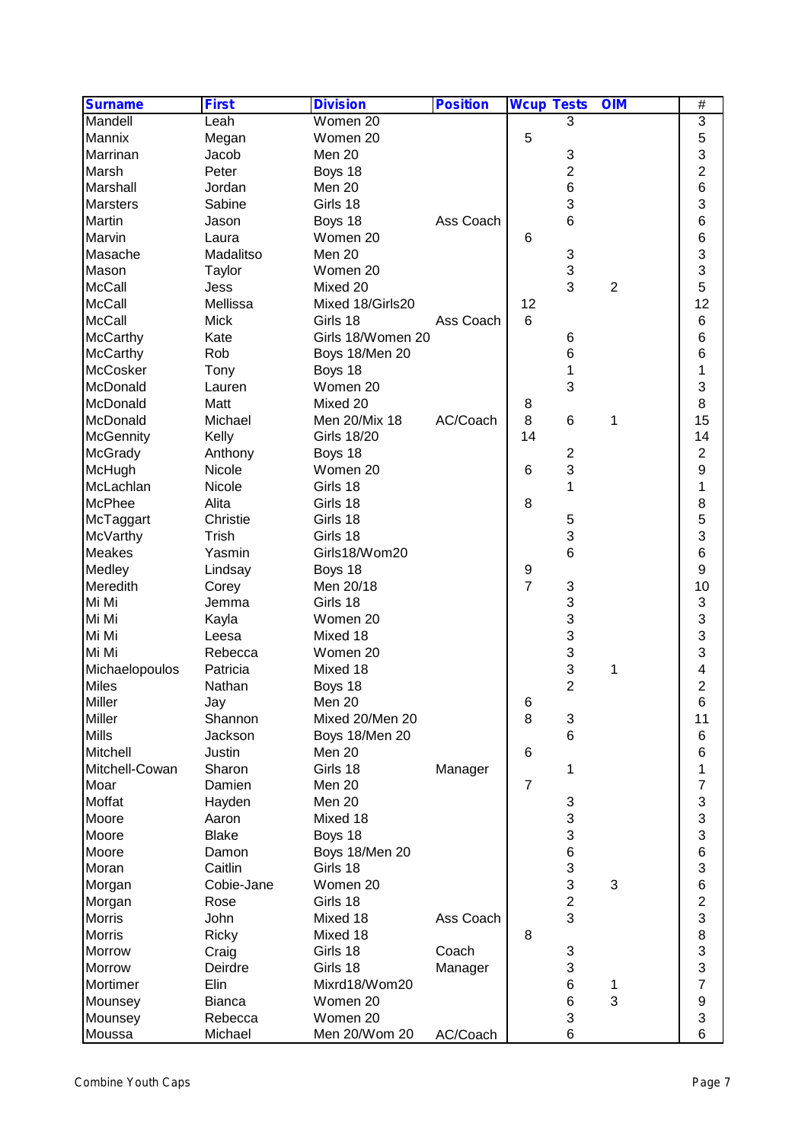| <b>Surname</b>   | <b>First</b>          | <b>Division</b>    | <b>Position</b> | <b>Wcup Tests</b> |                     | <b>OIM</b>     | $\overline{\#}$              |
|------------------|-----------------------|--------------------|-----------------|-------------------|---------------------|----------------|------------------------------|
| Mandell          | Leah                  | Women 20           |                 |                   | 3                   |                | 3                            |
| Mannix           | Megan                 | Women 20           |                 | 5                 |                     |                | 5                            |
| Marrinan         | Jacob                 | Men 20             |                 |                   | 3                   |                | 3                            |
| Marsh            | Peter                 | Boys 18            |                 |                   | $\overline{2}$      |                | $\overline{c}$               |
| Marshall         | Jordan                | Men 20             |                 |                   | $6\phantom{1}$      |                | $6\phantom{1}$               |
| <b>Marsters</b>  | Sabine                | Girls 18           |                 |                   | 3                   |                | 3                            |
| Martin           | Jason                 | Boys 18            | Ass Coach       |                   | 6                   |                | 6                            |
| Marvin           | Laura                 | Women 20           |                 | 6                 |                     |                | $6\phantom{1}6$              |
| Masache          | Madalitso             | Men 20             |                 |                   | 3                   |                | 3                            |
| Mason            | Taylor                | Women 20           |                 |                   | 3                   |                | 3                            |
| <b>McCall</b>    | Jess                  | Mixed 20           |                 |                   | 3                   | $\overline{2}$ | 5                            |
| <b>McCall</b>    | Mellissa              | Mixed 18/Girls20   |                 | 12                |                     |                | 12                           |
| <b>McCall</b>    | <b>Mick</b>           | Girls 18           | Ass Coach       | 6                 |                     |                | 6                            |
| <b>McCarthy</b>  | Kate                  | Girls 18/Women 20  |                 |                   | 6                   |                | 6                            |
| <b>McCarthy</b>  | Rob                   | Boys 18/Men 20     |                 |                   | 6                   |                | 6                            |
| McCosker         | Tony                  | Boys 18            |                 |                   | 1                   |                | 1                            |
| McDonald         | Lauren                | Women 20           |                 |                   | 3                   |                | 3                            |
| McDonald         | Matt                  | Mixed 20           |                 | 8                 |                     |                | 8                            |
| McDonald         | Michael               | Men 20/Mix 18      | AC/Coach        | 8                 | $6\phantom{1}6$     | 1              | 15                           |
| <b>McGennity</b> | Kelly                 | <b>Girls 18/20</b> |                 | 14                |                     |                | 14                           |
| McGrady          | Anthony               | Boys 18            |                 |                   | $\overline{2}$      |                | 2                            |
| McHugh           | <b>Nicole</b>         | Women 20           |                 | 6                 | 3                   |                | 9                            |
| McLachlan        | Nicole                | Girls 18           |                 |                   | 1                   |                | 1                            |
| McPhee           | Alita                 | Girls 18           |                 | 8                 |                     |                | 8                            |
| McTaggart        | Christie              | Girls 18           |                 |                   | 5                   |                | 5                            |
| McVarthy         | Trish                 | Girls 18           |                 |                   | 3                   |                | 3                            |
| Meakes           | Yasmin                | Girls18/Wom20      |                 |                   | 6                   |                | $6\phantom{1}$               |
| Medley           | Lindsay               | Boys 18            |                 | 9                 |                     |                | 9                            |
| Meredith         | Corey                 | Men 20/18          |                 | $\overline{7}$    | 3                   |                | 10                           |
| Mi Mi            | Jemma                 | Girls 18           |                 |                   | 3                   |                | 3                            |
| Mi Mi            | Kayla                 | Women 20           |                 |                   | 3                   |                | 3                            |
| Mi Mi            | Leesa                 | Mixed 18           |                 |                   | 3                   |                | 3                            |
| Mi Mi            | Rebecca               | Women 20           |                 |                   | 3                   |                | 3                            |
| Michaelopoulos   | Patricia              | Mixed 18           |                 |                   | 3                   | 1              | 4                            |
| <b>Miles</b>     | Nathan                | Boys 18            |                 |                   | $\overline{2}$      |                | $\overline{c}$               |
| Miller           | Jay                   | Men 20             |                 | 6                 |                     |                | 6                            |
| Miller           | Shannon               | Mixed 20/Men 20    |                 | 8                 | 3                   |                | 11                           |
| <b>Mills</b>     | Jackson               | Boys 18/Men 20     |                 |                   | 6                   |                | $6\phantom{1}6$              |
| Mitchell         | Justin                | Men 20             |                 | 6                 |                     |                | $\,6$                        |
| Mitchell-Cowan   | Sharon                | Girls 18           | Manager         |                   | 1                   |                | 1                            |
|                  | Damien                | Men 20             |                 | $\overline{7}$    |                     |                | $\overline{7}$               |
| Moar<br>Moffat   |                       | Men 20             |                 |                   | 3                   |                | 3                            |
|                  | Hayden                | Mixed 18           |                 |                   | 3                   |                | 3                            |
| Moore            | Aaron<br><b>Blake</b> |                    |                 |                   | 3                   |                | 3                            |
| Moore            |                       | Boys 18            |                 |                   |                     |                | $6\phantom{a}$               |
| Moore            | Damon                 | Boys 18/Men 20     |                 |                   | 6<br>3              |                | 3                            |
| Moran            | Caitlin               | Girls 18           |                 |                   |                     |                | $6\phantom{a}$               |
| Morgan           | Cobie-Jane            | Women 20           |                 |                   | 3                   | 3              |                              |
| Morgan           | Rose                  | Girls 18           |                 |                   | $\overline{c}$<br>3 |                | $\overline{\mathbf{c}}$<br>3 |
| Morris           | John                  | Mixed 18           | Ass Coach       |                   |                     |                |                              |
| <b>Morris</b>    | <b>Ricky</b>          | Mixed 18           |                 | 8                 |                     |                | 8                            |
| Morrow           | Craig                 | Girls 18           | Coach           |                   | 3                   |                | $\frac{3}{3}$                |
| Morrow           | Deirdre               | Girls 18           | Manager         |                   | 3                   |                | $\overline{7}$               |
| Mortimer         | Elin                  | Mixrd18/Wom20      |                 |                   | 6                   | 1              |                              |
| Mounsey          | <b>Bianca</b>         | Women 20           |                 |                   | 6                   | 3              | $\boldsymbol{9}$             |
| Mounsey          | Rebecca               | Women 20           |                 |                   | 3                   |                | 3                            |
| Moussa           | Michael               | Men 20/Wom 20      | AC/Coach        |                   | 6                   |                | $6\phantom{1}6$              |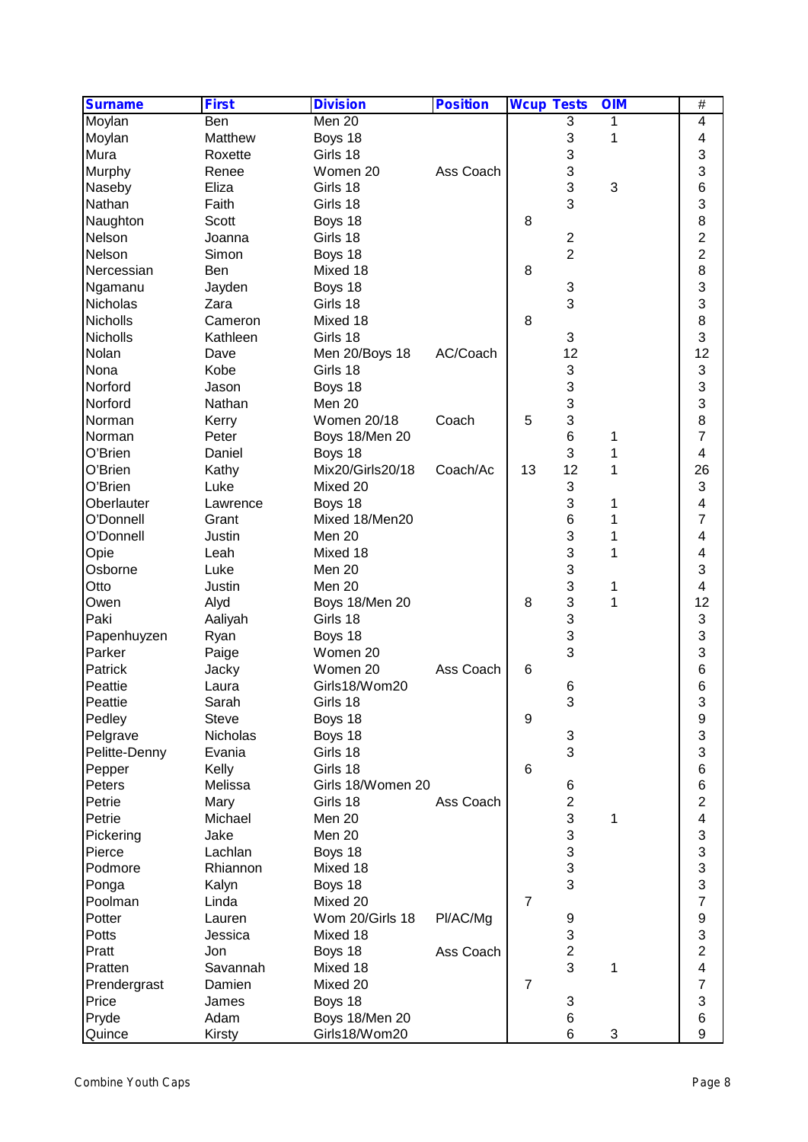| <b>Surname</b>    | <b>First</b>    | <b>Division</b>     | <b>Position</b> | <b>Wcup Tests</b> |                | <b>OIM</b> | $\overline{\#}$         |  |
|-------------------|-----------------|---------------------|-----------------|-------------------|----------------|------------|-------------------------|--|
| Moylan            | <b>Ben</b>      | Men 20              |                 |                   | 3              | 1          | 4                       |  |
| Moylan            | Matthew         | Boys 18             |                 |                   | 3              | 1          | 4                       |  |
| Mura              | Roxette         | Girls 18            |                 |                   | 3              |            | 3                       |  |
| Murphy            | Renee           | Women 20            | Ass Coach       |                   | 3              |            | 3                       |  |
| Naseby            | Eliza           | Girls 18            |                 |                   | 3              | 3          | 6                       |  |
| Nathan            | Faith           | Girls 18            |                 |                   | 3              |            | 3                       |  |
| Naughton          | Scott           | Boys 18             |                 | 8                 |                |            | 8                       |  |
| Nelson            | Joanna          | Girls 18            |                 |                   | $\mathbf{2}$   |            | $\overline{\mathbf{c}}$ |  |
| Nelson            | Simon           | Boys 18             |                 |                   | $\overline{2}$ |            | 2                       |  |
| Nercessian        | Ben             | Mixed 18            |                 | 8                 |                |            | 8                       |  |
| Ngamanu           | Jayden          | Boys 18             |                 |                   | 3              |            | 3                       |  |
| Nicholas          | Zara            | Girls 18            |                 |                   | 3              |            | 3                       |  |
| Nicholls          | Cameron         | Mixed 18            |                 | 8                 |                |            | 8                       |  |
| Nicholls          | Kathleen        | Girls 18            |                 |                   | 3              |            | 3                       |  |
| Nolan             | Dave            | Men 20/Boys 18      | AC/Coach        |                   | 12             |            | 12                      |  |
| Nona              | Kobe            | Girls 18            |                 |                   | 3              |            | 3                       |  |
| Norford           | Jason           | Boys 18             |                 |                   | 3              |            | 3                       |  |
| Norford           | Nathan          | Men 20              |                 |                   | 3              |            | 3                       |  |
| Norman            | Kerry           | <b>Women 20/18</b>  | Coach           | 5                 | 3              |            | 8                       |  |
| Norman            | Peter           | Boys 18/Men 20      |                 |                   | 6              | 1          | $\overline{7}$          |  |
| O'Brien           | Daniel          | Boys 18             |                 |                   | 3              | 1          | $\overline{\mathbf{4}}$ |  |
| O'Brien           | Kathy           | Mix20/Girls20/18    | Coach/Ac        | 13                | 12             | 1          | 26                      |  |
| O'Brien           | Luke            | Mixed 20            |                 |                   | 3              |            | 3                       |  |
| Oberlauter        | Lawrence        | Boys 18             |                 |                   | 3              | 1          | 4                       |  |
| O'Donnell         | Grant           | Mixed 18/Men20      |                 |                   | 6              | 1          | 7                       |  |
| O'Donnell         | Justin          | Men 20              |                 |                   | 3              | 1          | 4                       |  |
| Opie              | Leah            | Mixed 18            |                 |                   | 3              | 1          | 4                       |  |
| Osborne           | Luke            | Men 20              |                 |                   | 3              |            | 3                       |  |
| Otto              | Justin          | Men 20              |                 |                   | 3              | 1          | 4                       |  |
| Owen              | Alyd            | Boys 18/Men 20      |                 | 8                 | 3              | 1          | 12                      |  |
| Paki              | Aaliyah         | Girls 18            |                 |                   | 3              |            | 3                       |  |
| Papenhuyzen       | Ryan            | Boys 18             |                 |                   | 3              |            | 3                       |  |
| Parker            | Paige           | Women 20            |                 |                   | 3              |            | 3                       |  |
| Patrick           | Jacky           | Women 20            | Ass Coach       | $6\phantom{1}6$   |                |            | $\,$ 6 $\,$             |  |
| Peattie           | Laura           | Girls18/Wom20       |                 |                   | 6              |            | $\,6$                   |  |
| Peattie           | Sarah           | Girls 18            |                 |                   | 3              |            | <b>Q</b>                |  |
| Pedley            | <b>Steve</b>    | Boys 18             |                 | 9                 |                |            | J<br>9                  |  |
| Pelgrave          | Nicholas        | Boys 18             |                 |                   | 3              |            | 3                       |  |
| Pelitte-Denny     | Evania          | Girls 18            |                 |                   | 3              |            | 3                       |  |
| Pepper            | Kelly           | Girls 18            |                 | 6                 |                |            | $\,6$                   |  |
| Peters            | Melissa         | Girls 18/Women 20   |                 |                   | 6              |            | $\,6$                   |  |
| Petrie            |                 | Girls 18            | Ass Coach       |                   | $\overline{2}$ |            | $\overline{2}$          |  |
| Petrie            | Mary<br>Michael | Men 20              |                 |                   | 3              |            | $\overline{\mathbf{4}}$ |  |
|                   |                 |                     |                 |                   | 3              | 1          |                         |  |
| Pickering         | Jake            | Men 20              |                 |                   | 3              |            | 3<br>3                  |  |
| Pierce<br>Podmore | Lachlan         | Boys 18<br>Mixed 18 |                 |                   | 3              |            | 3                       |  |
|                   | Rhiannon        |                     |                 |                   | 3              |            |                         |  |
| Ponga             | Kalyn           | Boys 18             |                 |                   |                |            | 3                       |  |
| Poolman           | Linda           | Mixed 20            |                 | $\overline{7}$    |                |            | $\overline{7}$          |  |
| Potter            | Lauren          | Wom 20/Girls 18     | Pl/AC/Mg        |                   | 9              |            | 9                       |  |
| Potts             | Jessica         | Mixed 18            |                 |                   | 3              |            | 3                       |  |
| Pratt             | Jon             | Boys 18             | Ass Coach       |                   | $\overline{2}$ |            | $\overline{2}$          |  |
| Pratten           | Savannah        | Mixed 18            |                 |                   | 3              | 1          | 4                       |  |
| Prendergrast      | Damien          | Mixed 20            |                 | $\overline{7}$    |                |            | $\overline{7}$          |  |
| Price             | James           | Boys 18             |                 |                   | 3              |            | 3                       |  |
| Pryde             | Adam            | Boys 18/Men 20      |                 |                   | 6              |            | $\,6$                   |  |
| Quince            | Kirsty          | Girls18/Wom20       |                 |                   | 6              | 3          | 9                       |  |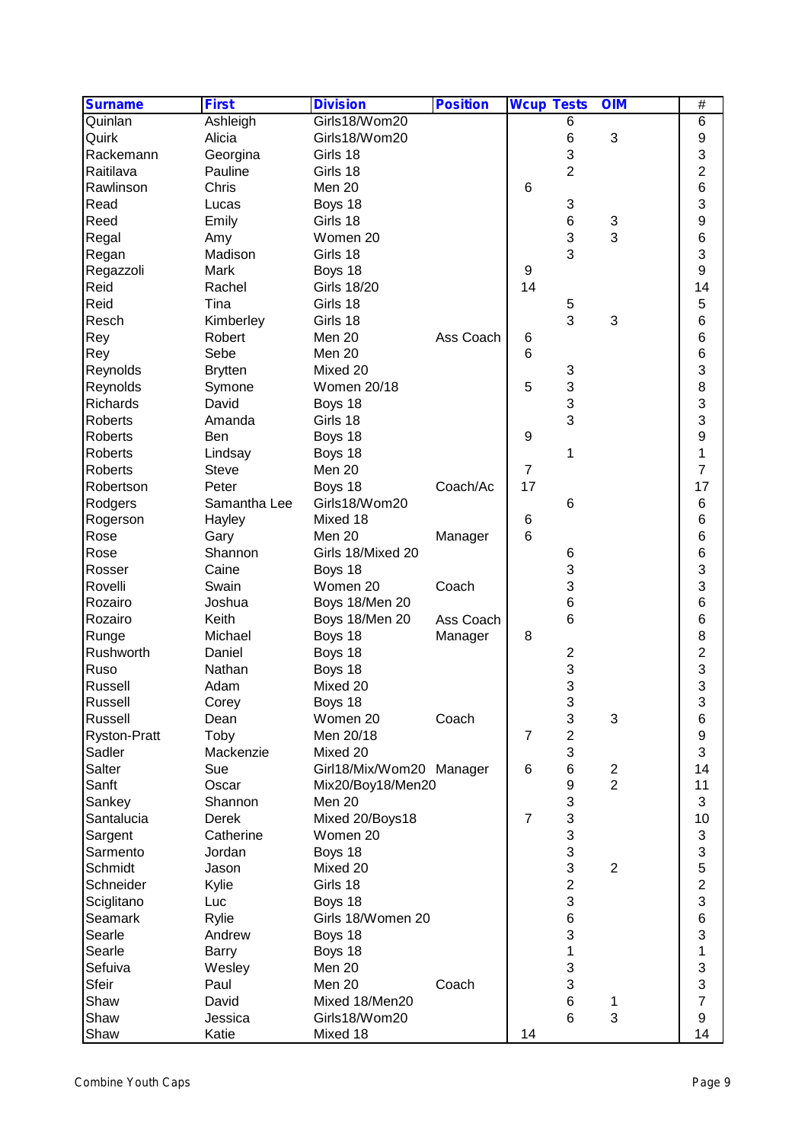| <b>Surname</b>      | <b>First</b>   | <b>Division</b>          | <b>Position</b> | <b>Wcup Tests</b> |                           | <b>OIM</b>              | $\overline{\#}$ |
|---------------------|----------------|--------------------------|-----------------|-------------------|---------------------------|-------------------------|-----------------|
| Quinlan             | Ashleigh       | Girls18/Wom20            |                 |                   | 6                         |                         | $6\phantom{1}6$ |
| Quirk               | Alicia         | Girls18/Wom20            |                 |                   | 6                         | 3                       | 9               |
| Rackemann           | Georgina       | Girls 18                 |                 |                   | 3                         |                         | 3               |
| Raitilava           | Pauline        | Girls 18                 |                 |                   | $\overline{2}$            |                         | $\overline{c}$  |
| Rawlinson           | Chris          | Men 20                   |                 | 6                 |                           |                         | $6\phantom{a}$  |
| Read                | Lucas          | Boys 18                  |                 |                   | 3                         |                         | 3               |
| Reed                | Emily          | Girls 18                 |                 |                   | 6                         | 3                       | 9               |
| Regal               | Amy            | Women 20                 |                 |                   | 3                         | 3                       | 6               |
| Regan               | Madison        | Girls 18                 |                 |                   | 3                         |                         | 3               |
| Regazzoli           | Mark           | Boys 18                  |                 | 9                 |                           |                         | 9               |
| Reid                | Rachel         | <b>Girls 18/20</b>       |                 | 14                |                           |                         | 14              |
| Reid                | Tina           | Girls 18                 |                 |                   | 5                         |                         | 5               |
| Resch               | Kimberley      | Girls 18                 |                 |                   | 3                         | 3                       | 6               |
| Rey                 | Robert         | Men 20                   | Ass Coach       | 6                 |                           |                         | 6               |
|                     | Sebe           | Men 20                   |                 | 6                 |                           |                         | 6               |
| Rey                 |                |                          |                 |                   |                           |                         |                 |
| Reynolds            | <b>Brytten</b> | Mixed 20                 |                 |                   | 3                         |                         | 3               |
| Reynolds            | Symone         | <b>Women 20/18</b>       |                 | 5                 | 3                         |                         | 8               |
| Richards            | David          | Boys 18                  |                 |                   | 3                         |                         | 3               |
| <b>Roberts</b>      | Amanda         | Girls 18                 |                 |                   | 3                         |                         | 3               |
| Roberts             | Ben            | Boys 18                  |                 | 9                 |                           |                         | 9               |
| Roberts             | Lindsay        | Boys 18                  |                 |                   | 1                         |                         | 1               |
| Roberts             | <b>Steve</b>   | Men 20                   |                 | $\overline{7}$    |                           |                         | $\overline{7}$  |
| Robertson           | Peter          | Boys 18                  | Coach/Ac        | 17                |                           |                         | 17              |
| Rodgers             | Samantha Lee   | Girls18/Wom20            |                 |                   | 6                         |                         | $6\phantom{1}6$ |
| Rogerson            | Hayley         | Mixed 18                 |                 | 6                 |                           |                         | 6               |
| Rose                | Gary           | Men 20                   | Manager         | $6\phantom{1}$    |                           |                         | 6               |
| Rose                | Shannon        | Girls 18/Mixed 20        |                 |                   | 6                         |                         | $\,6$           |
| Rosser              | Caine          | Boys 18                  |                 |                   | 3                         |                         | 3               |
| Rovelli             | Swain          | Women 20                 | Coach           |                   | 3                         |                         | 3               |
| Rozairo             | Joshua         | Boys 18/Men 20           |                 |                   | $6\phantom{1}$            |                         | 6               |
| Rozairo             | Keith          | Boys 18/Men 20           | Ass Coach       |                   | 6                         |                         | 6               |
| Runge               | Michael        | Boys 18                  | Manager         | 8                 |                           |                         | 8               |
| Rushworth           | Daniel         | Boys 18                  |                 |                   | $\overline{2}$            |                         | $\overline{c}$  |
| Ruso                | Nathan         | Boys 18                  |                 |                   | 3                         |                         |                 |
| Russell             | Adam           | Mixed 20                 |                 |                   | 3                         |                         | $\frac{3}{3}$   |
|                     |                |                          |                 |                   | 3                         |                         | 3               |
| Russell             | Corey          | Boys 18                  |                 |                   |                           |                         |                 |
| Russell             | Dean           | Women 20                 | Coach           |                   | $\ensuremath{\mathsf{3}}$ | 3                       | 6               |
| <b>Ryston-Pratt</b> | Toby           | Men 20/18                |                 | $\overline{7}$    | $\overline{\mathbf{c}}$   |                         | 9               |
| Sadler              | Mackenzie      | Mixed 20                 |                 |                   | 3                         |                         | 3               |
| Salter              | Sue            | Girl18/Mix/Wom20 Manager |                 | 6                 | 6                         | $\overline{\mathbf{c}}$ | 14              |
| Sanft               | Oscar          | Mix20/Boy18/Men20        |                 |                   | 9                         | $\overline{2}$          | 11              |
| Sankey              | Shannon        | Men 20                   |                 |                   | 3                         |                         | 3               |
| Santalucia          | Derek          | Mixed 20/Boys18          |                 | $\overline{7}$    | 3                         |                         | 10              |
| Sargent             | Catherine      | Women 20                 |                 |                   | 3                         |                         | 3               |
| Sarmento            | Jordan         | Boys 18                  |                 |                   | 3                         |                         | 3               |
| Schmidt             | Jason          | Mixed 20                 |                 |                   | 3                         | $\overline{2}$          | 5               |
| Schneider           | Kylie          | Girls 18                 |                 |                   | $\overline{c}$            |                         | $\overline{c}$  |
| Sciglitano          | Luc            | Boys 18                  |                 |                   | 3                         |                         | 3               |
| Seamark             | Rylie          | Girls 18/Women 20        |                 |                   | $\,6$                     |                         | $6\phantom{1}6$ |
| Searle              | Andrew         | Boys 18                  |                 |                   | 3                         |                         | 3               |
| Searle              | Barry          | Boys 18                  |                 |                   | 1                         |                         | 1               |
| Sefuiva             | Wesley         | Men 20                   |                 |                   | 3                         |                         | 3               |
| <b>Sfeir</b>        | Paul           | Men 20                   | Coach           |                   | 3                         |                         | 3               |
| Shaw                | David          | Mixed 18/Men20           |                 |                   | $\,6$                     |                         | $\overline{7}$  |
| Shaw                | Jessica        | Girls18/Wom20            |                 |                   | $6\phantom{1}6$           | 1<br>3                  | $9$             |
|                     |                |                          |                 |                   |                           |                         |                 |
| Shaw                | Katie          | Mixed 18                 |                 | 14                |                           |                         | 14              |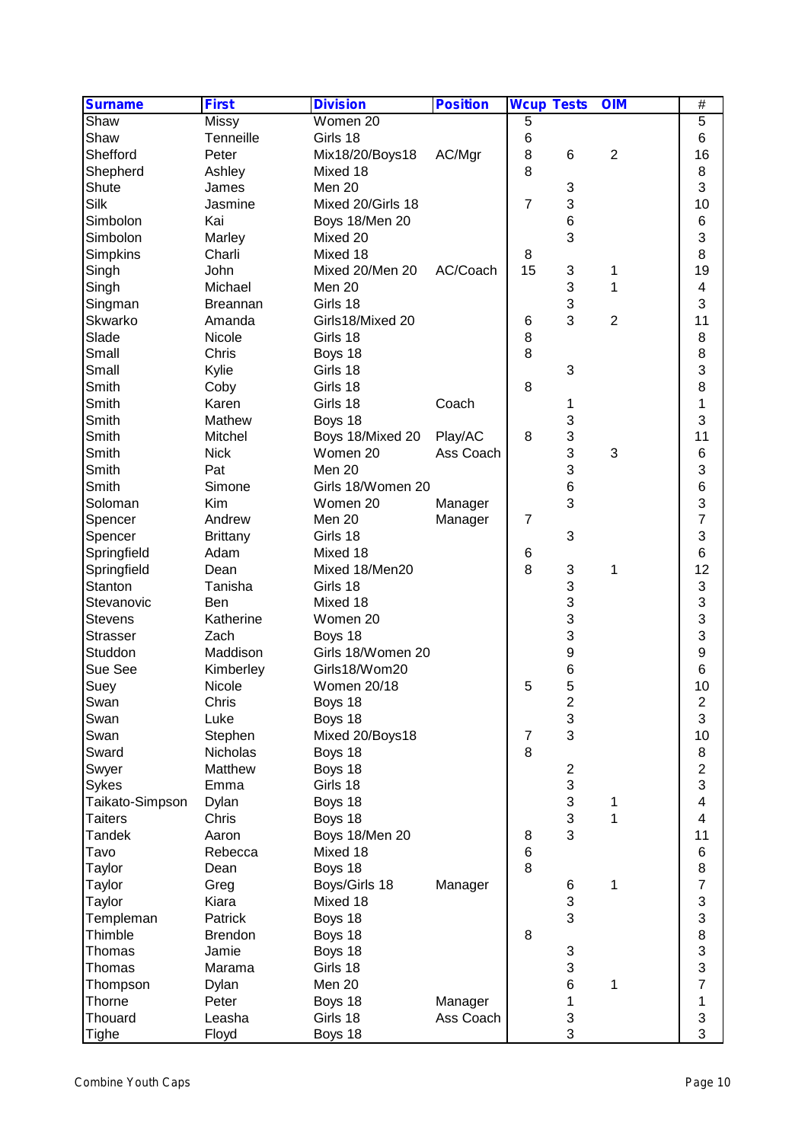| <b>Surname</b>  | <b>First</b>    | <b>Division</b>    | <b>Position</b> | <b>Wcup Tests</b> |                           | <b>OIM</b>     | #                       |  |
|-----------------|-----------------|--------------------|-----------------|-------------------|---------------------------|----------------|-------------------------|--|
| Shaw            | <b>Missy</b>    | Women 20           |                 | 5                 |                           |                | 5                       |  |
| Shaw            | Tenneille       | Girls 18           |                 | 6                 |                           |                | $6\phantom{1}6$         |  |
| Shefford        | Peter           | Mix18/20/Boys18    | AC/Mgr          | $\bf 8$           | 6                         | $\overline{2}$ | 16                      |  |
| Shepherd        | Ashley          | Mixed 18           |                 | 8                 |                           |                | 8                       |  |
| Shute           | James           | Men 20             |                 |                   | 3                         |                | 3                       |  |
| Silk            | Jasmine         | Mixed 20/Girls 18  |                 | $\overline{7}$    | 3                         |                | 10                      |  |
| Simbolon        | Kai             | Boys 18/Men 20     |                 |                   | $\,6$                     |                | $6\phantom{1}6$         |  |
| Simbolon        | Marley          | Mixed 20           |                 |                   | 3                         |                | 3                       |  |
| Simpkins        | Charli          | Mixed 18           |                 | 8                 |                           |                | 8                       |  |
| Singh           | John            | Mixed 20/Men 20    | AC/Coach        | 15                | 3                         | 1              | 19                      |  |
| Singh           | Michael         | Men 20             |                 |                   | 3                         | 1              | 4                       |  |
| Singman         | <b>Breannan</b> | Girls 18           |                 |                   | 3                         |                | 3                       |  |
| Skwarko         | Amanda          | Girls18/Mixed 20   |                 | 6                 | 3                         | $\overline{2}$ | 11                      |  |
| Slade           | Nicole          | Girls 18           |                 | 8                 |                           |                | 8                       |  |
| Small           | Chris           | Boys 18            |                 | 8                 |                           |                | 8                       |  |
| Small           | Kylie           | Girls 18           |                 |                   | 3                         |                | 3                       |  |
| Smith           | Coby            | Girls 18           |                 | 8                 |                           |                | 8                       |  |
| Smith           | Karen           | Girls 18           | Coach           |                   | 1                         |                | 1                       |  |
| Smith           | Mathew          | Boys 18            |                 |                   | 3                         |                | 3                       |  |
| Smith           | Mitchel         | Boys 18/Mixed 20   | Play/AC         | 8                 | 3                         |                | 11                      |  |
| Smith           | <b>Nick</b>     | Women 20           | Ass Coach       |                   | 3                         | 3              | $\,6$                   |  |
| Smith           | Pat             | Men 20             |                 |                   | 3                         |                | 3                       |  |
| Smith           | Simone          | Girls 18/Women 20  |                 |                   | $6\phantom{1}$            |                | $6\phantom{a}$          |  |
| Soloman         | Kim             | Women 20           |                 |                   | 3                         |                | 3                       |  |
|                 | Andrew          |                    | Manager         |                   |                           |                | $\overline{7}$          |  |
| Spencer         |                 | Men 20             | Manager         | $\overline{7}$    |                           |                | 3                       |  |
| Spencer         | <b>Brittany</b> | Girls 18           |                 |                   | 3                         |                | $6\phantom{1}6$         |  |
| Springfield     | Adam            | Mixed 18           |                 | 6<br>8            |                           |                |                         |  |
| Springfield     | Dean            | Mixed 18/Men20     |                 |                   | 3<br>3                    | 1              | 12                      |  |
| Stanton         | Tanisha         | Girls 18           |                 |                   |                           |                | 3                       |  |
| Stevanovic      | Ben             | Mixed 18           |                 |                   | 3                         |                | 3                       |  |
| <b>Stevens</b>  | Katherine       | Women 20           |                 |                   | 3                         |                | 3                       |  |
| <b>Strasser</b> | Zach            | Boys 18            |                 |                   | 3                         |                | 3                       |  |
| Studdon         | Maddison        | Girls 18/Women 20  |                 |                   | 9                         |                | 9                       |  |
| Sue See         | Kimberley       | Girls18/Wom20      |                 |                   | 6                         |                | $\,6$                   |  |
| Suey            | Nicole          | <b>Women 20/18</b> |                 | 5                 | 5<br>C                    |                | 10                      |  |
| Swan            | Chris           | Boys 18            |                 |                   | ے                         |                | $\overline{\mathbf{c}}$ |  |
| Swan            | Luke            | Boys 18            |                 |                   | $\ensuremath{\mathsf{3}}$ |                | 3                       |  |
| Swan            | Stephen         | Mixed 20/Boys18    |                 | $\overline{7}$    | 3                         |                | 10                      |  |
| Sward           | Nicholas        | Boys 18            |                 | 8                 |                           |                | 8                       |  |
| Swyer           | Matthew         | Boys 18            |                 |                   | $\boldsymbol{2}$          |                | $\overline{c}$          |  |
| Sykes           | Emma            | Girls 18           |                 |                   | 3                         |                | 3                       |  |
| Taikato-Simpson | Dylan           | Boys 18            |                 |                   | 3                         | 1              | $\overline{\mathbf{4}}$ |  |
| <b>Taiters</b>  | Chris           | Boys 18            |                 |                   | 3                         | 1              | 4                       |  |
| <b>Tandek</b>   | Aaron           | Boys 18/Men 20     |                 | 8                 | 3                         |                | 11                      |  |
| Tavo            | Rebecca         | Mixed 18           |                 | 6                 |                           |                | $\,6$                   |  |
| Taylor          | Dean            | Boys 18            |                 | 8                 |                           |                | 8                       |  |
| Taylor          | Greg            | Boys/Girls 18      | Manager         |                   | 6                         | 1              | $\overline{7}$          |  |
| Taylor          | Kiara           | Mixed 18           |                 |                   | 3                         |                | 3                       |  |
| Templeman       | Patrick         | Boys 18            |                 |                   | 3                         |                | 3                       |  |
| Thimble         | <b>Brendon</b>  | Boys 18            |                 | 8                 |                           |                | 8                       |  |
| Thomas          | Jamie           | Boys 18            |                 |                   | 3                         |                | $\frac{3}{3}$           |  |
| Thomas          | Marama          | Girls 18           |                 |                   | 3                         |                |                         |  |
| Thompson        | Dylan           | Men 20             |                 |                   | 6                         | 1              | $\overline{7}$          |  |
| Thorne          | Peter           | Boys 18            | Manager         |                   | 1                         |                | 1                       |  |
| Thouard         | Leasha          | Girls 18           | Ass Coach       |                   | 3                         |                | 3                       |  |
| Tighe           | Floyd           | Boys 18            |                 |                   | 3                         |                | 3                       |  |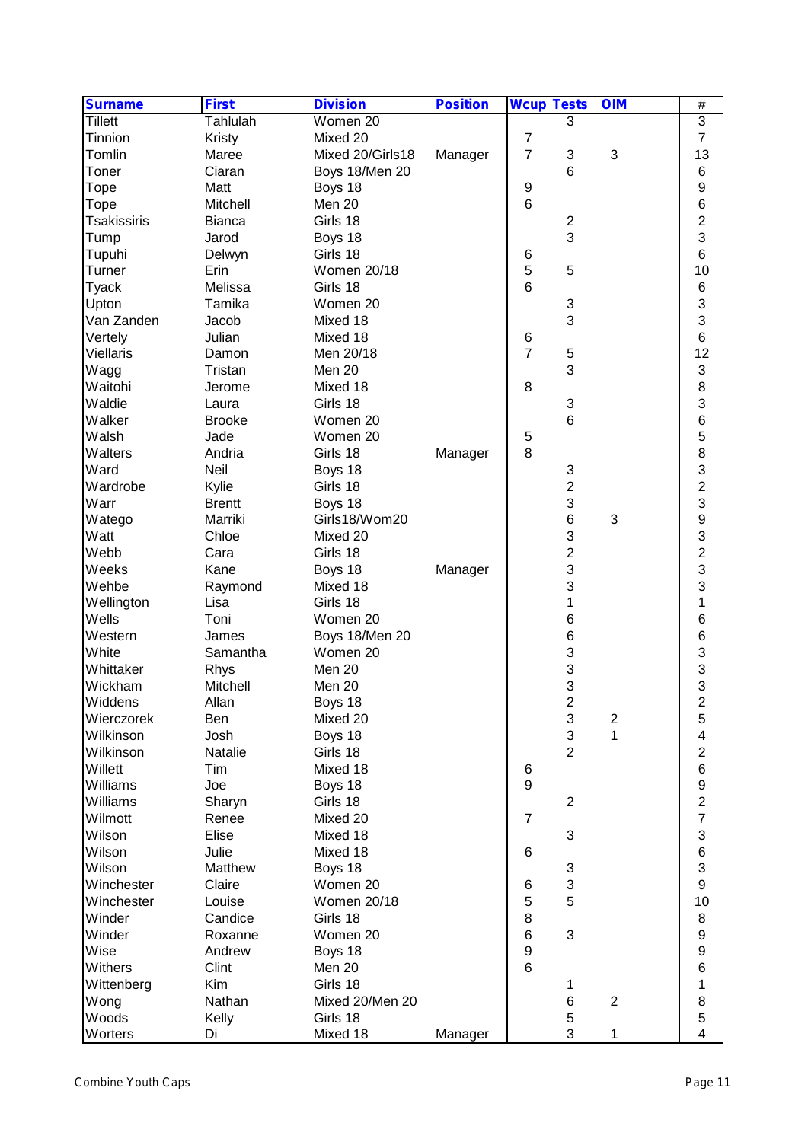| <b>Surname</b>     | <b>First</b>    | <b>Division</b>    | <b>Position</b> | <b>Wcup Tests</b>       | <b>OIM</b>                | #                                          |
|--------------------|-----------------|--------------------|-----------------|-------------------------|---------------------------|--------------------------------------------|
| <b>Tillett</b>     | <b>Tahlulah</b> | Women 20           |                 | 3                       |                           | $\overline{3}$                             |
| Tinnion            | Kristy          | Mixed 20           |                 | 7                       |                           | $\overline{7}$                             |
| Tomlin             | Maree           | Mixed 20/Girls18   | Manager         | $\overline{7}$<br>3     | $\ensuremath{\mathsf{3}}$ | 13                                         |
| Toner              | Ciaran          | Boys 18/Men 20     |                 | 6                       |                           | 6                                          |
| Tope               | Matt            | Boys 18            |                 | 9                       |                           | 9                                          |
| Tope               | Mitchell        | Men 20             |                 | $6\phantom{1}$          |                           | $6\phantom{a}$                             |
| <b>Tsakissiris</b> | <b>Bianca</b>   | Girls 18           |                 | $\overline{c}$          |                           | $\overline{c}$                             |
| Tump               | Jarod           | Boys 18            |                 | 3                       |                           | 3                                          |
| Tupuhi             | Delwyn          | Girls 18           |                 | 6                       |                           | 6                                          |
| Turner             | Erin            | <b>Women 20/18</b> |                 | 5<br>5                  |                           | 10                                         |
| <b>Tyack</b>       | Melissa         | Girls 18           |                 | 6                       |                           | $\,6$                                      |
| Upton              | Tamika          | Women 20           |                 | 3                       |                           | 3                                          |
| Van Zanden         | Jacob           | Mixed 18           |                 | 3                       |                           | 3                                          |
| Vertely            | Julian          | Mixed 18           |                 | 6                       |                           | $6\phantom{1}6$                            |
| <b>Viellaris</b>   | Damon           | Men 20/18          |                 | $\overline{7}$<br>5     |                           | 12                                         |
| Wagg               | Tristan         | Men 20             |                 | 3                       |                           | 3                                          |
| Waitohi            | Jerome          | Mixed 18           |                 | 8                       |                           | 8                                          |
| Waldie             |                 | Girls 18           |                 | 3                       |                           | 3                                          |
| Walker             | Laura           |                    |                 |                         |                           | $\,6$                                      |
|                    | <b>Brooke</b>   | Women 20           |                 | 6                       |                           |                                            |
| Walsh              | Jade            | Women 20           |                 | 5                       |                           | 5                                          |
| Walters            | Andria          | Girls 18           | Manager         | 8                       |                           | 8                                          |
| Ward               | Neil            | Boys 18            |                 | 3                       |                           | 3                                          |
| Wardrobe           | Kylie           | Girls 18           |                 | $\overline{c}$          |                           | $\overline{c}$                             |
| Warr               | <b>Brentt</b>   | Boys 18            |                 | 3                       |                           | 3                                          |
| Watego             | Marriki         | Girls18/Wom20      |                 | 6                       | 3                         | $\begin{array}{c} 9 \\ 3 \\ 2 \end{array}$ |
| Watt               | Chloe           | Mixed 20           |                 | 3                       |                           |                                            |
| Webb               | Cara            | Girls 18           |                 | $\overline{2}$          |                           |                                            |
| Weeks              | Kane            | Boys 18            | Manager         | 3                       |                           | 3                                          |
| Wehbe              | Raymond         | Mixed 18           |                 | 3                       |                           | 3                                          |
| Wellington         | Lisa            | Girls 18           |                 | 1                       |                           | 1                                          |
| Wells              | Toni            | Women 20           |                 | 6                       |                           | 6                                          |
| Western            | James           | Boys 18/Men 20     |                 | 6                       |                           | 6                                          |
| White              | Samantha        | Women 20           |                 | 3                       |                           | $\begin{array}{c} 3 \\ 3 \\ 3 \end{array}$ |
| Whittaker          | Rhys            | Men 20             |                 | 3                       |                           |                                            |
| Wickham            | Mitchell        | Men 20             |                 | 3                       |                           |                                            |
| Widdens            | Allan           | Boys 18            |                 | $\overline{\mathbf{c}}$ |                           | $\overline{c}$                             |
| Wierczorek         | Ben             | Mixed 20           |                 | 3                       | $\overline{c}$            | 5                                          |
| Wilkinson          | Josh            | Boys 18            |                 | 3                       | 1                         | 4                                          |
| Wilkinson          | Natalie         | Girls 18           |                 | $\overline{2}$          |                           | $\overline{c}$                             |
| Willett            | Tim             | Mixed 18           |                 | 6                       |                           | $\,6$                                      |
| Williams           | Joe             | Boys 18            |                 | $\boldsymbol{9}$        |                           | $\boldsymbol{9}$                           |
| Williams           | Sharyn          | Girls 18           |                 | $\overline{2}$          |                           | $\overline{c}$                             |
| Wilmott            | Renee           | Mixed 20           |                 | $\overline{7}$          |                           | $\overline{7}$                             |
| Wilson             | Elise           | Mixed 18           |                 | 3                       |                           | 3                                          |
| Wilson             | Julie           | Mixed 18           |                 | 6                       |                           | $\overline{6}$                             |
| Wilson             | Matthew         | Boys 18            |                 | 3                       |                           | 3                                          |
| Winchester         | Claire          | Women 20           |                 | 3<br>6                  |                           | $\boldsymbol{9}$                           |
| Winchester         | Louise          | Women 20/18        |                 | 5<br>5                  |                           | 10                                         |
| Winder             | Candice         | Girls 18           |                 | 8                       |                           | 8                                          |
| Winder             | Roxanne         | Women 20           |                 | $\,6$<br>3              |                           | $\boldsymbol{9}$                           |
| Wise               | Andrew          | Boys 18            |                 | 9                       |                           | 9                                          |
| Withers            | Clint           | Men 20             |                 | $6\phantom{1}$          |                           | $\overline{6}$                             |
| Wittenberg         | Kim             | Girls 18           |                 | 1                       |                           | 1                                          |
| Wong               | Nathan          | Mixed 20/Men 20    |                 | 6                       | $\overline{2}$            | $\bf8$                                     |
| Woods              | Kelly           | Girls 18           |                 | 5                       |                           | $\overline{5}$                             |
| Worters            | Di              | Mixed 18           | Manager         | 3                       | 1                         | $\overline{4}$                             |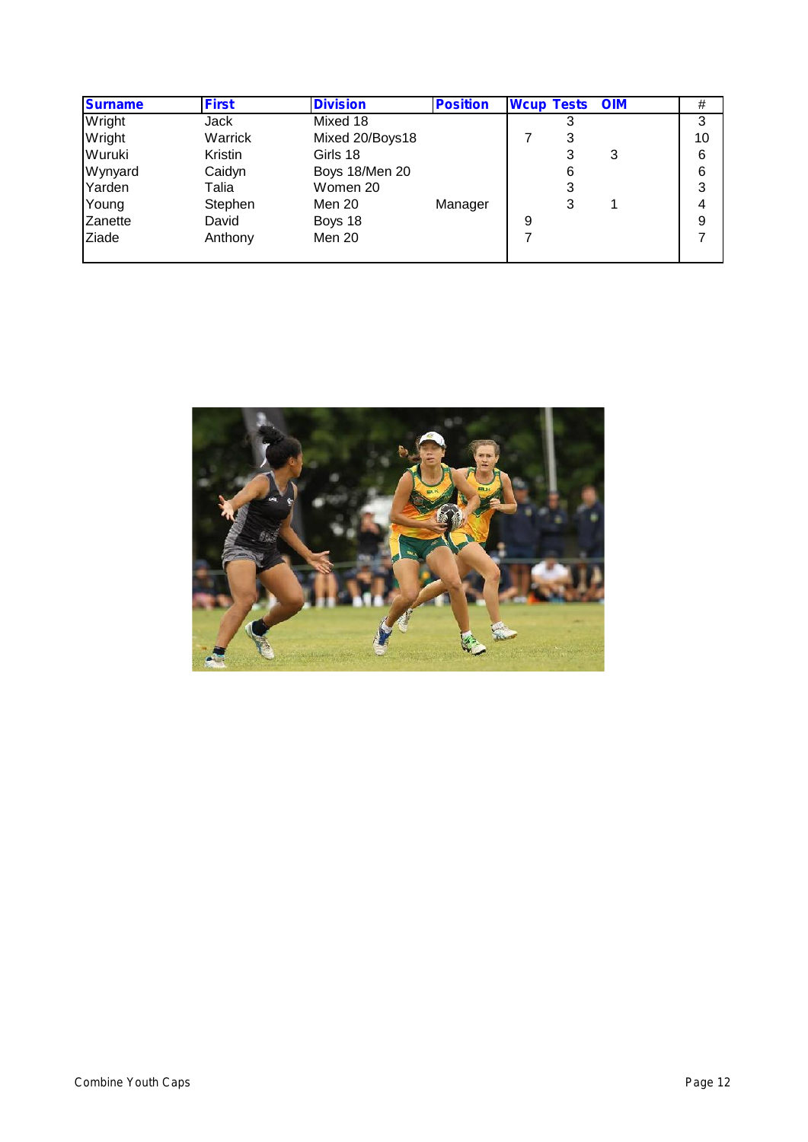| <b>Surname</b> | <b>First</b> | <b>Division</b> | <b>Position</b> | <b>Wcup Tests OIM</b> |   |   | #  |
|----------------|--------------|-----------------|-----------------|-----------------------|---|---|----|
| Wright         | Jack         | Mixed 18        |                 |                       |   |   | 3  |
| Wright         | Warrick      | Mixed 20/Boys18 |                 |                       | 3 |   | 10 |
| Wuruki         | Kristin      | Girls 18        |                 |                       | 3 | 3 | 6  |
| Wynyard        | Caidyn       | Boys 18/Men 20  |                 |                       | 6 |   | 6  |
| Yarden         | Talia        | Women 20        |                 |                       | 3 |   | 3  |
| Young          | Stephen      | Men 20          | Manager         |                       | 3 |   | 4  |
| Zanette        | David        | Boys 18         |                 | 9                     |   |   | 9  |
| Ziade          | Anthony      | Men 20          |                 |                       |   |   |    |
|                |              |                 |                 |                       |   |   |    |

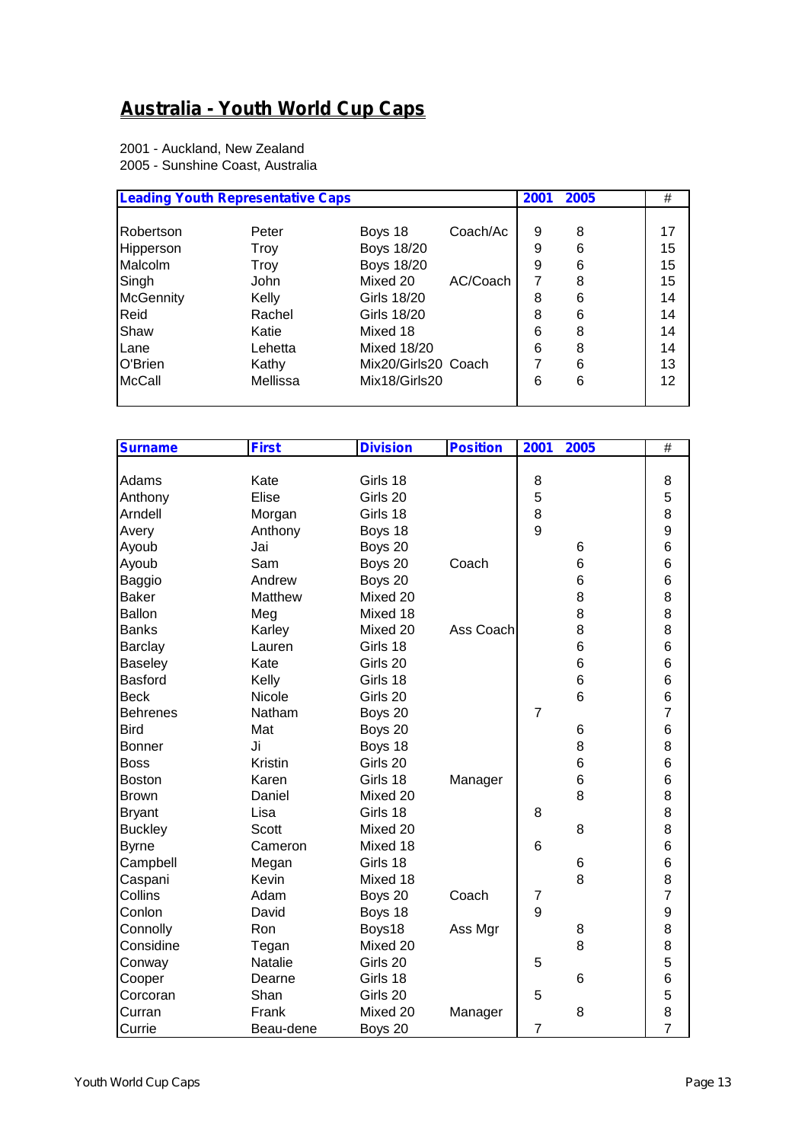# **Australia - Youth World Cup Caps**

2001 - Auckland, New Zealand 2005 - Sunshine Coast, Australia

|                  | <b>Leading Youth Representative Caps</b> |                     |          | 2001 | 2005 | #               |
|------------------|------------------------------------------|---------------------|----------|------|------|-----------------|
| Robertson        | Peter                                    | Boys 18             | Coach/Ac | 9    | 8    | 17              |
| Hipperson        | Troy                                     | <b>Boys 18/20</b>   |          | 9    | 6    | 15 <sub>1</sub> |
| Malcolm          | Troy                                     | <b>Boys 18/20</b>   |          | 9    | 6    | 15              |
| Singh            | <b>John</b>                              | Mixed 20            | AC/Coach | 7    | 8    | 15              |
| <b>McGennity</b> | Kelly                                    | Girls 18/20         |          | 8    | 6    | 14              |
| Reid             | Rachel                                   | Girls 18/20         |          | 8    | 6    | 14              |
| Shaw             | Katie                                    | Mixed 18            |          | 6    | 8    | 14              |
| Lane             | Lehetta                                  | <b>Mixed 18/20</b>  |          | 6    | 8    | 14              |
| O'Brien          | Kathy                                    | Mix20/Girls20 Coach |          |      | 6    | 13              |
| <b>McCall</b>    | Mellissa                                 | Mix18/Girls20       |          | 6    | 6    | 12              |
|                  |                                          |                     |          |      |      |                 |

| <b>Surname</b>  | <b>First</b> | <b>Division</b> | <b>Position</b> | 2001           | 2005 | #              |
|-----------------|--------------|-----------------|-----------------|----------------|------|----------------|
|                 |              |                 |                 |                |      |                |
| Adams           | Kate         | Girls 18        |                 | 8              |      | 8              |
| Anthony         | Elise        | Girls 20        |                 | 5              |      | 5              |
| Arndell         | Morgan       | Girls 18        |                 | 8              |      | 8              |
| Avery           | Anthony      | Boys 18         |                 | 9              |      | 9              |
| Ayoub           | Jai          | Boys 20         |                 |                | 6    | 6              |
| Ayoub           | Sam          | Boys 20         | Coach           |                | 6    | 6              |
| Baggio          | Andrew       | Boys 20         |                 |                | 6    | 6              |
| <b>Baker</b>    | Matthew      | Mixed 20        |                 |                | 8    | 8              |
| Ballon          | Meg          | Mixed 18        |                 |                | 8    | 8              |
| <b>Banks</b>    | Karley       | Mixed 20        | Ass Coach       |                | 8    | 8              |
| <b>Barclay</b>  | Lauren       | Girls 18        |                 |                | 6    | 6              |
| <b>Baseley</b>  | Kate         | Girls 20        |                 |                | 6    | 6              |
| <b>Basford</b>  | Kelly        | Girls 18        |                 |                | 6    | 6              |
| <b>Beck</b>     | Nicole       | Girls 20        |                 |                | 6    | 6              |
| <b>Behrenes</b> | Natham       | Boys 20         |                 | $\overline{7}$ |      | $\overline{7}$ |
| <b>Bird</b>     | Mat          | Boys 20         |                 |                | 6    | 6              |
| <b>Bonner</b>   | Ji           | Boys 18         |                 |                | 8    | 8              |
| <b>Boss</b>     | Kristin      | Girls 20        |                 |                | 6    | 6              |
| <b>Boston</b>   | Karen        | Girls 18        | Manager         |                | 6    | 6              |
| <b>Brown</b>    | Daniel       | Mixed 20        |                 |                | 8    | 8              |
| <b>Bryant</b>   | Lisa         | Girls 18        |                 | 8              |      | 8              |
| <b>Buckley</b>  | <b>Scott</b> | Mixed 20        |                 |                | 8    | 8              |
| <b>Byrne</b>    | Cameron      | Mixed 18        |                 | 6              |      | 6              |
| Campbell        | Megan        | Girls 18        |                 |                | 6    | 6              |
| Caspani         | Kevin        | Mixed 18        |                 |                | 8    | 8              |
| Collins         | Adam         | Boys 20         | Coach           | 7              |      | $\overline{7}$ |
| Conlon          | David        | Boys 18         |                 | 9              |      | 9              |
| Connolly        | Ron          | Boys18          | Ass Mgr         |                | 8    | 8              |
| Considine       | Tegan        | Mixed 20        |                 |                | 8    | 8              |
| Conway          | Natalie      | Girls 20        |                 | 5              |      | 5              |
| Cooper          | Dearne       | Girls 18        |                 |                | 6    | 6              |
| Corcoran        | Shan         | Girls 20        |                 | 5              |      | 5              |
| Curran          | Frank        | Mixed 20        | Manager         |                | 8    | 8              |
| Currie          | Beau-dene    | Boys 20         |                 | $\overline{7}$ |      | $\overline{7}$ |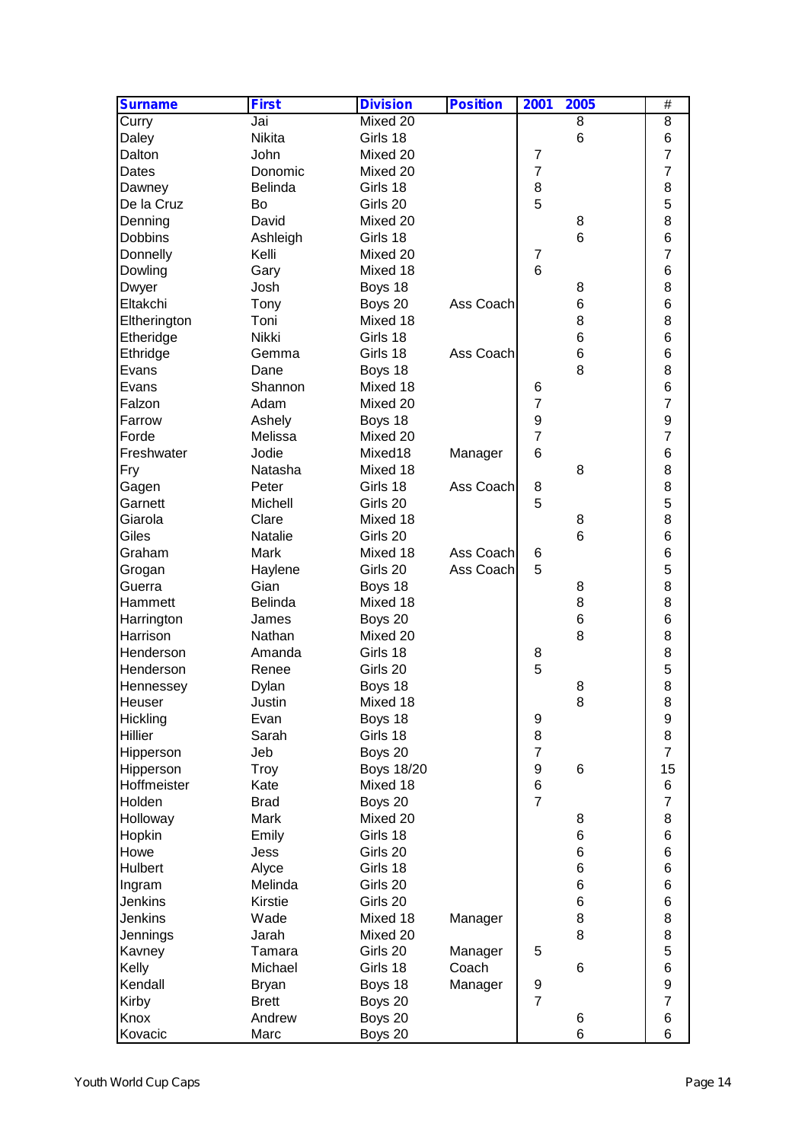| <b>Surname</b> | <b>First</b>  | <b>Division</b>   | <b>Position</b> | 2001             | 2005            | $\overline{\#}$  |  |
|----------------|---------------|-------------------|-----------------|------------------|-----------------|------------------|--|
| Curry          | Jai           | Mixed 20          |                 |                  | 8               | 8                |  |
| Daley          | <b>Nikita</b> | Girls 18          |                 |                  | $6\phantom{1}6$ | 6                |  |
| Dalton         | John          | Mixed 20          |                 | $\overline{7}$   |                 | $\overline{7}$   |  |
| Dates          | Donomic       | Mixed 20          |                 | $\overline{7}$   |                 | $\overline{7}$   |  |
| Dawney         | Belinda       | Girls 18          |                 | 8                |                 | 8                |  |
| De la Cruz     | Bo            | Girls 20          |                 | 5                |                 | 5                |  |
| Denning        | David         | Mixed 20          |                 |                  | 8               | 8                |  |
| Dobbins        | Ashleigh      | Girls 18          |                 |                  | $6\phantom{1}6$ | 6                |  |
| Donnelly       | Kelli         | Mixed 20          |                 | $\overline{7}$   |                 | $\overline{7}$   |  |
| Dowling        | Gary          | Mixed 18          |                 | $6\phantom{1}$   |                 | $\,6$            |  |
| Dwyer          | Josh          | Boys 18           |                 |                  | 8               | 8                |  |
| Eltakchi       | Tony          | Boys 20           | Ass Coach       |                  | 6               | $\,6$            |  |
| Eltherington   | Toni          | Mixed 18          |                 |                  | 8               | 8                |  |
| Etheridge      | Nikki         | Girls 18          |                 |                  | 6               | 6                |  |
| Ethridge       | Gemma         | Girls 18          | Ass Coach       |                  | 6               | 6                |  |
| Evans          | Dane          | Boys 18           |                 |                  | 8               | 8                |  |
| Evans          | Shannon       | Mixed 18          |                 | 6                |                 | 6                |  |
| Falzon         | Adam          | Mixed 20          |                 | $\overline{7}$   |                 | $\overline{7}$   |  |
| Farrow         | Ashely        | Boys 18           |                 | $\boldsymbol{9}$ |                 | $\boldsymbol{9}$ |  |
| Forde          | Melissa       | Mixed 20          |                 | $\overline{7}$   |                 | $\overline{7}$   |  |
| Freshwater     | Jodie         | Mixed18           | Manager         | 6                |                 | 6                |  |
| Fry            | Natasha       | Mixed 18          |                 |                  | 8               | 8                |  |
| Gagen          | Peter         | Girls 18          | Ass Coach       | 8                |                 | 8                |  |
| Garnett        | Michell       | Girls 20          |                 | 5                |                 | 5                |  |
| Giarola        | Clare         | Mixed 18          |                 |                  | 8               | 8                |  |
| Giles          | Natalie       | Girls 20          |                 |                  | 6               | 6                |  |
| Graham         | Mark          | Mixed 18          | Ass Coach       | 6                |                 | 6                |  |
| Grogan         | Haylene       | Girls 20          | Ass Coach       | 5                |                 | 5                |  |
| Guerra         | Gian          | Boys 18           |                 |                  | 8               | 8                |  |
| Hammett        | Belinda       | Mixed 18          |                 |                  | 8               | 8                |  |
| Harrington     | James         | Boys 20           |                 |                  | 6               | 6                |  |
| Harrison       | Nathan        | Mixed 20          |                 |                  | 8               | 8                |  |
| Henderson      | Amanda        | Girls 18          |                 | 8                |                 | 8                |  |
| Henderson      | Renee         | Girls 20          |                 | 5                |                 | 5                |  |
| Hennessey      | Dylan         | Boys 18           |                 |                  | 8               | 8                |  |
| Heuser         | Justin        | Mixed 18          |                 |                  | 8               | 8                |  |
| Hickling       | Evan          | Boys 18           |                 | 9                |                 | $\boldsymbol{9}$ |  |
| Hillier        | Sarah         | Girls 18          |                 | $\,8\,$          |                 | 8                |  |
| Hipperson      | Jeb           | Boys 20           |                 | $\overline{7}$   |                 | $\overline{7}$   |  |
| Hipperson      | Troy          | <b>Boys 18/20</b> |                 | $\boldsymbol{9}$ | $6\phantom{1}6$ | 15               |  |
| Hoffmeister    | Kate          | Mixed 18          |                 | $\,6$            |                 | 6                |  |
| Holden         | <b>Brad</b>   | Boys 20           |                 | $\overline{7}$   |                 | $\overline{7}$   |  |
| Holloway       | Mark          | Mixed 20          |                 |                  | 8               | 8                |  |
| Hopkin         | Emily         | Girls 18          |                 |                  | 6               | 6                |  |
| Howe           | Jess          | Girls 20          |                 |                  | 6               | 6                |  |
| Hulbert        | Alyce         | Girls 18          |                 |                  | 6               | 6                |  |
| Ingram         | Melinda       | Girls 20          |                 |                  | 6               | 6                |  |
| <b>Jenkins</b> | Kirstie       | Girls 20          |                 |                  | 6               | 6                |  |
| Jenkins        | Wade          | Mixed 18          | Manager         |                  | 8               | 8                |  |
| Jennings       | Jarah         | Mixed 20          |                 |                  | 8               | 8                |  |
| Kavney         | Tamara        | Girls 20          | Manager         | 5                |                 | 5                |  |
| Kelly          | Michael       | Girls 18          | Coach           |                  | $6\phantom{1}6$ | $\,6$            |  |
| Kendall        | <b>Bryan</b>  | Boys 18           | Manager         | 9                |                 | $\mathsf g$      |  |
| Kirby          | <b>Brett</b>  | Boys 20           |                 | $\overline{7}$   |                 | $\overline{7}$   |  |
| Knox           | Andrew        | Boys 20           |                 |                  | 6               | 6                |  |
| Kovacic        | Marc          | Boys 20           |                 |                  | 6               | 6                |  |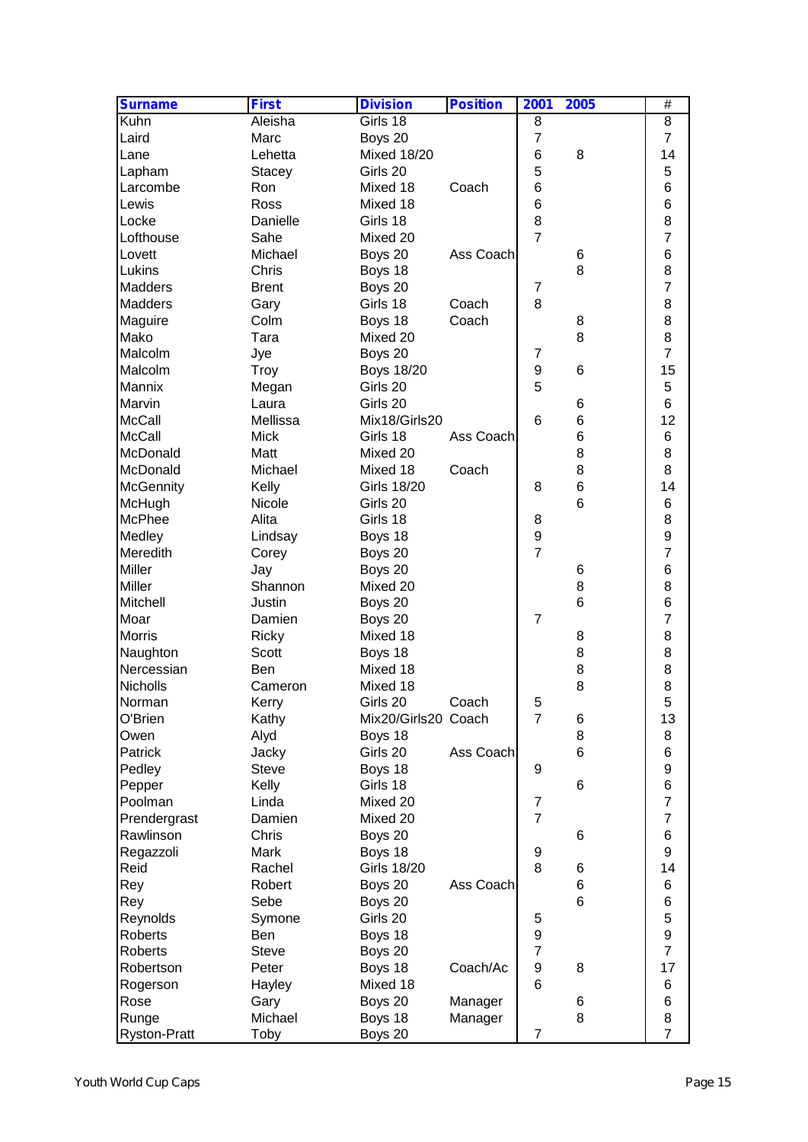| <b>Surname</b>      | <b>First</b>  | <b>Division</b>     | <b>Position</b> | 2001             | 2005 | $\overline{\#}$  |  |
|---------------------|---------------|---------------------|-----------------|------------------|------|------------------|--|
| Kuhn                | Aleisha       | Girls 18            |                 | 8                |      | 8                |  |
| Laird               | Marc          | Boys 20             |                 | $\overline{7}$   |      | $\overline{7}$   |  |
| Lane                | Lehetta       | <b>Mixed 18/20</b>  |                 | 6                | 8    | 14               |  |
| Lapham              | <b>Stacey</b> | Girls 20            |                 | 5                |      | 5                |  |
| Larcombe            | Ron           | Mixed 18            | Coach           | 6                |      | $6\phantom{1}$   |  |
| Lewis               | Ross          | Mixed 18            |                 | 6                |      | 6                |  |
| Locke               | Danielle      | Girls 18            |                 | 8                |      | 8                |  |
| Lofthouse           | Sahe          | Mixed 20            |                 | $\overline{7}$   |      | $\overline{7}$   |  |
| Lovett              | Michael       | Boys 20             | Ass Coach       |                  | 6    | 6                |  |
| Lukins              | Chris         | Boys 18             |                 |                  | 8    | 8                |  |
| Madders             | <b>Brent</b>  | Boys 20             |                 | $\overline{7}$   |      | $\overline{7}$   |  |
| Madders             | Gary          | Girls 18            | Coach           | 8                |      | 8                |  |
| Maguire             | Colm          | Boys 18             | Coach           |                  | 8    | 8                |  |
| Mako                | Tara          | Mixed 20            |                 |                  | 8    | 8                |  |
| Malcolm             | Jye           | Boys 20             |                 | $\overline{7}$   |      | $\overline{7}$   |  |
| Malcolm             | Troy          | <b>Boys 18/20</b>   |                 | 9                | 6    | 15               |  |
| Mannix              | Megan         | Girls 20            |                 | 5                |      | 5                |  |
| Marvin              | Laura         | Girls 20            |                 |                  | 6    | $6\phantom{1}$   |  |
| <b>McCall</b>       | Mellissa      | Mix18/Girls20       |                 | 6                | 6    | 12               |  |
| <b>McCall</b>       | <b>Mick</b>   | Girls 18            | Ass Coach       |                  | 6    | 6                |  |
| McDonald            | Matt          | Mixed 20            |                 |                  | 8    | 8                |  |
| McDonald            | Michael       | Mixed 18            | Coach           |                  | 8    | 8                |  |
| <b>McGennity</b>    | Kelly         | <b>Girls 18/20</b>  |                 | 8                | 6    | 14               |  |
| McHugh              | Nicole        | Girls 20            |                 |                  | 6    | 6                |  |
| McPhee              | Alita         | Girls 18            |                 | 8                |      | 8                |  |
| Medley              | Lindsay       | Boys 18             |                 | $\boldsymbol{9}$ |      | $\mathsf g$      |  |
| Meredith            | Corey         | Boys 20             |                 | $\overline{7}$   |      | $\overline{7}$   |  |
| Miller              | Jay           | Boys 20             |                 |                  | 6    | 6                |  |
| Miller              | Shannon       | Mixed 20            |                 |                  | 8    | 8                |  |
| Mitchell            | Justin        | Boys 20             |                 |                  | 6    | $\,6$            |  |
| Moar                | Damien        | Boys 20             |                 | $\overline{7}$   |      | $\overline{7}$   |  |
| <b>Morris</b>       | Ricky         | Mixed 18            |                 |                  | 8    | 8                |  |
| Naughton            | Scott         | Boys 18             |                 |                  | 8    | 8                |  |
| Nercessian          | <b>Ben</b>    | Mixed 18            |                 |                  | 8    | 8                |  |
| Nicholls            | Cameron       | Mixed 18            |                 |                  | 8    | 8                |  |
| Norman              | Kerry         | Girls 20            | Coach           | 5                |      | 5                |  |
| O'Brien             | Kathy         | Mix20/Girls20 Coach |                 | $\overline{7}$   | 6    | 13               |  |
| Owen                | Alyd          | Boys 18             |                 |                  | 8    | 8                |  |
| Patrick             | Jacky         | Girls 20            | Ass Coach       |                  | 6    | 6                |  |
| Pedley              | <b>Steve</b>  | Boys 18             |                 | 9                |      | $\boldsymbol{9}$ |  |
| Pepper              | Kelly         | Girls 18            |                 |                  | 6    | $\,6$            |  |
| Poolman             | Linda         | Mixed 20            |                 | $\overline{7}$   |      | $\overline{7}$   |  |
| Prendergrast        | Damien        | Mixed 20            |                 | $\overline{7}$   |      | $\overline{7}$   |  |
| Rawlinson           | Chris         | Boys 20             |                 |                  | 6    | 6                |  |
| Regazzoli           | Mark          | Boys 18             |                 | 9                |      | 9                |  |
| Reid                | Rachel        | <b>Girls 18/20</b>  |                 | 8                | 6    | 14               |  |
| Rey                 | Robert        | Boys 20             | Ass Coach       |                  | 6    | 6                |  |
| Rey                 | Sebe          | Boys 20             |                 |                  | 6    | $\,6$            |  |
| Reynolds            | Symone        | Girls 20            |                 | 5                |      | 5                |  |
| Roberts             | Ben           | Boys 18             |                 | $\boldsymbol{9}$ |      | $\mathsf g$      |  |
| <b>Roberts</b>      | <b>Steve</b>  | Boys 20             |                 | $\overline{7}$   |      | $\overline{7}$   |  |
| Robertson           | Peter         | Boys 18             | Coach/Ac        | $\boldsymbol{9}$ | 8    | 17               |  |
| Rogerson            | Hayley        | Mixed 18            |                 | 6                |      | 6                |  |
| Rose                | Gary          | Boys 20             | Manager         |                  | 6    | 6                |  |
| Runge               | Michael       | Boys 18             | Manager         |                  | 8    | 8                |  |
| <b>Ryston-Pratt</b> | Toby          | Boys 20             |                 | $\overline{7}$   |      | $\overline{7}$   |  |
|                     |               |                     |                 |                  |      |                  |  |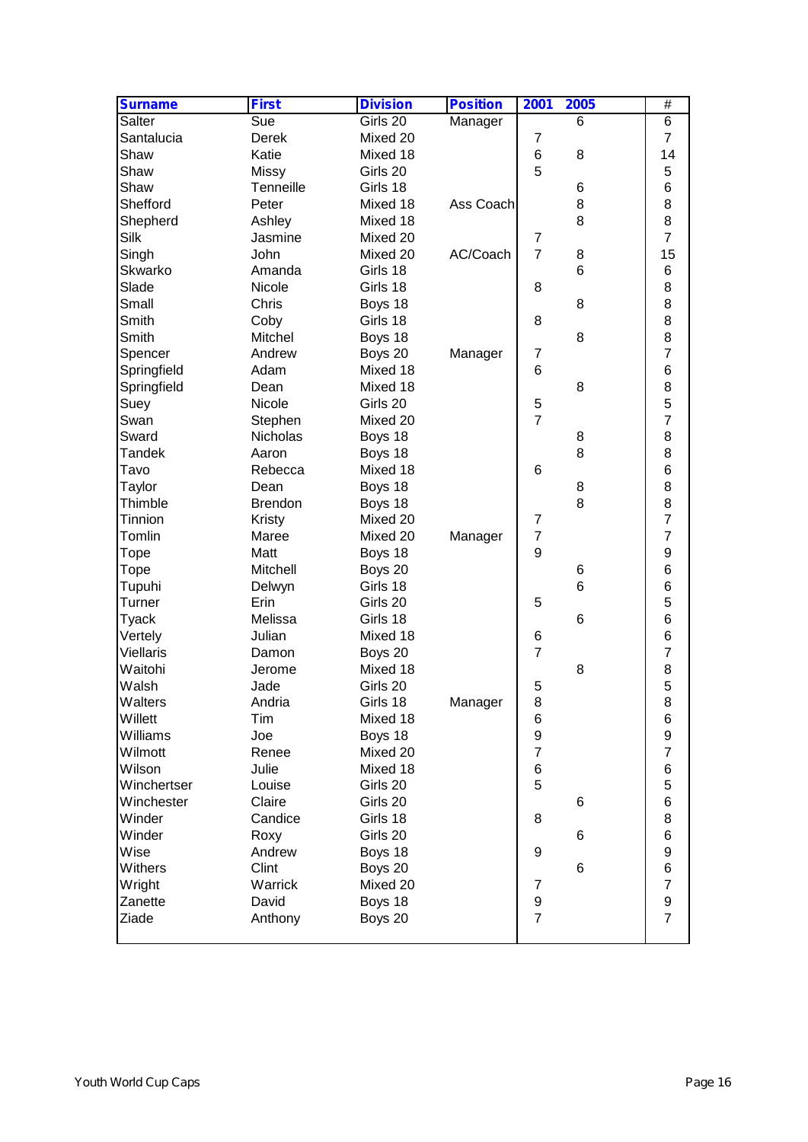| <b>Surname</b>   | <b>First</b>   | <b>Division</b> | <b>Position</b> | 2001             | 2005            | $\overline{\#}$     |
|------------------|----------------|-----------------|-----------------|------------------|-----------------|---------------------|
| Salter           | Sue            | Girls 20        | Manager         |                  | 6               | 6                   |
| Santalucia       | Derek          | Mixed 20        |                 | 7                |                 | $\overline{7}$      |
| Shaw             | Katie          | Mixed 18        |                 | $\,6$            | 8               | 14                  |
| Shaw             | <b>Missy</b>   | Girls 20        |                 | 5                |                 | 5                   |
| Shaw             | Tenneille      | Girls 18        |                 |                  | 6               | 6                   |
| Shefford         | Peter          | Mixed 18        | Ass Coach       |                  | 8               | 8                   |
| Shepherd         | Ashley         | Mixed 18        |                 |                  | 8               | 8                   |
| Silk             | Jasmine        | Mixed 20        |                 | 7                |                 | $\overline{7}$      |
| Singh            | John           | Mixed 20        | AC/Coach        | $\overline{7}$   | 8               | 15                  |
| Skwarko          | Amanda         | Girls 18        |                 |                  | 6               | 6                   |
| Slade            | Nicole         | Girls 18        |                 | 8                |                 | 8                   |
| Small            | Chris          | Boys 18         |                 |                  | 8               | 8                   |
| Smith            | Coby           | Girls 18        |                 | 8                |                 | 8                   |
| Smith            | Mitchel        | Boys 18         |                 |                  | 8               | 8                   |
| Spencer          | Andrew         | Boys 20         | Manager         | $\boldsymbol{7}$ |                 | $\overline{7}$      |
| Springfield      | Adam           | Mixed 18        |                 | $6\phantom{1}6$  |                 | 6                   |
| Springfield      | Dean           | Mixed 18        |                 |                  | 8               | 8                   |
| Suey             | Nicole         | Girls 20        |                 | $\sqrt{5}$       |                 | 5                   |
| Swan             | Stephen        | Mixed 20        |                 | $\overline{7}$   |                 | $\overline{7}$      |
| Sward            | Nicholas       | Boys 18         |                 |                  | 8               | 8                   |
| <b>Tandek</b>    | Aaron          | Boys 18         |                 |                  | 8               | 8                   |
| Tavo             | Rebecca        | Mixed 18        |                 | 6                |                 | 6                   |
|                  | Dean           | Boys 18         |                 |                  |                 | 8                   |
| Taylor           |                |                 |                 |                  | 8<br>8          |                     |
| Thimble          | <b>Brendon</b> | Boys 18         |                 |                  |                 | 8<br>$\overline{7}$ |
| Tinnion          | Kristy         | Mixed 20        |                 | $\overline{7}$   |                 |                     |
| Tomlin           | Maree          | Mixed 20        | Manager         | $\overline{7}$   |                 | $\overline{7}$      |
| Tope             | Matt           | Boys 18         |                 | 9                |                 | $\mathsf g$         |
| Tope             | Mitchell       | Boys 20         |                 |                  | 6               | 6                   |
| Tupuhi           | Delwyn         | Girls 18        |                 |                  | 6               | 6                   |
| Turner           | Erin           | Girls 20        |                 | 5                |                 | 5                   |
| Tyack            | Melissa        | Girls 18        |                 |                  | $6\phantom{1}6$ | 6                   |
| Vertely          | Julian         | Mixed 18        |                 | 6                |                 | 6                   |
| <b>Viellaris</b> | Damon          | Boys 20         |                 | $\overline{7}$   |                 | $\overline{7}$      |
| Waitohi          | Jerome         | Mixed 18        |                 |                  | 8               | 8                   |
| Walsh            | Jade           | Girls 20        |                 | 5                |                 | 5                   |
| Walters          | Andria         | Girls 18        | Manager         | 8                |                 | 8                   |
| Willett          | Tim            | Mixed 18        |                 | 6                |                 | 6                   |
| Williams         | Joe            | Boys 18         |                 | $\boldsymbol{9}$ |                 | $\boldsymbol{9}$    |
| Wilmott          | Renee          | Mixed 20        |                 | $\overline{7}$   |                 | $\overline{7}$      |
| Wilson           | Julie          | Mixed 18        |                 | $\,6$            |                 | $\,6$               |
| Winchertser      | Louise         | Girls 20        |                 | 5                |                 | 5                   |
| Winchester       | Claire         | Girls 20        |                 |                  | 6               | 6                   |
| Winder           | Candice        | Girls 18        |                 | 8                |                 | 8                   |
| Winder           | Roxy           | Girls 20        |                 |                  | 6               | 6                   |
| Wise             | Andrew         | Boys 18         |                 | 9                |                 | $\boldsymbol{9}$    |
| Withers          | Clint          | Boys 20         |                 |                  | $6\phantom{1}6$ | 6                   |
| Wright           | Warrick        | Mixed 20        |                 | 7                |                 | $\overline{7}$      |
| Zanette          | David          | Boys 18         |                 | $\boldsymbol{9}$ |                 | $\boldsymbol{9}$    |
| Ziade            | Anthony        | Boys 20         |                 | $\overline{7}$   |                 | $\overline{7}$      |
|                  |                |                 |                 |                  |                 |                     |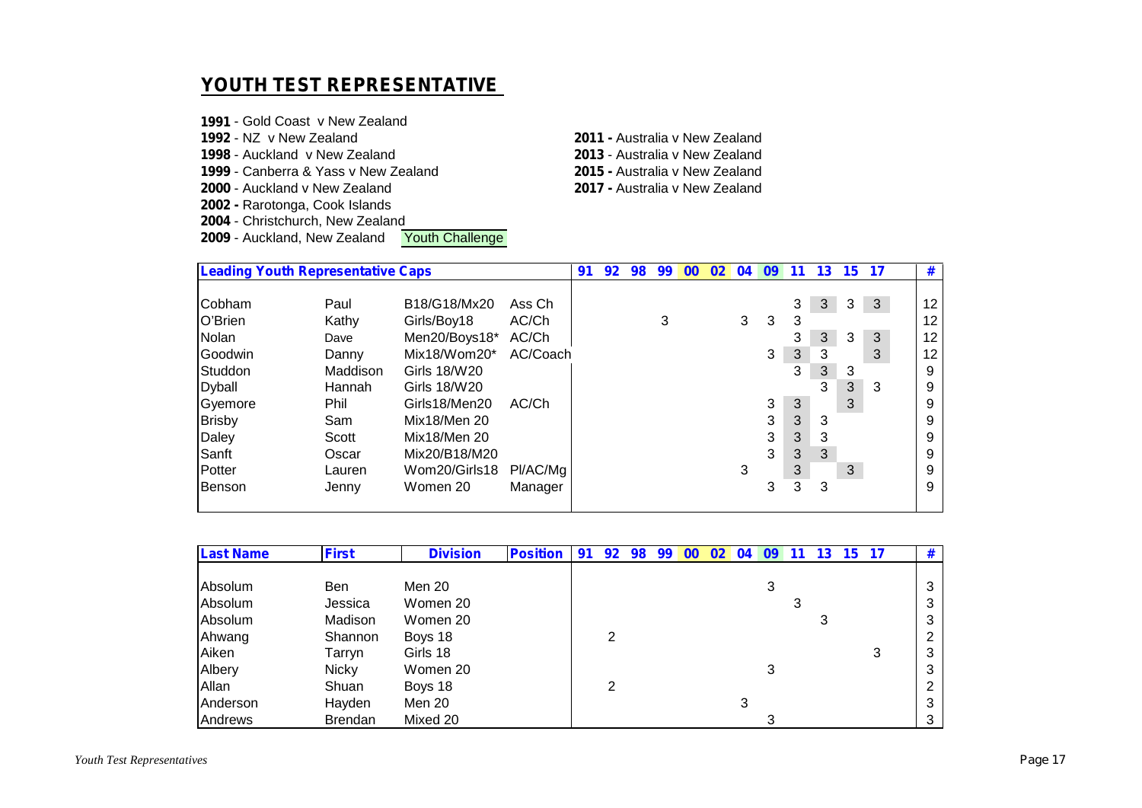#### **YOUTH TEST REPRESENTATIVE**

 - Gold Coast v New Zealand - NZ v New Zealand **2011 -** Australia v New Zealand - Auckland v New Zealand **2013** - Australia v New Zealand - Canberra & Yass v New Zealand **2015 -** Australia v New Zealand - Auckland v New Zealand **2002 -** Rarotonga, Cook Islands - Christchurch, New Zealand<br>**2009** - Auckland, New Zealand **Youth Challenge** - Auckland, New Zealand

|               | <b>Leading Youth Representative Caps</b> |               |          |  |  | 98 | 99 | 00 | 02 <sub>2</sub> | 04 | 09 | 11 | 13 | 15 <sup>15</sup> | 17           | #               |
|---------------|------------------------------------------|---------------|----------|--|--|----|----|----|-----------------|----|----|----|----|------------------|--------------|-----------------|
| Cobham        | Paul                                     | B18/G18/Mx20  | Ass Ch   |  |  |    |    |    |                 |    |    | 3  | 3  | 3                | $\mathbf{3}$ | 12              |
| O'Brien       | Kathy                                    | Girls/Boy18   | AC/Ch    |  |  |    | 3  |    |                 | 3  | 3  | 3  |    |                  |              | 12              |
| <b>Nolan</b>  | Dave                                     | Men20/Boys18* | AC/Ch    |  |  |    |    |    |                 |    |    | 3  | 3  | 3                | 3            | 12              |
| Goodwin       | Danny                                    | Mix18/Wom20*  | AC/Coach |  |  |    |    |    |                 |    | 3  | 3  | 3  |                  | 3            | 12 <sup>2</sup> |
| Studdon       | Maddison                                 | Girls 18/W20  |          |  |  |    |    |    |                 |    |    | 3  | 3  | 3                |              | 9               |
| <b>Dyball</b> | Hannah                                   | Girls 18/W20  |          |  |  |    |    |    |                 |    |    |    | 3  | 3                | 3            | 9               |
| Gyemore       | Phil                                     | Girls18/Men20 | AC/Ch    |  |  |    |    |    |                 |    | 3  | 3  |    | 3                |              | 9               |
| <b>Brisby</b> | Sam                                      | Mix18/Men 20  |          |  |  |    |    |    |                 |    | 3  | 3  | 3  |                  |              | 9               |
| Daley         | Scott                                    | Mix18/Men 20  |          |  |  |    |    |    |                 |    | 3  | 3  | 3  |                  |              | 9               |
| Sanft         | Oscar                                    | Mix20/B18/M20 |          |  |  |    |    |    |                 |    | 3  | 3  | 3  |                  |              | 9               |
| Potter        | Lauren                                   | Wom20/Girls18 | PI/AC/Mg |  |  |    |    |    |                 | 3  |    | 3  |    | 3                |              | 9               |
| Benson        | Jenny                                    | Women 20      | Manager  |  |  |    |    |    |                 |    | 3  | 3  | 3  |                  |              | 9               |
|               |                                          |               |          |  |  |    |    |    |                 |    |    |    |    |                  |              |                 |

| <b>Last Name</b> | <b>First</b>   | <b>Division</b> | <b>Position</b> | 91 | 92 | 98 | 99 | $00 \,$ | 02 | 04 | 09 | 11 | 13 | 15 <sup>1</sup> | 17 | # |
|------------------|----------------|-----------------|-----------------|----|----|----|----|---------|----|----|----|----|----|-----------------|----|---|
|                  |                |                 |                 |    |    |    |    |         |    |    |    |    |    |                 |    |   |
| Absolum          | <b>Ben</b>     | Men 20          |                 |    |    |    |    |         |    |    |    |    |    |                 |    | 3 |
| Absolum          | Jessica        | Women 20        |                 |    |    |    |    |         |    |    |    |    |    |                 |    | 3 |
| Absolum          | Madison        | Women 20        |                 |    |    |    |    |         |    |    |    |    |    |                 |    | 3 |
| Ahwang           | Shannon        | Boys 18         |                 |    |    |    |    |         |    |    |    |    |    |                 |    | 2 |
| Aiken            | Tarryn         | Girls 18        |                 |    |    |    |    |         |    |    |    |    |    |                 | 3  | 3 |
| Albery           | <b>Nicky</b>   | Women 20        |                 |    |    |    |    |         |    |    | 3  |    |    |                 |    | 3 |
| Allan            | Shuan          | Boys 18         |                 |    | ⌒  |    |    |         |    |    |    |    |    |                 |    | 2 |
| Anderson         | Hayden         | Men 20          |                 |    |    |    |    |         |    |    |    |    |    |                 |    | 3 |
| Andrews          | <b>Brendan</b> | Mixed 20        |                 |    |    |    |    |         |    |    |    |    |    |                 |    | 3 |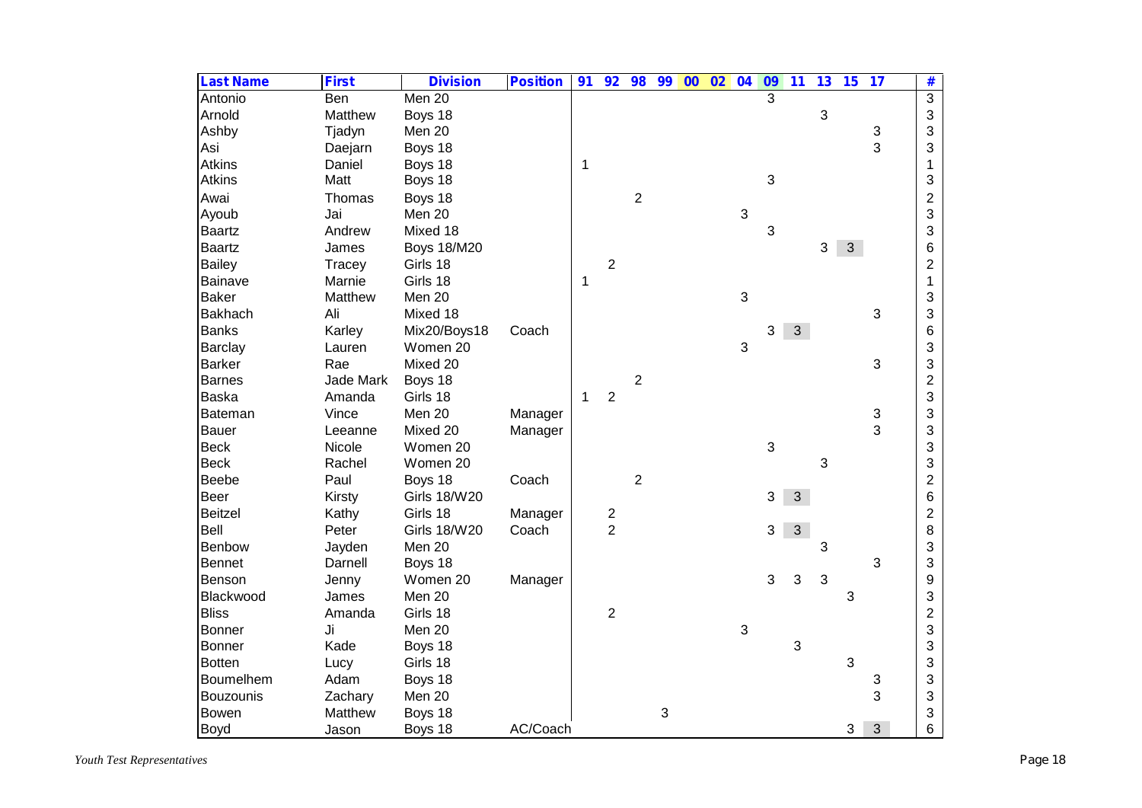| <b>Last Name</b> | <b>First</b> | <b>Division</b>     | <b>Position</b> | 91 | 92             | 98               | 99 | $\overline{00}$ | 02 | 04 | 09 | $\overline{11}$ | 13 | 15           | 17            | #                       |
|------------------|--------------|---------------------|-----------------|----|----------------|------------------|----|-----------------|----|----|----|-----------------|----|--------------|---------------|-------------------------|
| Antonio          | <b>Ben</b>   | Men 20              |                 |    |                |                  |    |                 |    |    | 3  |                 |    |              |               | $\overline{3}$          |
| Arnold           | Matthew      | Boys 18             |                 |    |                |                  |    |                 |    |    |    |                 | 3  |              |               | 3                       |
| Ashby            | Tjadyn       | Men 20              |                 |    |                |                  |    |                 |    |    |    |                 |    |              | 3             | 3                       |
| Asi              | Daejarn      | Boys 18             |                 |    |                |                  |    |                 |    |    |    |                 |    |              | 3             | 3                       |
| <b>Atkins</b>    | Daniel       | Boys 18             |                 | 1  |                |                  |    |                 |    |    |    |                 |    |              |               | 1                       |
| <b>Atkins</b>    | Matt         | Boys 18             |                 |    |                |                  |    |                 |    |    | 3  |                 |    |              |               | 3                       |
| Awai             | Thomas       | Boys 18             |                 |    |                | $\overline{2}$   |    |                 |    |    |    |                 |    |              |               | $\overline{\mathbf{c}}$ |
| Ayoub            | Jai          | Men 20              |                 |    |                |                  |    |                 |    | 3  |    |                 |    |              |               | 3                       |
| <b>Baartz</b>    | Andrew       | Mixed 18            |                 |    |                |                  |    |                 |    |    | 3  |                 |    |              |               | 3                       |
| <b>Baartz</b>    | James        | <b>Boys 18/M20</b>  |                 |    |                |                  |    |                 |    |    |    |                 | 3  | $\mathbf{3}$ |               | 6                       |
| <b>Bailey</b>    | Tracey       | Girls 18            |                 |    | $\overline{2}$ |                  |    |                 |    |    |    |                 |    |              |               | $\overline{2}$          |
| Bainave          | Marnie       | Girls 18            |                 | 1  |                |                  |    |                 |    |    |    |                 |    |              |               | $\mathbf{1}$            |
| <b>Baker</b>     | Matthew      | Men 20              |                 |    |                |                  |    |                 |    | 3  |    |                 |    |              |               | 3                       |
| <b>Bakhach</b>   | Ali          | Mixed 18            |                 |    |                |                  |    |                 |    |    |    |                 |    |              | 3             | 3                       |
| <b>Banks</b>     | Karley       | Mix20/Boys18        | Coach           |    |                |                  |    |                 |    |    | 3  | 3               |    |              |               | $6\phantom{1}$          |
| Barclay          | Lauren       | Women 20            |                 |    |                |                  |    |                 |    | 3  |    |                 |    |              |               | 3                       |
| <b>Barker</b>    | Rae          | Mixed 20            |                 |    |                |                  |    |                 |    |    |    |                 |    |              | 3             | 3                       |
| <b>Barnes</b>    | Jade Mark    | Boys 18             |                 |    |                | $\boldsymbol{2}$ |    |                 |    |    |    |                 |    |              |               | $\mathbf{2}$            |
| Baska            | Amanda       | Girls 18            |                 | 1  | $\overline{2}$ |                  |    |                 |    |    |    |                 |    |              |               | 3                       |
| Bateman          | Vince        | Men 20              | Manager         |    |                |                  |    |                 |    |    |    |                 |    |              |               | 3                       |
| <b>Bauer</b>     | Leeanne      | Mixed 20            | Manager         |    |                |                  |    |                 |    |    |    |                 |    |              | $\frac{3}{3}$ | 3                       |
| <b>Beck</b>      | Nicole       | Women 20            |                 |    |                |                  |    |                 |    |    | 3  |                 |    |              |               | 3                       |
| <b>Beck</b>      | Rachel       | Women 20            |                 |    |                |                  |    |                 |    |    |    |                 | 3  |              |               | 3                       |
| Beebe            | Paul         | Boys 18             | Coach           |    |                | $\boldsymbol{2}$ |    |                 |    |    |    |                 |    |              |               | $\overline{2}$          |
| Beer             | Kirsty       | <b>Girls 18/W20</b> |                 |    |                |                  |    |                 |    |    | 3  | 3               |    |              |               | 6                       |
| <b>Beitzel</b>   | Kathy        | Girls 18            | Manager         |    |                |                  |    |                 |    |    |    |                 |    |              |               | $\overline{c}$          |
| Bell             | Peter        | <b>Girls 18/W20</b> | Coach           |    | $\frac{2}{2}$  |                  |    |                 |    |    | 3  | $\mathbf{3}$    |    |              |               | 8                       |
| Benbow           | Jayden       | Men 20              |                 |    |                |                  |    |                 |    |    |    |                 | 3  |              |               | 3                       |
| Bennet           | Darnell      | Boys 18             |                 |    |                |                  |    |                 |    |    |    |                 |    |              | 3             | 3                       |
| Benson           | Jenny        | Women 20            | Manager         |    |                |                  |    |                 |    |    | 3  | 3               | 3  |              |               | 9                       |
| Blackwood        | James        | Men 20              |                 |    |                |                  |    |                 |    |    |    |                 |    | 3            |               | 3                       |
| <b>Bliss</b>     | Amanda       | Girls 18            |                 |    | $\overline{2}$ |                  |    |                 |    |    |    |                 |    |              |               | $\overline{c}$          |
| Bonner           | Ji           | Men 20              |                 |    |                |                  |    |                 |    | 3  |    |                 |    |              |               | 3                       |
| <b>Bonner</b>    | Kade         | Boys 18             |                 |    |                |                  |    |                 |    |    |    | 3               |    |              |               | 3                       |
| <b>Botten</b>    | Lucy         | Girls 18            |                 |    |                |                  |    |                 |    |    |    |                 |    | 3            |               | 3                       |
| Boumelhem        | Adam         | Boys 18             |                 |    |                |                  |    |                 |    |    |    |                 |    |              | 3             | 3                       |
| Bouzounis        | Zachary      | Men 20              |                 |    |                |                  |    |                 |    |    |    |                 |    |              | 3             | 3                       |
| <b>Bowen</b>     | Matthew      | Boys 18             |                 |    |                |                  | 3  |                 |    |    |    |                 |    |              |               | 3                       |
| Boyd             | Jason        | Boys 18             | AC/Coach        |    |                |                  |    |                 |    |    |    |                 |    | 3            | $\mathbf{3}$  | 6                       |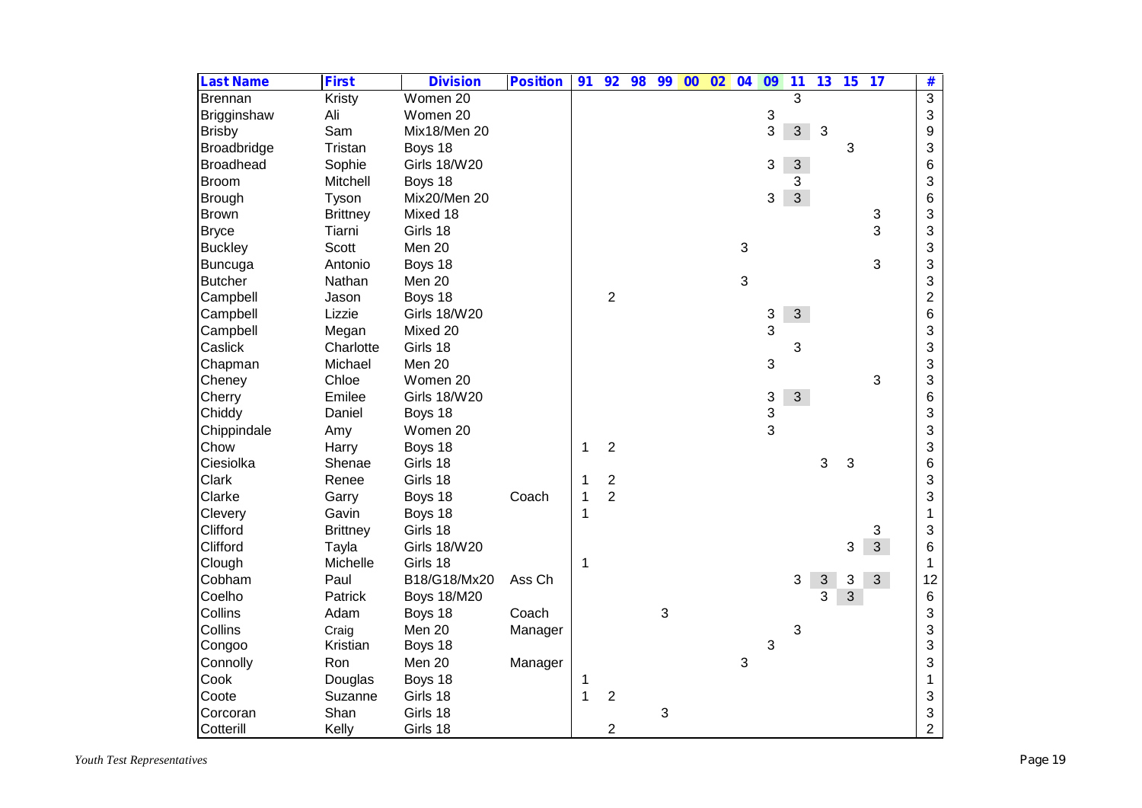| <b>Last Name</b> | <b>First</b>    | <b>Division</b>     | <b>Position</b> | 91 | 92                      | 98 | 99 | $00\quad 02$ | 04                        | 09 | 11             | 13         | 15 | 17             | #              |
|------------------|-----------------|---------------------|-----------------|----|-------------------------|----|----|--------------|---------------------------|----|----------------|------------|----|----------------|----------------|
| Brennan          | Kristy          | Women 20            |                 |    |                         |    |    |              |                           |    | 3              |            |    |                | $\overline{3}$ |
| Brigginshaw      | Ali             | Women 20            |                 |    |                         |    |    |              |                           | 3  |                |            |    |                | 3              |
| <b>Brisby</b>    | Sam             | Mix18/Men 20        |                 |    |                         |    |    |              |                           | 3  | $\mathbf{3}$   | 3          |    |                | 9              |
| Broadbridge      | Tristan         | Boys 18             |                 |    |                         |    |    |              |                           |    |                |            | 3  |                | 3              |
| <b>Broadhead</b> | Sophie          | <b>Girls 18/W20</b> |                 |    |                         |    |    |              |                           | 3  | 3 <sup>1</sup> |            |    |                | 6              |
| <b>Broom</b>     | Mitchell        | Boys 18             |                 |    |                         |    |    |              |                           |    | 3              |            |    |                | 3              |
| Brough           | Tyson           | Mix20/Men 20        |                 |    |                         |    |    |              |                           | 3  | $\overline{3}$ |            |    |                | 6              |
| <b>Brown</b>     | <b>Brittney</b> | Mixed 18            |                 |    |                         |    |    |              |                           |    |                |            |    | 3              | 3              |
| <b>Bryce</b>     | Tiarni          | Girls 18            |                 |    |                         |    |    |              |                           |    |                |            |    | 3              | 3              |
| <b>Buckley</b>   | Scott           | Men 20              |                 |    |                         |    |    |              | $\ensuremath{\mathsf{3}}$ |    |                |            |    |                | 3              |
| <b>Buncuga</b>   | Antonio         | Boys 18             |                 |    |                         |    |    |              |                           |    |                |            |    | 3              | 3              |
| <b>Butcher</b>   | Nathan          | Men 20              |                 |    |                         |    |    |              | 3                         |    |                |            |    |                | 3              |
| Campbell         | Jason           | Boys 18             |                 |    | $\overline{2}$          |    |    |              |                           |    |                |            |    |                | $\overline{2}$ |
| Campbell         | Lizzie          | <b>Girls 18/W20</b> |                 |    |                         |    |    |              |                           | 3  | 3              |            |    |                | 6              |
| Campbell         | Megan           | Mixed 20            |                 |    |                         |    |    |              |                           | 3  |                |            |    |                | 3              |
| Caslick          | Charlotte       | Girls 18            |                 |    |                         |    |    |              |                           |    | 3              |            |    |                | 3              |
| Chapman          | Michael         | Men 20              |                 |    |                         |    |    |              |                           | 3  |                |            |    |                | 3              |
| Cheney           | Chloe           | Women 20            |                 |    |                         |    |    |              |                           |    |                |            |    | 3              | 3              |
| Cherry           | Emilee          | <b>Girls 18/W20</b> |                 |    |                         |    |    |              |                           | 3  | 3 <sup>1</sup> |            |    |                | 6              |
| Chiddy           | Daniel          | Boys 18             |                 |    |                         |    |    |              |                           | 3  |                |            |    |                | 3              |
| Chippindale      | Amy             | Women 20            |                 |    |                         |    |    |              |                           | 3  |                |            |    |                | 3              |
| Chow             | Harry           | Boys 18             |                 | 1  | $\overline{c}$          |    |    |              |                           |    |                |            |    |                | 3              |
| Ciesiolka        | Shenae          | Girls 18            |                 |    |                         |    |    |              |                           |    |                | 3          | 3  |                | 6              |
| Clark            | Renee           | Girls 18            |                 | 1  | $\overline{\mathbf{c}}$ |    |    |              |                           |    |                |            |    |                | 3              |
| Clarke           | Garry           | Boys 18             | Coach           | 1  | $\overline{2}$          |    |    |              |                           |    |                |            |    |                | 3              |
| Clevery          | Gavin           | Boys 18             |                 | 1  |                         |    |    |              |                           |    |                |            |    |                | 1              |
| Clifford         | <b>Brittney</b> | Girls 18            |                 |    |                         |    |    |              |                           |    |                |            |    | 3              | 3              |
| Clifford         | Tayla           | <b>Girls 18/W20</b> |                 |    |                         |    |    |              |                           |    |                |            | 3  | $\overline{3}$ | 6              |
| Clough           | Michelle        | Girls 18            |                 | 1  |                         |    |    |              |                           |    |                |            |    |                | $\mathbf 1$    |
| Cobham           | Paul            | B18/G18/Mx20        | Ass Ch          |    |                         |    |    |              |                           |    | 3              | $\sqrt{3}$ | 3  | 3 <sup>1</sup> | 12             |
| Coelho           | Patrick         | <b>Boys 18/M20</b>  |                 |    |                         |    |    |              |                           |    |                | 3          | 3  |                | 6              |
| Collins          | Adam            | Boys 18             | Coach           |    |                         |    | 3  |              |                           |    |                |            |    |                | 3              |
| Collins          | Craig           | Men 20              | Manager         |    |                         |    |    |              |                           |    | 3              |            |    |                | 3              |
| Congoo           | Kristian        | Boys 18             |                 |    |                         |    |    |              |                           | 3  |                |            |    |                | 3              |
| Connolly         | Ron             | Men 20              | Manager         |    |                         |    |    |              | 3                         |    |                |            |    |                | 3              |
| Cook             | Douglas         | Boys 18             |                 | 1  |                         |    |    |              |                           |    |                |            |    |                | $\mathbf{1}$   |
| Coote            | Suzanne         | Girls 18            |                 | 1  | $\overline{c}$          |    |    |              |                           |    |                |            |    |                | 3              |
| Corcoran         | Shan            | Girls 18            |                 |    |                         |    | 3  |              |                           |    |                |            |    |                | 3              |
| Cotterill        | Kelly           | Girls 18            |                 |    | $\overline{c}$          |    |    |              |                           |    |                |            |    |                | $\overline{2}$ |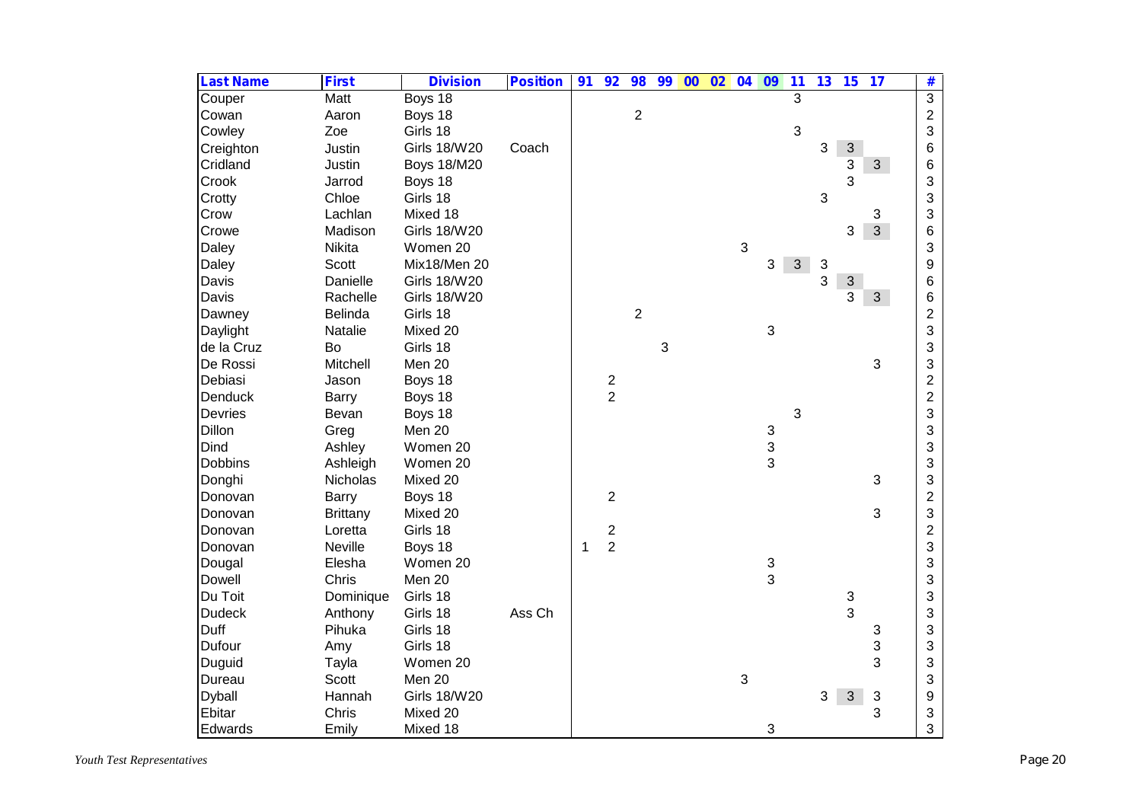| <b>Last Name</b> | <b>First</b>    | <b>Division</b>     | <b>Position</b> | 91 | 92             | 98             | 99 | 00 | 02 | 04 | 09           | 11             | 13         | 15                        | 17             | #              |
|------------------|-----------------|---------------------|-----------------|----|----------------|----------------|----|----|----|----|--------------|----------------|------------|---------------------------|----------------|----------------|
| Couper           | Matt            | Boys 18             |                 |    |                |                |    |    |    |    |              | $\overline{3}$ |            |                           |                | $\overline{3}$ |
| Cowan            | Aaron           | Boys 18             |                 |    |                | $\overline{2}$ |    |    |    |    |              |                |            |                           |                | $\overline{c}$ |
| Cowley           | Zoe             | Girls 18            |                 |    |                |                |    |    |    |    |              | $\mathbf{3}$   |            |                           |                | 3              |
| Creighton        | Justin          | <b>Girls 18/W20</b> | Coach           |    |                |                |    |    |    |    |              |                | 3          | $\mathfrak{S}$            |                | 6              |
| Cridland         | Justin          | <b>Boys 18/M20</b>  |                 |    |                |                |    |    |    |    |              |                |            | 3                         | 3 <sup>1</sup> | 6              |
| Crook            | Jarrod          | Boys 18             |                 |    |                |                |    |    |    |    |              |                |            | 3                         |                | 3              |
| Crotty           | Chloe           | Girls 18            |                 |    |                |                |    |    |    |    |              |                | $\sqrt{3}$ |                           |                | 3              |
| Crow             | Lachlan         | Mixed 18            |                 |    |                |                |    |    |    |    |              |                |            |                           | 3              | 3              |
| Crowe            | Madison         | <b>Girls 18/W20</b> |                 |    |                |                |    |    |    |    |              |                |            | 3                         | $\mathfrak{S}$ | 6              |
| Daley            | Nikita          | Women 20            |                 |    |                |                |    |    |    | 3  |              |                |            |                           |                | 3              |
| Daley            | <b>Scott</b>    | Mix18/Men 20        |                 |    |                |                |    |    |    |    | 3            | 3 <sup>1</sup> | 3          |                           |                | 9              |
| Davis            | Danielle        | <b>Girls 18/W20</b> |                 |    |                |                |    |    |    |    |              |                | 3          | $\ensuremath{\mathsf{3}}$ |                | 6              |
| Davis            | Rachelle        | <b>Girls 18/W20</b> |                 |    |                |                |    |    |    |    |              |                |            | 3                         | 3 <sup>1</sup> | 6              |
| Dawney           | Belinda         | Girls 18            |                 |    |                | $\overline{2}$ |    |    |    |    |              |                |            |                           |                | $\overline{c}$ |
| Daylight         | Natalie         | Mixed 20            |                 |    |                |                |    |    |    |    | $\sqrt{3}$   |                |            |                           |                | 3              |
| de la Cruz       | Bo              | Girls 18            |                 |    |                |                | 3  |    |    |    |              |                |            |                           |                | 3              |
| De Rossi         | Mitchell        | Men 20              |                 |    |                |                |    |    |    |    |              |                |            |                           | 3              | 3              |
| Debiasi          | Jason           | Boys 18             |                 |    | $\frac{2}{2}$  |                |    |    |    |    |              |                |            |                           |                | $\overline{c}$ |
| Denduck          | Barry           | Boys 18             |                 |    |                |                |    |    |    |    |              |                |            |                           |                | $\overline{2}$ |
| <b>Devries</b>   | Bevan           | Boys 18             |                 |    |                |                |    |    |    |    |              | 3              |            |                           |                | 3              |
| Dillon           | Greg            | Men 20              |                 |    |                |                |    |    |    |    | $\mathbf{3}$ |                |            |                           |                | 3              |
| Dind             | Ashley          | Women 20            |                 |    |                |                |    |    |    |    | 3            |                |            |                           |                | 3              |
| <b>Dobbins</b>   | Ashleigh        | Women 20            |                 |    |                |                |    |    |    |    | 3            |                |            |                           |                | 3              |
| Donghi           | Nicholas        | Mixed 20            |                 |    |                |                |    |    |    |    |              |                |            |                           | 3              | 3              |
| Donovan          | <b>Barry</b>    | Boys 18             |                 |    | $\overline{2}$ |                |    |    |    |    |              |                |            |                           |                | $\overline{c}$ |
| Donovan          | <b>Brittany</b> | Mixed 20            |                 |    |                |                |    |    |    |    |              |                |            |                           | 3              | 3              |
| Donovan          | Loretta         | Girls 18            |                 |    | $\frac{2}{2}$  |                |    |    |    |    |              |                |            |                           |                | $\overline{c}$ |
| Donovan          | Neville         | Boys 18             |                 | 1  |                |                |    |    |    |    |              |                |            |                           |                | 3              |
| Dougal           | Elesha          | Women 20            |                 |    |                |                |    |    |    |    | 3            |                |            |                           |                | 3              |
| Dowell           | Chris           | Men 20              |                 |    |                |                |    |    |    |    | 3            |                |            |                           |                | 3              |
| Du Toit          | Dominique       | Girls 18            |                 |    |                |                |    |    |    |    |              |                |            | $\ensuremath{\mathsf{3}}$ |                | 3              |
| <b>Dudeck</b>    | Anthony         | Girls 18            | Ass Ch          |    |                |                |    |    |    |    |              |                |            | 3                         |                | 3              |
| Duff             | Pihuka          | Girls 18            |                 |    |                |                |    |    |    |    |              |                |            |                           | 3              | 3              |
| Dufour           | Amy             | Girls 18            |                 |    |                |                |    |    |    |    |              |                |            |                           | 3              | 3              |
| Duguid           | Tayla           | Women 20            |                 |    |                |                |    |    |    |    |              |                |            |                           | 3              | 3              |
| Dureau           | <b>Scott</b>    | Men 20              |                 |    |                |                |    |    |    | 3  |              |                |            |                           |                | 3              |
| Dyball           | Hannah          | <b>Girls 18/W20</b> |                 |    |                |                |    |    |    |    |              |                | 3          | 3                         | 3              | 9              |
| Ebitar           | Chris           | Mixed 20            |                 |    |                |                |    |    |    |    |              |                |            |                           | 3              | 3              |
| Edwards          | Emily           | Mixed 18            |                 |    |                |                |    |    |    |    | 3            |                |            |                           |                | 3              |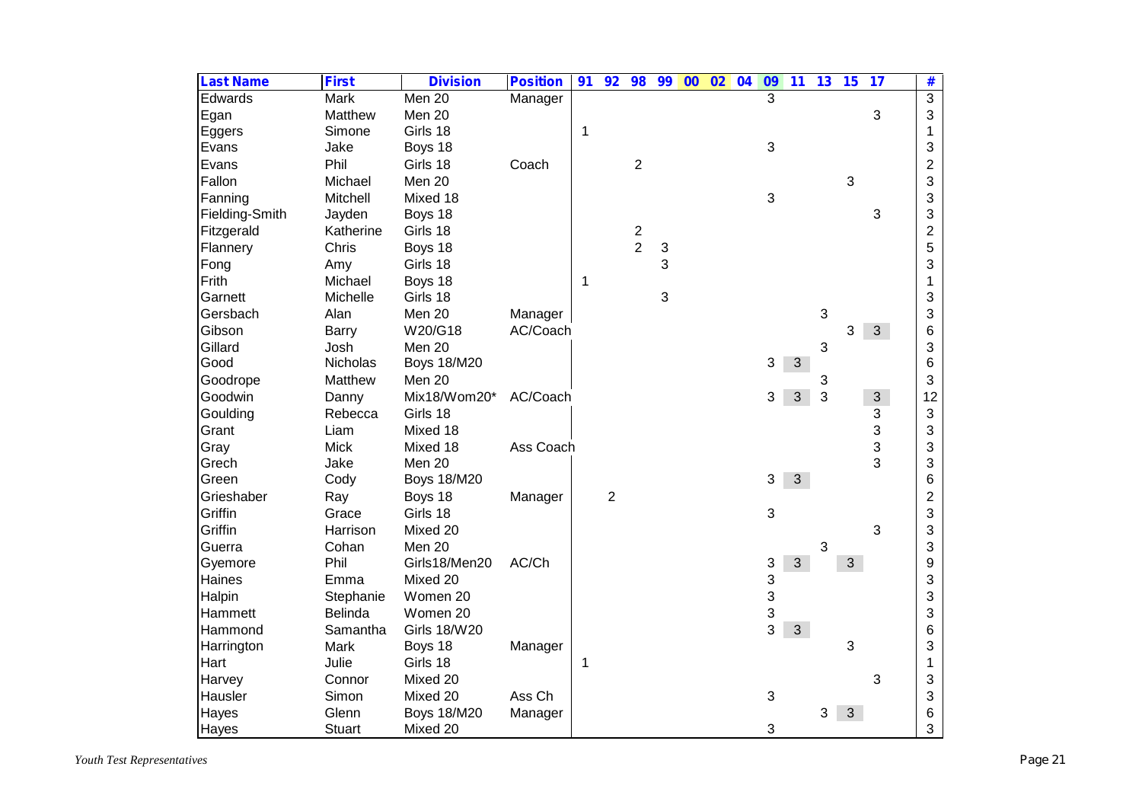| <b>Last Name</b> | <b>First</b>  | <b>Division</b>     | <b>Position</b> | 91           | 92             | 98             | 99 | 00 | $\overline{02}$ | 04 | 09 | 11             | 13 | 15 | 17           | #              |
|------------------|---------------|---------------------|-----------------|--------------|----------------|----------------|----|----|-----------------|----|----|----------------|----|----|--------------|----------------|
| Edwards          | <b>Mark</b>   | Men 20              | Manager         |              |                |                |    |    |                 |    | 3  |                |    |    |              | $\overline{3}$ |
| Egan             | Matthew       | Men 20              |                 |              |                |                |    |    |                 |    |    |                |    |    | 3            | 3              |
| Eggers           | Simone        | Girls 18            |                 | $\mathbf{1}$ |                |                |    |    |                 |    |    |                |    |    |              | 1              |
| Evans            | Jake          | Boys 18             |                 |              |                |                |    |    |                 |    | 3  |                |    |    |              | 3              |
| Evans            | Phil          | Girls 18            | Coach           |              |                | $\overline{2}$ |    |    |                 |    |    |                |    |    |              | $\overline{2}$ |
| Fallon           | Michael       | Men 20              |                 |              |                |                |    |    |                 |    |    |                |    | 3  |              | 3              |
| Fanning          | Mitchell      | Mixed 18            |                 |              |                |                |    |    |                 |    | 3  |                |    |    |              | 3              |
| Fielding-Smith   | Jayden        | Boys 18             |                 |              |                |                |    |    |                 |    |    |                |    |    | 3            | 3              |
| Fitzgerald       | Katherine     | Girls 18            |                 |              |                |                |    |    |                 |    |    |                |    |    |              | $\overline{2}$ |
| Flannery         | Chris         | Boys 18             |                 |              |                | $\frac{2}{2}$  | 3  |    |                 |    |    |                |    |    |              | 5              |
| Fong             | Amy           | Girls 18            |                 |              |                |                | 3  |    |                 |    |    |                |    |    |              | 3              |
| Frith            | Michael       | Boys 18             |                 | 1            |                |                |    |    |                 |    |    |                |    |    |              | 1              |
| Garnett          | Michelle      | Girls 18            |                 |              |                |                | 3  |    |                 |    |    |                |    |    |              | 3              |
| Gersbach         | Alan          | Men 20              | Manager         |              |                |                |    |    |                 |    |    |                | 3  |    |              | 3              |
| Gibson           | Barry         | W20/G18             | AC/Coach        |              |                |                |    |    |                 |    |    |                |    | 3  | 3            | 6              |
| Gillard          | Josh          | Men 20              |                 |              |                |                |    |    |                 |    |    |                | 3  |    |              | 3              |
| Good             | Nicholas      | <b>Boys 18/M20</b>  |                 |              |                |                |    |    |                 |    | 3  | $\mathfrak{S}$ |    |    |              | 6              |
| Goodrope         | Matthew       | Men 20              |                 |              |                |                |    |    |                 |    |    |                | 3  |    |              | 3              |
| Goodwin          | Danny         | Mix18/Wom20*        | AC/Coach        |              |                |                |    |    |                 |    | 3  | 3              | 3  |    | $\mathbf{3}$ | 12             |
| Goulding         | Rebecca       | Girls 18            |                 |              |                |                |    |    |                 |    |    |                |    |    | 3            | 3              |
| Grant            | Liam          | Mixed 18            |                 |              |                |                |    |    |                 |    |    |                |    |    | 3            | 3              |
| Gray             | <b>Mick</b>   | Mixed 18            | Ass Coach       |              |                |                |    |    |                 |    |    |                |    |    | 3            | 3              |
| Grech            | Jake          | Men 20              |                 |              |                |                |    |    |                 |    |    |                |    |    | 3            | 3              |
| Green            | Cody          | <b>Boys 18/M20</b>  |                 |              |                |                |    |    |                 |    | 3  | 3              |    |    |              | 6              |
| Grieshaber       | Ray           | Boys 18             | Manager         |              | $\overline{2}$ |                |    |    |                 |    |    |                |    |    |              | $\mathbf{2}$   |
| Griffin          | Grace         | Girls 18            |                 |              |                |                |    |    |                 |    | 3  |                |    |    |              | 3              |
| Griffin          | Harrison      | Mixed 20            |                 |              |                |                |    |    |                 |    |    |                |    |    | 3            | 3              |
| Guerra           | Cohan         | Men 20              |                 |              |                |                |    |    |                 |    |    |                | 3  |    |              | 3              |
| Gyemore          | Phil          | Girls18/Men20       | AC/Ch           |              |                |                |    |    |                 |    | 3  | $\overline{3}$ |    | 3  |              | 9              |
| Haines           | Emma          | Mixed 20            |                 |              |                |                |    |    |                 |    | 3  |                |    |    |              | 3              |
| Halpin           | Stephanie     | Women 20            |                 |              |                |                |    |    |                 |    | 3  |                |    |    |              | 3              |
| Hammett          | Belinda       | Women 20            |                 |              |                |                |    |    |                 |    | 3  |                |    |    |              | 3              |
| Hammond          | Samantha      | <b>Girls 18/W20</b> |                 |              |                |                |    |    |                 |    | 3  | $\mathbf{3}$   |    |    |              | 6              |
| Harrington       | Mark          | Boys 18             | Manager         |              |                |                |    |    |                 |    |    |                |    | 3  |              | 3              |
| Hart             | Julie         | Girls 18            |                 | 1            |                |                |    |    |                 |    |    |                |    |    |              | 1              |
| Harvey           | Connor        | Mixed 20            |                 |              |                |                |    |    |                 |    |    |                |    |    | 3            | 3              |
| Hausler          | Simon         | Mixed 20            | Ass Ch          |              |                |                |    |    |                 |    | 3  |                |    |    |              | 3              |
| Hayes            | Glenn         | <b>Boys 18/M20</b>  | Manager         |              |                |                |    |    |                 |    |    |                | 3  | 3  |              | 6              |
| Hayes            | <b>Stuart</b> | Mixed 20            |                 |              |                |                |    |    |                 |    | 3  |                |    |    |              | 3              |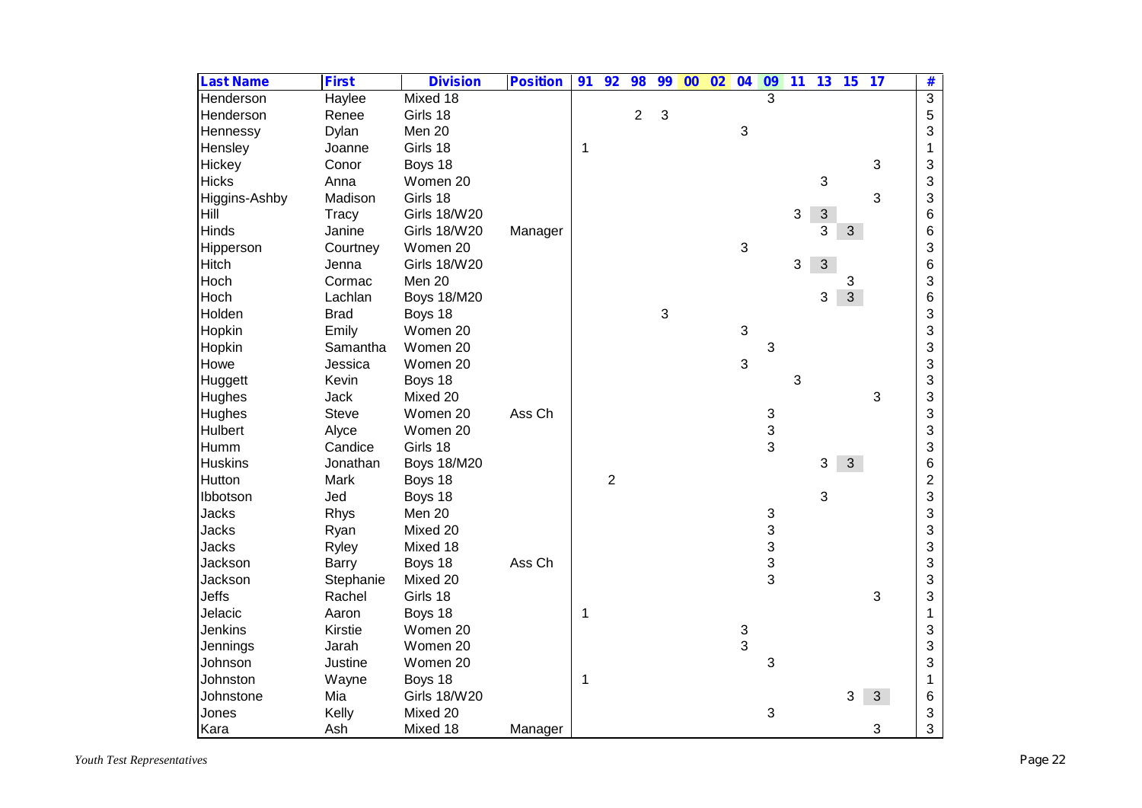| <b>Last Name</b> | <b>First</b> | <b>Division</b>     | <b>Position</b> | 91 | 92             | 98             | 99                        | $\overline{00}$ | 02 | 04                        | $\overline{09}$           | $\overline{11}$ | 13             | 15             | $\overline{17}$ | #               |
|------------------|--------------|---------------------|-----------------|----|----------------|----------------|---------------------------|-----------------|----|---------------------------|---------------------------|-----------------|----------------|----------------|-----------------|-----------------|
| Henderson        | Haylee       | Mixed 18            |                 |    |                |                |                           |                 |    |                           | $\overline{3}$            |                 |                |                |                 | $\overline{3}$  |
| Henderson        | Renee        | Girls 18            |                 |    |                | $\overline{2}$ | 3                         |                 |    |                           |                           |                 |                |                |                 | 5               |
| Hennessy         | Dylan        | Men 20              |                 |    |                |                |                           |                 |    | $\ensuremath{\mathsf{3}}$ |                           |                 |                |                |                 | 3               |
| Hensley          | Joanne       | Girls 18            |                 | 1  |                |                |                           |                 |    |                           |                           |                 |                |                |                 | 1               |
| Hickey           | Conor        | Boys 18             |                 |    |                |                |                           |                 |    |                           |                           |                 |                |                | 3               | 3               |
| <b>Hicks</b>     | Anna         | Women 20            |                 |    |                |                |                           |                 |    |                           |                           |                 | $\mathfrak{S}$ |                |                 | 3               |
| Higgins-Ashby    | Madison      | Girls 18            |                 |    |                |                |                           |                 |    |                           |                           |                 |                |                | 3               | 3               |
| Hill             | Tracy        | <b>Girls 18/W20</b> |                 |    |                |                |                           |                 |    |                           |                           | $\mathbf{3}$    | $\mathfrak{S}$ |                |                 | 6               |
| <b>Hinds</b>     | Janine       | <b>Girls 18/W20</b> | Manager         |    |                |                |                           |                 |    |                           |                           |                 | 3              | 3              |                 | $6\phantom{1}6$ |
| Hipperson        | Courtney     | Women 20            |                 |    |                |                |                           |                 |    | 3                         |                           |                 |                |                |                 | 3               |
| <b>Hitch</b>     | Jenna        | <b>Girls 18/W20</b> |                 |    |                |                |                           |                 |    |                           |                           | 3               | 3              |                |                 | 6               |
| Hoch             | Cormac       | Men 20              |                 |    |                |                |                           |                 |    |                           |                           |                 |                | 3              |                 | 3               |
| Hoch             | Lachlan      | <b>Boys 18/M20</b>  |                 |    |                |                |                           |                 |    |                           |                           |                 | 3              | $\overline{3}$ |                 | 6               |
| Holden           | <b>Brad</b>  | Boys 18             |                 |    |                |                | $\ensuremath{\mathsf{3}}$ |                 |    |                           |                           |                 |                |                |                 | 3               |
| Hopkin           | Emily        | Women 20            |                 |    |                |                |                           |                 |    | 3                         |                           |                 |                |                |                 | 3               |
| Hopkin           | Samantha     | Women 20            |                 |    |                |                |                           |                 |    |                           | 3                         |                 |                |                |                 | 3               |
| Howe             | Jessica      | Women 20            |                 |    |                |                |                           |                 |    | 3                         |                           |                 |                |                |                 | 3               |
| Huggett          | Kevin        | Boys 18             |                 |    |                |                |                           |                 |    |                           |                           | 3               |                |                |                 | 3               |
| <b>Hughes</b>    | <b>Jack</b>  | Mixed 20            |                 |    |                |                |                           |                 |    |                           |                           |                 |                |                | 3               | 3               |
| Hughes           | <b>Steve</b> | Women 20            | Ass Ch          |    |                |                |                           |                 |    |                           |                           |                 |                |                |                 | 3               |
| <b>Hulbert</b>   | Alyce        | Women 20            |                 |    |                |                |                           |                 |    |                           | $\frac{3}{3}$             |                 |                |                |                 | 3               |
| Humm             | Candice      | Girls 18            |                 |    |                |                |                           |                 |    |                           | 3                         |                 |                |                |                 | 3               |
| <b>Huskins</b>   | Jonathan     | <b>Boys 18/M20</b>  |                 |    |                |                |                           |                 |    |                           |                           |                 | 3              | 3              |                 | 6               |
| Hutton           | Mark         | Boys 18             |                 |    | $\overline{2}$ |                |                           |                 |    |                           |                           |                 |                |                |                 | $\overline{c}$  |
| Ibbotson         | Jed          | Boys 18             |                 |    |                |                |                           |                 |    |                           |                           |                 | 3              |                |                 | 3               |
| <b>Jacks</b>     | Rhys         | Men 20              |                 |    |                |                |                           |                 |    |                           | $\ensuremath{\mathsf{3}}$ |                 |                |                |                 | 3               |
| <b>Jacks</b>     | Ryan         | Mixed 20            |                 |    |                |                |                           |                 |    |                           | 3                         |                 |                |                |                 | 3               |
| <b>Jacks</b>     | Ryley        | Mixed 18            |                 |    |                |                |                           |                 |    |                           | 3                         |                 |                |                |                 | 3               |
| Jackson          | <b>Barry</b> | Boys 18             | Ass Ch          |    |                |                |                           |                 |    |                           | 3                         |                 |                |                |                 | 3               |
| Jackson          | Stephanie    | Mixed 20            |                 |    |                |                |                           |                 |    |                           | 3                         |                 |                |                |                 | 3               |
| Jeffs            | Rachel       | Girls 18            |                 |    |                |                |                           |                 |    |                           |                           |                 |                |                | 3               | 3               |
| Jelacic          | Aaron        | Boys 18             |                 | 1  |                |                |                           |                 |    |                           |                           |                 |                |                |                 | 1               |
| <b>Jenkins</b>   | Kirstie      | Women 20            |                 |    |                |                |                           |                 |    | $\ensuremath{\mathsf{3}}$ |                           |                 |                |                |                 | 3               |
| Jennings         | Jarah        | Women 20            |                 |    |                |                |                           |                 |    | 3                         |                           |                 |                |                |                 | 3               |
| Johnson          | Justine      | Women 20            |                 |    |                |                |                           |                 |    |                           | 3                         |                 |                |                |                 | 3               |
| Johnston         | Wayne        | Boys 18             |                 | 1  |                |                |                           |                 |    |                           |                           |                 |                |                |                 | 1               |
| Johnstone        | Mia          | <b>Girls 18/W20</b> |                 |    |                |                |                           |                 |    |                           |                           |                 |                | 3              | 3 <sup>1</sup>  | 6               |
| Jones            | Kelly        | Mixed 20            |                 |    |                |                |                           |                 |    |                           | 3                         |                 |                |                |                 | 3               |
| Kara             | Ash          | Mixed 18            | Manager         |    |                |                |                           |                 |    |                           |                           |                 |                |                | 3               | 3               |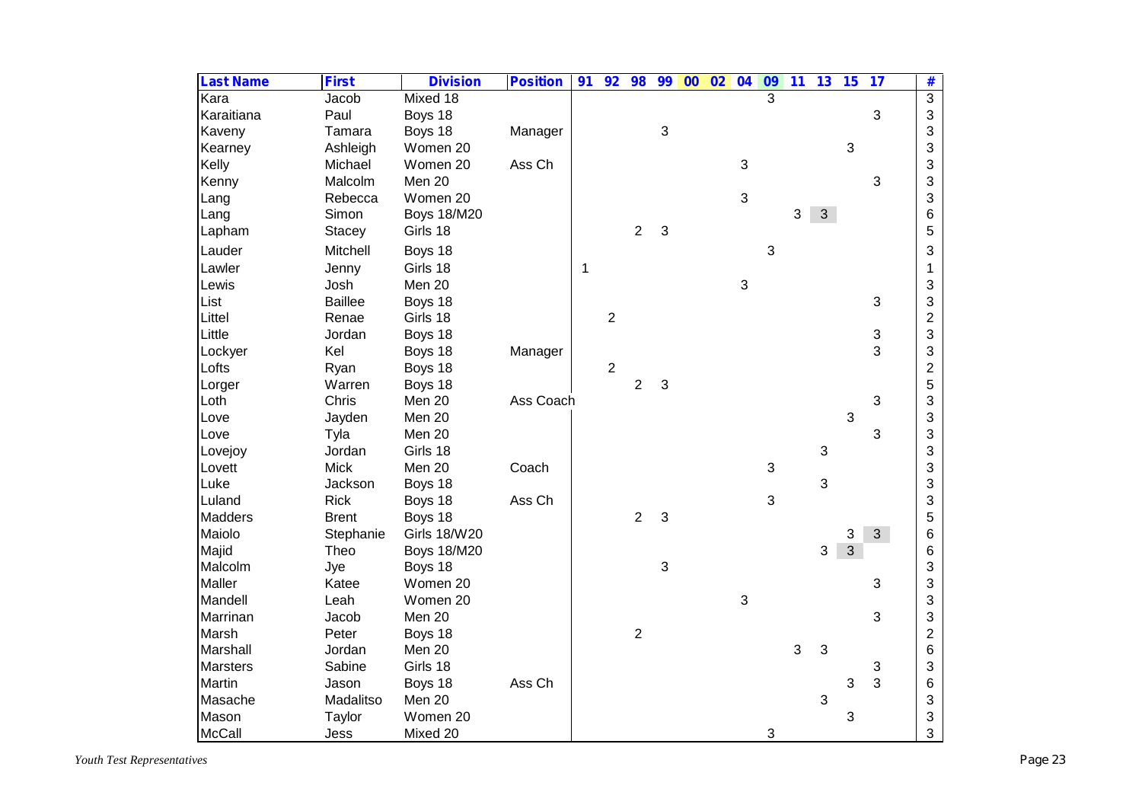| <b>Last Name</b> | <b>First</b>   | <b>Division</b>     | <b>Position</b> | 91 | 92             | 98             | 99                        | $\overline{00}$ | 02 | 04           | 09             | 11 | 13             | 15             | 17             | #              |
|------------------|----------------|---------------------|-----------------|----|----------------|----------------|---------------------------|-----------------|----|--------------|----------------|----|----------------|----------------|----------------|----------------|
| Kara             | Jacob          | Mixed 18            |                 |    |                |                |                           |                 |    |              | $\overline{3}$ |    |                |                |                | $\overline{3}$ |
| Karaitiana       | Paul           | Boys 18             |                 |    |                |                |                           |                 |    |              |                |    |                |                | 3              | 3              |
| Kaveny           | Tamara         | Boys 18             | Manager         |    |                |                | $\ensuremath{\mathsf{3}}$ |                 |    |              |                |    |                |                |                | 3              |
| Kearney          | Ashleigh       | Women 20            |                 |    |                |                |                           |                 |    |              |                |    |                | 3              |                | 3              |
| Kelly            | Michael        | Women 20            | Ass Ch          |    |                |                |                           |                 |    | $\sqrt{3}$   |                |    |                |                |                | 3              |
| Kenny            | Malcolm        | Men 20              |                 |    |                |                |                           |                 |    |              |                |    |                |                | 3              | 3              |
| Lang             | Rebecca        | Women 20            |                 |    |                |                |                           |                 |    | 3            |                |    |                |                |                | 3              |
| Lang             | Simon          | <b>Boys 18/M20</b>  |                 |    |                |                |                           |                 |    |              |                | 3  | $\mathbf{3}$   |                |                | 6              |
| Lapham           | Stacey         | Girls 18            |                 |    |                | $\sqrt{2}$     | 3                         |                 |    |              |                |    |                |                |                | 5              |
| Lauder           | Mitchell       | Boys 18             |                 |    |                |                |                           |                 |    |              | 3              |    |                |                |                | 3              |
| Lawler           | Jenny          | Girls 18            |                 | 1  |                |                |                           |                 |    |              |                |    |                |                |                | $\mathbf{1}$   |
| Lewis            | Josh           | Men 20              |                 |    |                |                |                           |                 |    | $\mathbf{3}$ |                |    |                |                |                | 3              |
| List             | <b>Baillee</b> | Boys 18             |                 |    |                |                |                           |                 |    |              |                |    |                |                | $\mathfrak{S}$ | 3              |
| Littel           | Renae          | Girls 18            |                 |    | $\overline{2}$ |                |                           |                 |    |              |                |    |                |                |                | $\overline{c}$ |
| Little           | Jordan         | Boys 18             |                 |    |                |                |                           |                 |    |              |                |    |                |                | 3              | 3              |
| Lockyer          | Kel            | Boys 18             | Manager         |    |                |                |                           |                 |    |              |                |    |                |                | 3              | 3              |
| Lofts            | Ryan           | Boys 18             |                 |    | $\overline{2}$ |                |                           |                 |    |              |                |    |                |                |                | $\overline{2}$ |
| Lorger           | Warren         | Boys 18             |                 |    |                | $\overline{2}$ | 3                         |                 |    |              |                |    |                |                |                | 5              |
| Loth             | Chris          | Men 20              | Ass Coach       |    |                |                |                           |                 |    |              |                |    |                |                | 3              | 3              |
| Love             | Jayden         | Men 20              |                 |    |                |                |                           |                 |    |              |                |    |                | 3              |                | 3              |
| Love             | Tyla           | Men 20              |                 |    |                |                |                           |                 |    |              |                |    |                |                | 3              | 3              |
| Lovejoy          | Jordan         | Girls 18            |                 |    |                |                |                           |                 |    |              |                |    | $\sqrt{3}$     |                |                | 3              |
| Lovett           | <b>Mick</b>    | Men 20              | Coach           |    |                |                |                           |                 |    |              | $\mathbf{3}$   |    |                |                |                | 3              |
| Luke             | Jackson        | Boys 18             |                 |    |                |                |                           |                 |    |              |                |    | $\mathbf{3}$   |                |                | 3              |
| Luland           | <b>Rick</b>    | Boys 18             | Ass Ch          |    |                |                |                           |                 |    |              | $\mathfrak{S}$ |    |                |                |                | 3              |
| <b>Madders</b>   | <b>Brent</b>   | Boys 18             |                 |    |                | $\overline{2}$ | 3                         |                 |    |              |                |    |                |                |                | 5              |
| Maiolo           | Stephanie      | <b>Girls 18/W20</b> |                 |    |                |                |                           |                 |    |              |                |    |                | 3              | 3 <sup>1</sup> | 6              |
| Majid            | Theo           | <b>Boys 18/M20</b>  |                 |    |                |                |                           |                 |    |              |                |    | 3              | $\overline{3}$ |                | 6              |
| Malcolm          | Jye            | Boys 18             |                 |    |                |                | $\ensuremath{\mathsf{3}}$ |                 |    |              |                |    |                |                |                | 3              |
| Maller           | Katee          | Women 20            |                 |    |                |                |                           |                 |    |              |                |    |                |                | 3              | 3              |
| Mandell          | Leah           | Women 20            |                 |    |                |                |                           |                 |    | $\mathbf{3}$ |                |    |                |                |                | 3              |
| Marrinan         | Jacob          | Men 20              |                 |    |                |                |                           |                 |    |              |                |    |                |                | 3              | 3              |
| Marsh            | Peter          | Boys 18             |                 |    |                | $\overline{2}$ |                           |                 |    |              |                |    |                |                |                | $\overline{c}$ |
| Marshall         | Jordan         | Men 20              |                 |    |                |                |                           |                 |    |              |                | 3  | $\mathbf{3}$   |                |                | 6              |
| <b>Marsters</b>  | Sabine         | Girls 18            |                 |    |                |                |                           |                 |    |              |                |    |                |                | 3              | 3              |
| Martin           | Jason          | Boys 18             | Ass Ch          |    |                |                |                           |                 |    |              |                |    |                | 3              | 3              | 6              |
| Masache          | Madalitso      | Men 20              |                 |    |                |                |                           |                 |    |              |                |    | $\mathfrak{S}$ |                |                | 3              |
| Mason            | Taylor         | Women 20            |                 |    |                |                |                           |                 |    |              |                |    |                | 3              |                | 3              |
| McCall           | Jess           | Mixed 20            |                 |    |                |                |                           |                 |    |              | 3              |    |                |                |                | 3              |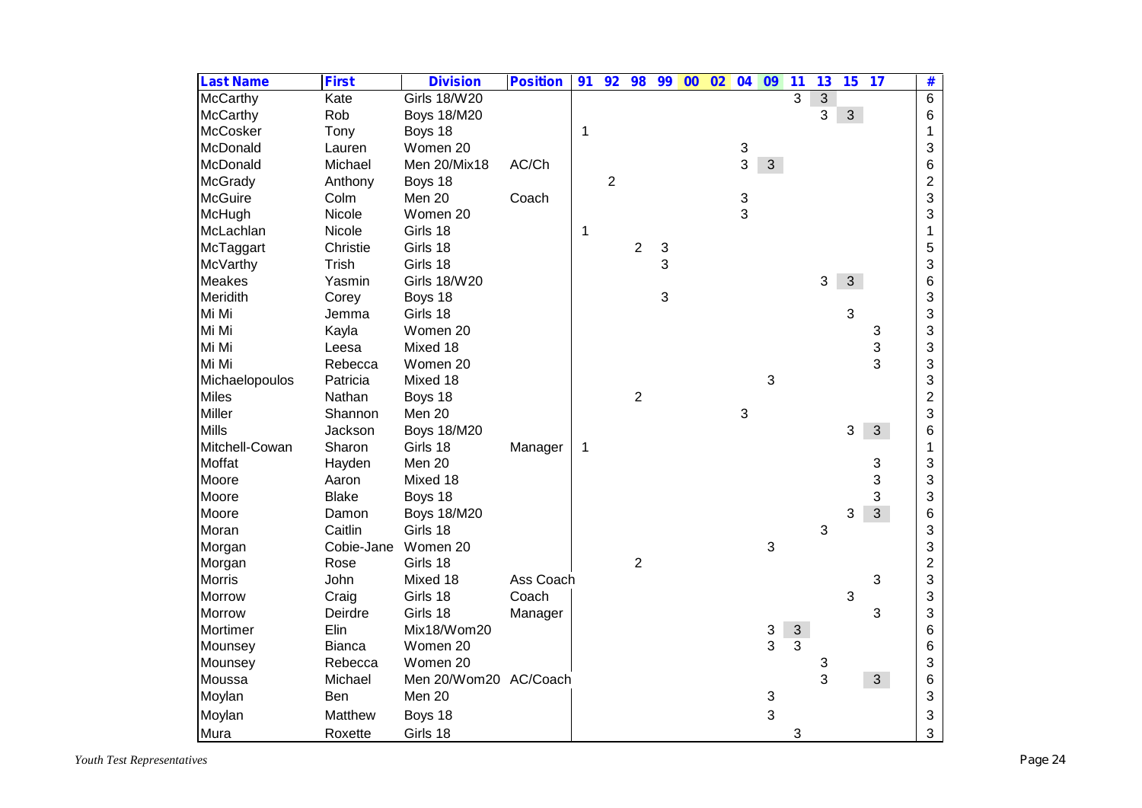| <b>Last Name</b> | <b>First</b>  | <b>Division</b>       | <b>Position</b> | 91 | 92             | 98             | 99                        | $\overline{00}$ | 02 | 04 | 09                        | 11           | 13             | 15             | 17             | #                       |
|------------------|---------------|-----------------------|-----------------|----|----------------|----------------|---------------------------|-----------------|----|----|---------------------------|--------------|----------------|----------------|----------------|-------------------------|
| <b>McCarthy</b>  | Kate          | <b>Girls 18/W20</b>   |                 |    |                |                |                           |                 |    |    |                           | 3            | $\overline{3}$ |                |                | $\overline{6}$          |
| McCarthy         | Rob           | <b>Boys 18/M20</b>    |                 |    |                |                |                           |                 |    |    |                           |              | 3              | 3 <sup>1</sup> |                | 6                       |
| <b>McCosker</b>  | Tony          | Boys 18               |                 | 1  |                |                |                           |                 |    |    |                           |              |                |                |                | 1                       |
| McDonald         | Lauren        | Women 20              |                 |    |                |                |                           |                 |    | 3  |                           |              |                |                |                | 3                       |
| McDonald         | Michael       | Men 20/Mix18          | AC/Ch           |    |                |                |                           |                 |    | 3  | 3 <sup>1</sup>            |              |                |                |                | 6                       |
| <b>McGrady</b>   | Anthony       | Boys 18               |                 |    | $\overline{c}$ |                |                           |                 |    |    |                           |              |                |                |                | $\overline{\mathbf{c}}$ |
| <b>McGuire</b>   | Colm          | Men 20                | Coach           |    |                |                |                           |                 |    | 3  |                           |              |                |                |                | 3                       |
| McHugh           | Nicole        | Women 20              |                 |    |                |                |                           |                 |    | 3  |                           |              |                |                |                | 3                       |
| McLachlan        | Nicole        | Girls 18              |                 | 1  |                |                |                           |                 |    |    |                           |              |                |                |                | 1                       |
| McTaggart        | Christie      | Girls 18              |                 |    |                | $\sqrt{2}$     | 3                         |                 |    |    |                           |              |                |                |                | 5                       |
| McVarthy         | Trish         | Girls 18              |                 |    |                |                | 3                         |                 |    |    |                           |              |                |                |                | 3                       |
| <b>Meakes</b>    | Yasmin        | <b>Girls 18/W20</b>   |                 |    |                |                |                           |                 |    |    |                           |              | 3              | 3 <sup>1</sup> |                | 6                       |
| Meridith         | Corey         | Boys 18               |                 |    |                |                | $\ensuremath{\mathsf{3}}$ |                 |    |    |                           |              |                |                |                | 3                       |
| Mi Mi            | Jemma         | Girls 18              |                 |    |                |                |                           |                 |    |    |                           |              |                | 3              |                | 3                       |
| Mi Mi            | Kayla         | Women 20              |                 |    |                |                |                           |                 |    |    |                           |              |                |                | 3              | 3                       |
| Mi Mi            | Leesa         | Mixed 18              |                 |    |                |                |                           |                 |    |    |                           |              |                |                | 3              | 3                       |
| Mi Mi            | Rebecca       | Women 20              |                 |    |                |                |                           |                 |    |    |                           |              |                |                | 3              | 3                       |
| Michaelopoulos   | Patricia      | Mixed 18              |                 |    |                |                |                           |                 |    |    | 3                         |              |                |                |                | 3                       |
| <b>Miles</b>     | Nathan        | Boys 18               |                 |    |                | $\overline{2}$ |                           |                 |    |    |                           |              |                |                |                | $\overline{c}$          |
| Miller           | Shannon       | Men 20                |                 |    |                |                |                           |                 |    | 3  |                           |              |                |                |                | 3                       |
| <b>Mills</b>     | Jackson       | <b>Boys 18/M20</b>    |                 |    |                |                |                           |                 |    |    |                           |              |                | 3              | $\mathfrak{S}$ | $6\phantom{1}6$         |
| Mitchell-Cowan   | Sharon        | Girls 18              | Manager         | 1  |                |                |                           |                 |    |    |                           |              |                |                |                | 1                       |
| Moffat           | Hayden        | Men 20                |                 |    |                |                |                           |                 |    |    |                           |              |                |                | 3              | 3                       |
| Moore            | Aaron         | Mixed 18              |                 |    |                |                |                           |                 |    |    |                           |              |                |                | 3              | 3                       |
| Moore            | <b>Blake</b>  | Boys 18               |                 |    |                |                |                           |                 |    |    |                           |              |                |                | 3              | 3                       |
| Moore            | Damon         | <b>Boys 18/M20</b>    |                 |    |                |                |                           |                 |    |    |                           |              |                | 3              | 3 <sup>1</sup> | 6                       |
| Moran            | Caitlin       | Girls 18              |                 |    |                |                |                           |                 |    |    |                           |              | 3              |                |                | 3                       |
| Morgan           | Cobie-Jane    | Women 20              |                 |    |                |                |                           |                 |    |    | 3                         |              |                |                |                | 3                       |
| Morgan           | Rose          | Girls 18              |                 |    |                | $\overline{2}$ |                           |                 |    |    |                           |              |                |                |                | $\overline{c}$          |
| <b>Morris</b>    | John          | Mixed 18              | Ass Coach       |    |                |                |                           |                 |    |    |                           |              |                |                | 3              | 3                       |
| <b>Morrow</b>    | Craig         | Girls 18              | Coach           |    |                |                |                           |                 |    |    |                           |              |                | 3              |                | 3                       |
| <b>Morrow</b>    | Deirdre       | Girls 18              | Manager         |    |                |                |                           |                 |    |    |                           |              |                |                | 3              | 3                       |
| Mortimer         | Elin          | Mix18/Wom20           |                 |    |                |                |                           |                 |    |    | 3                         | $\mathbf{3}$ |                |                |                | 6                       |
| Mounsey          | <b>Bianca</b> | Women 20              |                 |    |                |                |                           |                 |    |    | 3                         | 3            |                |                |                | 6                       |
| Mounsey          | Rebecca       | Women 20              |                 |    |                |                |                           |                 |    |    |                           |              | 3              |                |                | 3                       |
| Moussa           | Michael       | Men 20/Wom20 AC/Coach |                 |    |                |                |                           |                 |    |    |                           |              | 3              |                | 3 <sup>1</sup> | 6                       |
| Moylan           | Ben           | Men 20                |                 |    |                |                |                           |                 |    |    | $\ensuremath{\mathsf{3}}$ |              |                |                |                | 3                       |
| Moylan           | Matthew       | Boys 18               |                 |    |                |                |                           |                 |    |    | 3                         |              |                |                |                | 3                       |
| Mura             | Roxette       | Girls 18              |                 |    |                |                |                           |                 |    |    |                           | 3            |                |                |                | 3                       |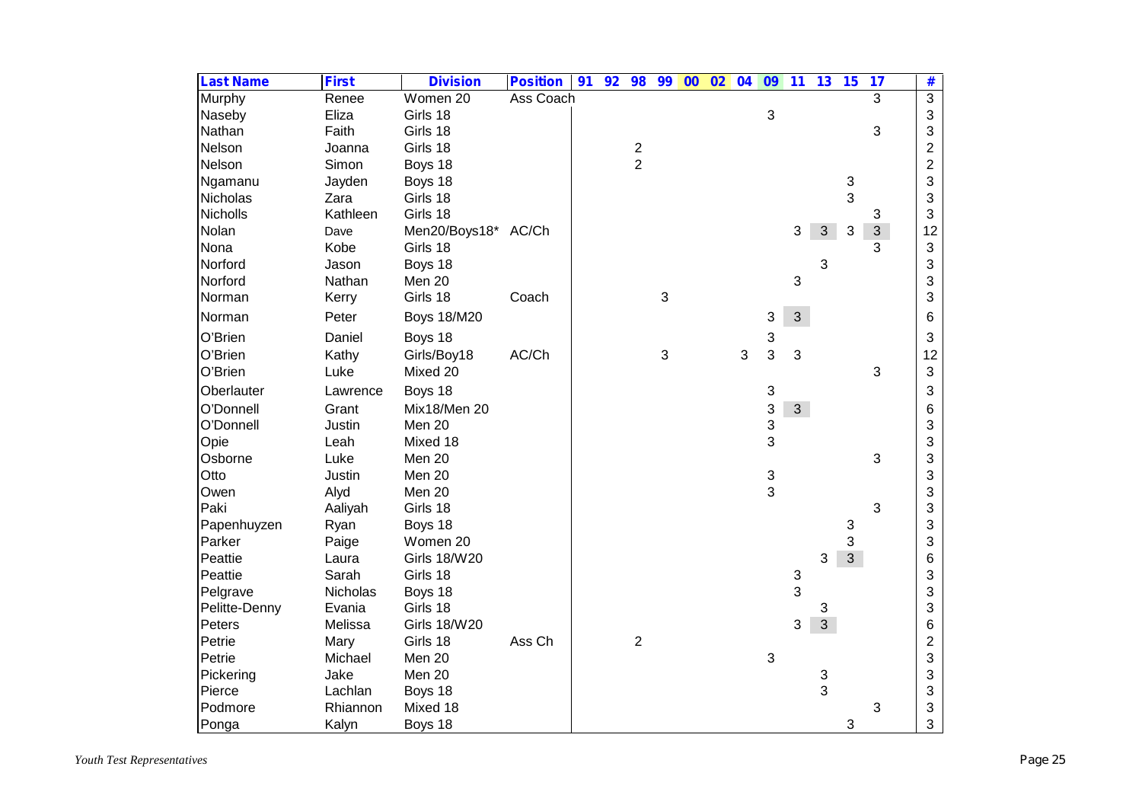| <b>Last Name</b> | <b>First</b> | <b>Division</b>     | <b>Position</b> | 91 | 92 | 98             | 99 | $00\quad02$ | 04 | 09 | 11             | 13             | 15             | 17             | #              |
|------------------|--------------|---------------------|-----------------|----|----|----------------|----|-------------|----|----|----------------|----------------|----------------|----------------|----------------|
| Murphy           | Renee        | Women 20            | Ass Coach       |    |    |                |    |             |    |    |                |                |                | 3              | $\overline{3}$ |
| Naseby           | Eliza        | Girls 18            |                 |    |    |                |    |             |    | 3  |                |                |                |                | 3              |
| Nathan           | Faith        | Girls 18            |                 |    |    |                |    |             |    |    |                |                |                | 3              | 3              |
| Nelson           | Joanna       | Girls 18            |                 |    |    | $\frac{2}{2}$  |    |             |    |    |                |                |                |                | $\overline{2}$ |
| Nelson           | Simon        | Boys 18             |                 |    |    |                |    |             |    |    |                |                |                |                | $\overline{2}$ |
| Ngamanu          | Jayden       | Boys 18             |                 |    |    |                |    |             |    |    |                |                | 3              |                | 3              |
| Nicholas         | Zara         | Girls 18            |                 |    |    |                |    |             |    |    |                |                | 3              |                | 3              |
| <b>Nicholls</b>  | Kathleen     | Girls 18            |                 |    |    |                |    |             |    |    |                |                |                | 3              | 3              |
| Nolan            | Dave         | Men20/Boys18* AC/Ch |                 |    |    |                |    |             |    |    | $\mathfrak{B}$ | $\mathbf{3}$   | 3              | $\overline{3}$ | 12             |
| Nona             | Kobe         | Girls 18            |                 |    |    |                |    |             |    |    |                |                |                | 3              | 3              |
| Norford          | Jason        | Boys 18             |                 |    |    |                |    |             |    |    |                | 3              |                |                | 3              |
| Norford          | Nathan       | Men 20              |                 |    |    |                |    |             |    |    | 3              |                |                |                | 3              |
| Norman           | Kerry        | Girls 18            | Coach           |    |    |                | 3  |             |    |    |                |                |                |                | 3              |
| Norman           | Peter        | <b>Boys 18/M20</b>  |                 |    |    |                |    |             |    | 3  | $\mathfrak{S}$ |                |                |                | 6              |
| O'Brien          | Daniel       | Boys 18             |                 |    |    |                |    |             |    | 3  |                |                |                |                | 3              |
| O'Brien          | Kathy        | Girls/Boy18         | AC/Ch           |    |    |                | 3  |             | 3  | 3  | 3              |                |                |                | 12             |
| O'Brien          | Luke         | Mixed 20            |                 |    |    |                |    |             |    |    |                |                |                | 3              | 3              |
| Oberlauter       | Lawrence     | Boys 18             |                 |    |    |                |    |             |    | 3  |                |                |                |                | 3              |
| O'Donnell        | Grant        | Mix18/Men 20        |                 |    |    |                |    |             |    | 3  | $\mathbf{3}$   |                |                |                | 6              |
| O'Donnell        | Justin       | Men 20              |                 |    |    |                |    |             |    | 3  |                |                |                |                | 3              |
| Opie             | Leah         | Mixed 18            |                 |    |    |                |    |             |    | 3  |                |                |                |                | 3              |
| Osborne          | Luke         | Men 20              |                 |    |    |                |    |             |    |    |                |                |                | 3              | 3              |
| Otto             | Justin       | Men 20              |                 |    |    |                |    |             |    | 3  |                |                |                |                | 3              |
| Owen             | Alyd         | Men 20              |                 |    |    |                |    |             |    | 3  |                |                |                |                | 3              |
| Paki             | Aaliyah      | Girls 18            |                 |    |    |                |    |             |    |    |                |                |                | 3              | 3              |
| Papenhuyzen      | Ryan         | Boys 18             |                 |    |    |                |    |             |    |    |                |                | 3              |                | 3              |
| Parker           | Paige        | Women 20            |                 |    |    |                |    |             |    |    |                |                | 3              |                | 3              |
| Peattie          | Laura        | <b>Girls 18/W20</b> |                 |    |    |                |    |             |    |    |                | 3              | $\mathfrak{S}$ |                | 6              |
| Peattie          | Sarah        | Girls 18            |                 |    |    |                |    |             |    |    | 3              |                |                |                | 3              |
| Pelgrave         | Nicholas     | Boys 18             |                 |    |    |                |    |             |    |    | 3              |                |                |                | 3              |
| Pelitte-Denny    | Evania       | Girls 18            |                 |    |    |                |    |             |    |    |                | 3              |                |                | 3              |
| Peters           | Melissa      | <b>Girls 18/W20</b> |                 |    |    |                |    |             |    |    | 3              | $\overline{3}$ |                |                | 6              |
| Petrie           | Mary         | Girls 18            | Ass Ch          |    |    | $\overline{2}$ |    |             |    |    |                |                |                |                | $\overline{c}$ |
| Petrie           | Michael      | Men 20              |                 |    |    |                |    |             |    | 3  |                |                |                |                | 3              |
| Pickering        | Jake         | Men 20              |                 |    |    |                |    |             |    |    |                | 3              |                |                | 3              |
| Pierce           | Lachlan      | Boys 18             |                 |    |    |                |    |             |    |    |                | 3              |                |                | 3              |
| Podmore          | Rhiannon     | Mixed 18            |                 |    |    |                |    |             |    |    |                |                |                | 3              | 3              |
| Ponga            | Kalyn        | Boys 18             |                 |    |    |                |    |             |    |    |                |                | 3              |                | 3              |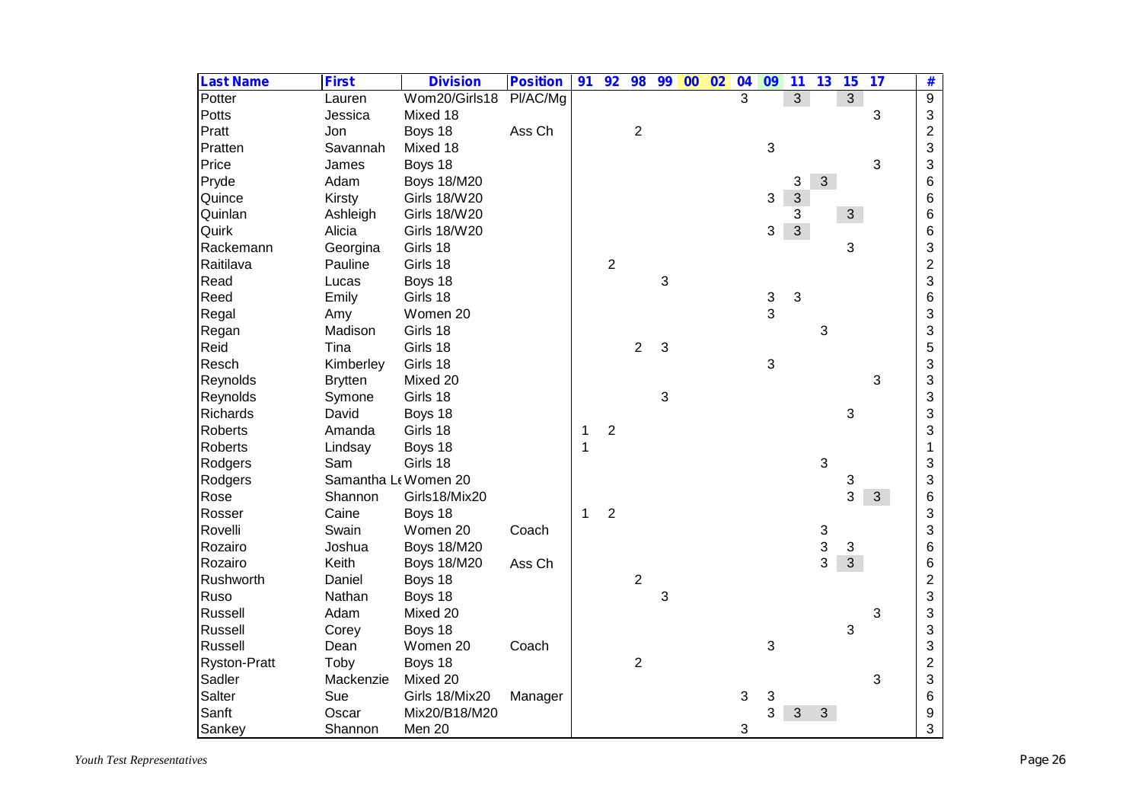| <b>Last Name</b>    | <b>First</b>   | <b>Division</b>      | <b>Position</b> | 91           | 92             | 98               | 99 | $\overline{00}$ | 02 | 04 | $\overline{09}$ | $\overline{11}$ | 13             | 15             | 17             | #              |
|---------------------|----------------|----------------------|-----------------|--------------|----------------|------------------|----|-----------------|----|----|-----------------|-----------------|----------------|----------------|----------------|----------------|
| Potter              | Lauren         | Wom20/Girls18        | Pl/AC/Mg        |              |                |                  |    |                 |    | 3  |                 | $\overline{3}$  |                | $\overline{3}$ |                | $\overline{9}$ |
| Potts               | Jessica        | Mixed 18             |                 |              |                |                  |    |                 |    |    |                 |                 |                |                | 3              | 3              |
| Pratt               | Jon            | Boys 18              | Ass Ch          |              |                | $\overline{c}$   |    |                 |    |    |                 |                 |                |                |                | $\overline{c}$ |
| Pratten             | Savannah       | Mixed 18             |                 |              |                |                  |    |                 |    |    | $\sqrt{3}$      |                 |                |                |                | 3              |
| Price               | James          | Boys 18              |                 |              |                |                  |    |                 |    |    |                 |                 |                |                | 3              | 3              |
| Pryde               | Adam           | <b>Boys 18/M20</b>   |                 |              |                |                  |    |                 |    |    |                 | 3               | 3 <sup>1</sup> |                |                | 6              |
| Quince              | Kirsty         | <b>Girls 18/W20</b>  |                 |              |                |                  |    |                 |    |    | 3               | $\overline{3}$  |                |                |                | 6              |
| Quinlan             | Ashleigh       | <b>Girls 18/W20</b>  |                 |              |                |                  |    |                 |    |    |                 | 3               |                | 3 <sup>1</sup> |                | 6              |
| Quirk               | Alicia         | <b>Girls 18/W20</b>  |                 |              |                |                  |    |                 |    |    | 3               | 3 <sup>1</sup>  |                |                |                | 6              |
| Rackemann           | Georgina       | Girls 18             |                 |              |                |                  |    |                 |    |    |                 |                 |                | 3              |                | 3              |
| Raitilava           | Pauline        | Girls 18             |                 |              | $\sqrt{2}$     |                  |    |                 |    |    |                 |                 |                |                |                | $\overline{c}$ |
| Read                | Lucas          | Boys 18              |                 |              |                |                  | 3  |                 |    |    |                 |                 |                |                |                | 3              |
| Reed                | Emily          | Girls 18             |                 |              |                |                  |    |                 |    |    | 3               | 3               |                |                |                | 6              |
| Regal               | Amy            | Women 20             |                 |              |                |                  |    |                 |    |    | 3               |                 |                |                |                | 3              |
| Regan               | Madison        | Girls 18             |                 |              |                |                  |    |                 |    |    |                 |                 | 3              |                |                | 3              |
| Reid                | Tina           | Girls 18             |                 |              |                | $\overline{2}$   | 3  |                 |    |    |                 |                 |                |                |                | 5              |
| Resch               | Kimberley      | Girls 18             |                 |              |                |                  |    |                 |    |    | 3               |                 |                |                |                | 3              |
| Reynolds            | <b>Brytten</b> | Mixed 20             |                 |              |                |                  |    |                 |    |    |                 |                 |                |                | 3              | 3              |
| Reynolds            | Symone         | Girls 18             |                 |              |                |                  | 3  |                 |    |    |                 |                 |                |                |                | 3              |
| <b>Richards</b>     | David          | Boys 18              |                 |              |                |                  |    |                 |    |    |                 |                 |                | 3              |                | 3              |
| <b>Roberts</b>      | Amanda         | Girls 18             |                 | 1            | $\overline{2}$ |                  |    |                 |    |    |                 |                 |                |                |                | 3              |
| <b>Roberts</b>      | Lindsay        | Boys 18              |                 | 1            |                |                  |    |                 |    |    |                 |                 |                |                |                | 1              |
| Rodgers             | Sam            | Girls 18             |                 |              |                |                  |    |                 |    |    |                 |                 | 3              |                |                | 3              |
| Rodgers             |                | Samantha Lt Women 20 |                 |              |                |                  |    |                 |    |    |                 |                 |                | 3              |                | 3              |
| Rose                | Shannon        | Girls18/Mix20        |                 |              |                |                  |    |                 |    |    |                 |                 |                | 3              | 3 <sup>1</sup> | 6              |
| Rosser              | Caine          | Boys 18              |                 | $\mathbf{1}$ | $\overline{2}$ |                  |    |                 |    |    |                 |                 |                |                |                | 3              |
| Rovelli             | Swain          | Women 20             | Coach           |              |                |                  |    |                 |    |    |                 |                 | 3              |                |                | 3              |
| Rozairo             | Joshua         | <b>Boys 18/M20</b>   |                 |              |                |                  |    |                 |    |    |                 |                 | 3              | 3              |                | 6              |
| Rozairo             | Keith          | <b>Boys 18/M20</b>   | Ass Ch          |              |                |                  |    |                 |    |    |                 |                 | 3              | $\overline{3}$ |                | 6              |
| Rushworth           | Daniel         | Boys 18              |                 |              |                | $\boldsymbol{2}$ |    |                 |    |    |                 |                 |                |                |                | $\overline{2}$ |
| Ruso                | Nathan         | Boys 18              |                 |              |                |                  | 3  |                 |    |    |                 |                 |                |                |                | 3              |
| Russell             | Adam           | Mixed 20             |                 |              |                |                  |    |                 |    |    |                 |                 |                |                | 3              | 3              |
| Russell             | Corey          | Boys 18              |                 |              |                |                  |    |                 |    |    |                 |                 |                | 3              |                | 3              |
| Russell             | Dean           | Women 20             | Coach           |              |                |                  |    |                 |    |    | 3               |                 |                |                |                | 3              |
| <b>Ryston-Pratt</b> | Toby           | Boys 18              |                 |              |                | $\overline{2}$   |    |                 |    |    |                 |                 |                |                |                | $\mathbf{2}$   |
| Sadler              | Mackenzie      | Mixed 20             |                 |              |                |                  |    |                 |    |    |                 |                 |                |                | 3              | 3              |
| Salter              | Sue            | Girls 18/Mix20       | Manager         |              |                |                  |    |                 |    | 3  | 3               |                 |                |                |                | 6              |
| Sanft               | Oscar          | Mix20/B18/M20        |                 |              |                |                  |    |                 |    |    | 3               | 3               | 3              |                |                | 9              |
| Sankey              | Shannon        | Men 20               |                 |              |                |                  |    |                 |    | 3  |                 |                 |                |                |                | 3              |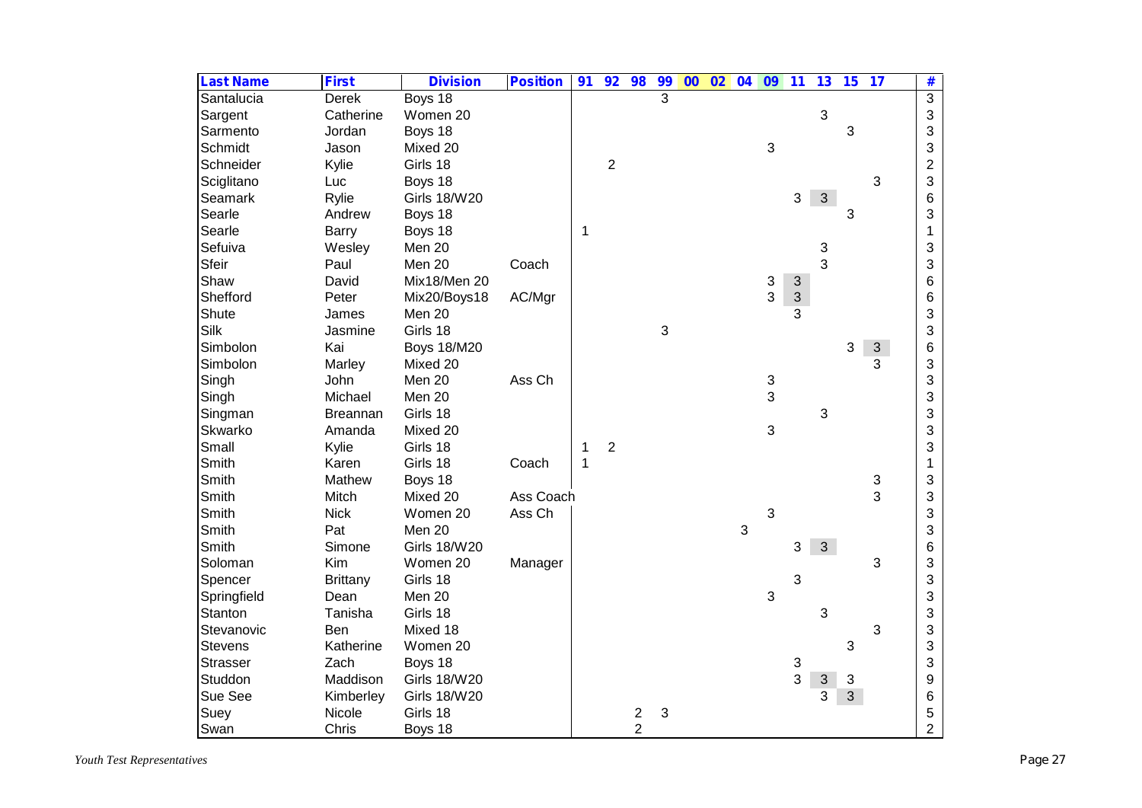| <b>Last Name</b> | <b>First</b>    | <b>Division</b>     | <b>Position</b> | 91          | 92             | 98             | 99             | $\overline{00}$ | 02 |   | 04 09          | 11                        | 13                        | 15           | 17         | #               |
|------------------|-----------------|---------------------|-----------------|-------------|----------------|----------------|----------------|-----------------|----|---|----------------|---------------------------|---------------------------|--------------|------------|-----------------|
| Santalucia       | <b>Derek</b>    | Boys 18             |                 |             |                |                | $\overline{3}$ |                 |    |   |                |                           |                           |              |            | $\overline{3}$  |
| Sargent          | Catherine       | Women 20            |                 |             |                |                |                |                 |    |   |                |                           | 3                         |              |            | 3               |
| Sarmento         | Jordan          | Boys 18             |                 |             |                |                |                |                 |    |   |                |                           |                           | 3            |            | 3               |
| Schmidt          | Jason           | Mixed 20            |                 |             |                |                |                |                 |    |   | 3              |                           |                           |              |            | 3               |
| Schneider        | Kylie           | Girls 18            |                 |             | $\overline{2}$ |                |                |                 |    |   |                |                           |                           |              |            | $\overline{2}$  |
| Sciglitano       | Luc             | Boys 18             |                 |             |                |                |                |                 |    |   |                |                           |                           |              | 3          | 3               |
| Seamark          | Rylie           | <b>Girls 18/W20</b> |                 |             |                |                |                |                 |    |   |                | 3                         | $\mathbf{3}$              |              |            | $6\phantom{1}6$ |
| Searle           | Andrew          | Boys 18             |                 |             |                |                |                |                 |    |   |                |                           |                           | 3            |            | 3               |
| Searle           | Barry           | Boys 18             |                 | 1           |                |                |                |                 |    |   |                |                           |                           |              |            | $\mathbf 1$     |
| Sefuiva          | Wesley          | Men 20              |                 |             |                |                |                |                 |    |   |                |                           | 3                         |              |            | 3               |
| Sfeir            | Paul            | Men 20              | Coach           |             |                |                |                |                 |    |   |                |                           | 3                         |              |            | 3               |
| Shaw             | David           | Mix18/Men 20        |                 |             |                |                |                |                 |    |   | 3              | 3                         |                           |              |            | 6               |
| Shefford         | Peter           | Mix20/Boys18        | AC/Mgr          |             |                |                |                |                 |    |   | $\overline{3}$ | $\ensuremath{\mathsf{3}}$ |                           |              |            | 6               |
| Shute            | James           | Men 20              |                 |             |                |                |                |                 |    |   |                | 3                         |                           |              |            | 3               |
| Silk             | Jasmine         | Girls 18            |                 |             |                |                | 3              |                 |    |   |                |                           |                           |              |            | 3               |
| Simbolon         | Kai             | <b>Boys 18/M20</b>  |                 |             |                |                |                |                 |    |   |                |                           |                           | 3            | $\sqrt{3}$ | 6               |
| Simbolon         | Marley          | Mixed 20            |                 |             |                |                |                |                 |    |   |                |                           |                           |              | 3          | 3               |
| Singh            | John            | Men 20              | Ass Ch          |             |                |                |                |                 |    |   | 3              |                           |                           |              |            | 3               |
| Singh            | Michael         | Men 20              |                 |             |                |                |                |                 |    |   | 3              |                           |                           |              |            | 3               |
| Singman          | <b>Breannan</b> | Girls 18            |                 |             |                |                |                |                 |    |   |                |                           | 3                         |              |            | 3               |
| Skwarko          | Amanda          | Mixed 20            |                 |             |                |                |                |                 |    |   | 3              |                           |                           |              |            | 3               |
| Small            | Kylie           | Girls 18            |                 | 1           | $\overline{2}$ |                |                |                 |    |   |                |                           |                           |              |            | 3               |
| Smith            | Karen           | Girls 18            | Coach           | $\mathbf 1$ |                |                |                |                 |    |   |                |                           |                           |              |            | $\mathbf{1}$    |
| Smith            | Mathew          | Boys 18             |                 |             |                |                |                |                 |    |   |                |                           |                           |              | 3          | 3               |
| Smith            | Mitch           | Mixed 20            | Ass Coach       |             |                |                |                |                 |    |   |                |                           |                           |              | 3          | 3               |
| Smith            | <b>Nick</b>     | Women 20            | Ass Ch          |             |                |                |                |                 |    |   | 3              |                           |                           |              |            | 3               |
| Smith            | Pat             | Men 20              |                 |             |                |                |                |                 |    | 3 |                |                           |                           |              |            | 3               |
| Smith            | Simone          | <b>Girls 18/W20</b> |                 |             |                |                |                |                 |    |   |                | 3                         | 3 <sup>1</sup>            |              |            | $6\phantom{1}6$ |
| Soloman          | Kim             | Women 20            | Manager         |             |                |                |                |                 |    |   |                |                           |                           |              | 3          | 3               |
| Spencer          | <b>Brittany</b> | Girls 18            |                 |             |                |                |                |                 |    |   |                | 3                         |                           |              |            | 3               |
| Springfield      | Dean            | Men 20              |                 |             |                |                |                |                 |    |   | $\mathfrak{S}$ |                           |                           |              |            | 3               |
| Stanton          | Tanisha         | Girls 18            |                 |             |                |                |                |                 |    |   |                |                           | 3                         |              |            | 3               |
| Stevanovic       | Ben             | Mixed 18            |                 |             |                |                |                |                 |    |   |                |                           |                           |              | 3          | 3               |
| <b>Stevens</b>   | Katherine       | Women 20            |                 |             |                |                |                |                 |    |   |                |                           |                           | 3            |            | 3               |
| <b>Strasser</b>  | Zach            | Boys 18             |                 |             |                |                |                |                 |    |   |                | 3                         |                           |              |            | 3               |
| Studdon          | Maddison        | <b>Girls 18/W20</b> |                 |             |                |                |                |                 |    |   |                | 3                         | $\ensuremath{\mathsf{3}}$ | 3            |            | 9               |
| Sue See          | Kimberley       | <b>Girls 18/W20</b> |                 |             |                |                |                |                 |    |   |                |                           | 3                         | $\mathbf{3}$ |            | $6\phantom{1}6$ |
| Suey             | Nicole          | Girls 18            |                 |             |                | $\overline{c}$ | 3              |                 |    |   |                |                           |                           |              |            | 5               |
| Swan             | Chris           | Boys 18             |                 |             |                | $\overline{2}$ |                |                 |    |   |                |                           |                           |              |            | $\overline{2}$  |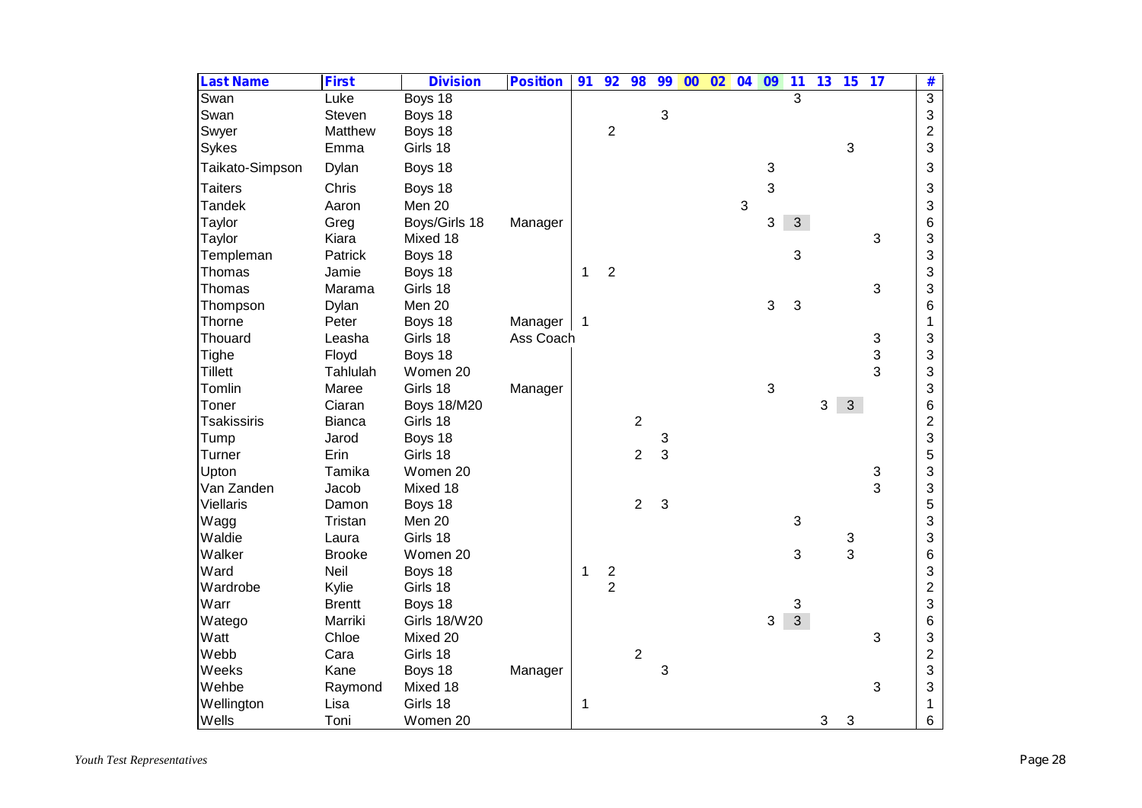| <b>Last Name</b>   | <b>First</b>  | <b>Division</b>     | <b>Position</b> | 91 | 92                      | 98             | 99 | $\overline{00}$ | 02 | 04             | 09                        | $\overline{\mathbf{11}}$ | 13 | 15           | 17             | #              |
|--------------------|---------------|---------------------|-----------------|----|-------------------------|----------------|----|-----------------|----|----------------|---------------------------|--------------------------|----|--------------|----------------|----------------|
| Swan               | Luke          | Boys 18             |                 |    |                         |                |    |                 |    |                |                           | 3                        |    |              |                | $\overline{3}$ |
| Swan               | Steven        | Boys 18             |                 |    |                         |                | 3  |                 |    |                |                           |                          |    |              |                | $\mathfrak{S}$ |
| Swyer              | Matthew       | Boys 18             |                 |    | $\overline{2}$          |                |    |                 |    |                |                           |                          |    |              |                | $\overline{c}$ |
| Sykes              | Emma          | Girls 18            |                 |    |                         |                |    |                 |    |                |                           |                          |    | 3            |                | 3              |
| Taikato-Simpson    | Dylan         | Boys 18             |                 |    |                         |                |    |                 |    |                | 3                         |                          |    |              |                | 3              |
| <b>Taiters</b>     | Chris         | Boys 18             |                 |    |                         |                |    |                 |    |                | 3                         |                          |    |              |                | 3              |
| <b>Tandek</b>      | Aaron         | Men 20              |                 |    |                         |                |    |                 |    | $\mathfrak{S}$ |                           |                          |    |              |                | 3              |
| Taylor             | Greg          | Boys/Girls 18       | Manager         |    |                         |                |    |                 |    |                | 3                         | 3                        |    |              |                | 6              |
| Taylor             | Kiara         | Mixed 18            |                 |    |                         |                |    |                 |    |                |                           |                          |    |              | 3              | 3              |
| Templeman          | Patrick       | Boys 18             |                 |    |                         |                |    |                 |    |                |                           | 3                        |    |              |                | 3              |
| Thomas             | Jamie         | Boys 18             |                 | 1  | $\overline{2}$          |                |    |                 |    |                |                           |                          |    |              |                | 3              |
| Thomas             | Marama        | Girls 18            |                 |    |                         |                |    |                 |    |                |                           |                          |    |              | 3              | 3              |
| Thompson           | Dylan         | Men 20              |                 |    |                         |                |    |                 |    |                | $\mathfrak{B}$            | 3                        |    |              |                | 6              |
| Thorne             | Peter         | Boys 18             | Manager         |    |                         |                |    |                 |    |                |                           |                          |    |              |                | 1              |
| Thouard            | Leasha        | Girls 18            | Ass Coach       |    |                         |                |    |                 |    |                |                           |                          |    |              | 3              | 3              |
| Tighe              | Floyd         | Boys 18             |                 |    |                         |                |    |                 |    |                |                           |                          |    |              | 3              | 3              |
| <b>Tillett</b>     | Tahlulah      | Women 20            |                 |    |                         |                |    |                 |    |                |                           |                          |    |              | 3              | 3              |
| Tomlin             | Maree         | Girls 18            | Manager         |    |                         |                |    |                 |    |                | $\ensuremath{\mathsf{3}}$ |                          |    |              |                | 3              |
| Toner              | Ciaran        | <b>Boys 18/M20</b>  |                 |    |                         |                |    |                 |    |                |                           |                          | 3  | $\mathbf{3}$ |                | 6              |
| <b>Tsakissiris</b> | <b>Bianca</b> | Girls 18            |                 |    |                         | $\overline{2}$ |    |                 |    |                |                           |                          |    |              |                | $\overline{c}$ |
| Tump               | Jarod         | Boys 18             |                 |    |                         |                | 3  |                 |    |                |                           |                          |    |              |                | 3              |
| Turner             | Erin          | Girls 18            |                 |    |                         | $\overline{2}$ | 3  |                 |    |                |                           |                          |    |              |                | 5              |
| Upton              | Tamika        | Women 20            |                 |    |                         |                |    |                 |    |                |                           |                          |    |              | 3              | 3              |
| Van Zanden         | Jacob         | Mixed 18            |                 |    |                         |                |    |                 |    |                |                           |                          |    |              | $\overline{3}$ | 3              |
| <b>Viellaris</b>   | Damon         | Boys 18             |                 |    |                         | $\overline{2}$ | 3  |                 |    |                |                           |                          |    |              |                | 5              |
| Wagg               | Tristan       | Men 20              |                 |    |                         |                |    |                 |    |                |                           | 3                        |    |              |                | 3              |
| Waldie             | Laura         | Girls 18            |                 |    |                         |                |    |                 |    |                |                           |                          |    | 3            |                | 3              |
| Walker             | <b>Brooke</b> | Women 20            |                 |    |                         |                |    |                 |    |                |                           | 3                        |    | 3            |                | 6              |
| Ward               | Neil          | Boys 18             |                 | 1  | $\overline{\mathbf{c}}$ |                |    |                 |    |                |                           |                          |    |              |                | 3              |
| Wardrobe           | Kylie         | Girls 18            |                 |    | $\overline{2}$          |                |    |                 |    |                |                           |                          |    |              |                | $\overline{c}$ |
| Warr               | <b>Brentt</b> | Boys 18             |                 |    |                         |                |    |                 |    |                |                           | 3                        |    |              |                | 3              |
| Watego             | Marriki       | <b>Girls 18/W20</b> |                 |    |                         |                |    |                 |    |                | 3                         | $\overline{3}$           |    |              |                | 6              |
| Watt               | Chloe         | Mixed 20            |                 |    |                         |                |    |                 |    |                |                           |                          |    |              | 3              | 3              |
| Webb               | Cara          | Girls 18            |                 |    |                         | $\overline{2}$ |    |                 |    |                |                           |                          |    |              |                | $\overline{c}$ |
| Weeks              | Kane          | Boys 18             | Manager         |    |                         |                | 3  |                 |    |                |                           |                          |    |              |                | 3              |
| Wehbe              | Raymond       | Mixed 18            |                 |    |                         |                |    |                 |    |                |                           |                          |    |              | 3              | 3              |
| Wellington         | Lisa          | Girls 18            |                 | 1  |                         |                |    |                 |    |                |                           |                          |    |              |                | 1              |
| Wells              | Toni          | Women 20            |                 |    |                         |                |    |                 |    |                |                           |                          | 3  | 3            |                | $6\phantom{a}$ |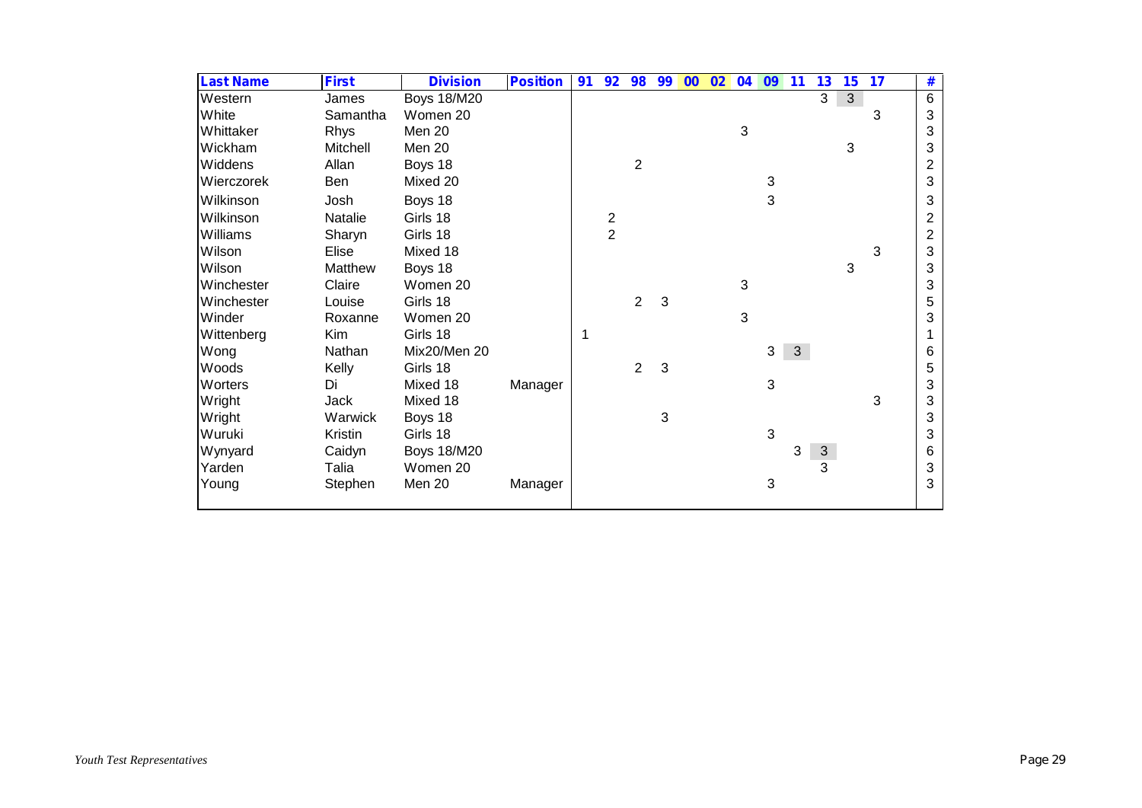| <b>Last Name</b> | <b>First</b> | <b>Division</b>    | <b>Position</b> | 91 | 92                      | 98             | 99 | 00 | 02 | 04 | 09           | 11           | 13         | 15 | 17 | #              |
|------------------|--------------|--------------------|-----------------|----|-------------------------|----------------|----|----|----|----|--------------|--------------|------------|----|----|----------------|
| Western          | James        | <b>Boys 18/M20</b> |                 |    |                         |                |    |    |    |    |              |              | 3          | 3  |    | 6              |
| White            | Samantha     | Women 20           |                 |    |                         |                |    |    |    |    |              |              |            |    | 3  | 3              |
| Whittaker        | Rhys         | Men 20             |                 |    |                         |                |    |    |    | 3  |              |              |            |    |    | 3              |
| Wickham          | Mitchell     | Men 20             |                 |    |                         |                |    |    |    |    |              |              |            | 3  |    | 3              |
| Widdens          | Allan        | Boys 18            |                 |    |                         | $\overline{c}$ |    |    |    |    |              |              |            |    |    | $\overline{2}$ |
| Wierczorek       | Ben          | Mixed 20           |                 |    |                         |                |    |    |    |    | 3            |              |            |    |    | 3              |
| Wilkinson        | Josh         | Boys 18            |                 |    |                         |                |    |    |    |    | 3            |              |            |    |    | 3              |
| Wilkinson        | Natalie      | Girls 18           |                 |    | $\overline{\mathbf{c}}$ |                |    |    |    |    |              |              |            |    |    | $\overline{c}$ |
| Williams         | Sharyn       | Girls 18           |                 |    | $\overline{2}$          |                |    |    |    |    |              |              |            |    |    | $\overline{c}$ |
| Wilson           | Elise        | Mixed 18           |                 |    |                         |                |    |    |    |    |              |              |            |    | 3  | 3              |
| Wilson           | Matthew      | Boys 18            |                 |    |                         |                |    |    |    |    |              |              |            | 3  |    | 3              |
| Winchester       | Claire       | Women 20           |                 |    |                         |                |    |    |    | 3  |              |              |            |    |    | 3              |
| Winchester       | Louise       | Girls 18           |                 |    |                         | 2              | 3  |    |    |    |              |              |            |    |    | 5              |
| Winder           | Roxanne      | Women 20           |                 |    |                         |                |    |    |    | 3  |              |              |            |    |    | 3              |
| Wittenberg       | Kim          | Girls 18           |                 |    |                         |                |    |    |    |    |              |              |            |    |    |                |
| Wong             | Nathan       | Mix20/Men 20       |                 |    |                         |                |    |    |    |    | 3            | $\mathbf{3}$ |            |    |    | 6              |
| Woods            | Kelly        | Girls 18           |                 |    |                         | 2              | 3  |    |    |    |              |              |            |    |    | 5              |
| Worters          | Di           | Mixed 18           | Manager         |    |                         |                |    |    |    |    | $\mathbf{3}$ |              |            |    |    | 3              |
| Wright           | Jack         | Mixed 18           |                 |    |                         |                |    |    |    |    |              |              |            |    | 3  | 3              |
| Wright           | Warwick      | Boys 18            |                 |    |                         |                | 3  |    |    |    |              |              |            |    |    | 3              |
| Wuruki           | Kristin      | Girls 18           |                 |    |                         |                |    |    |    |    | 3            |              |            |    |    | 3              |
| Wynyard          | Caidyn       | <b>Boys 18/M20</b> |                 |    |                         |                |    |    |    |    |              | 3            | $\sqrt{3}$ |    |    | 6              |
| Yarden           | Talia        | Women 20           |                 |    |                         |                |    |    |    |    |              |              | 3          |    |    | 3              |
| Young            | Stephen      | Men 20             | Manager         |    |                         |                |    |    |    |    | 3            |              |            |    |    | 3              |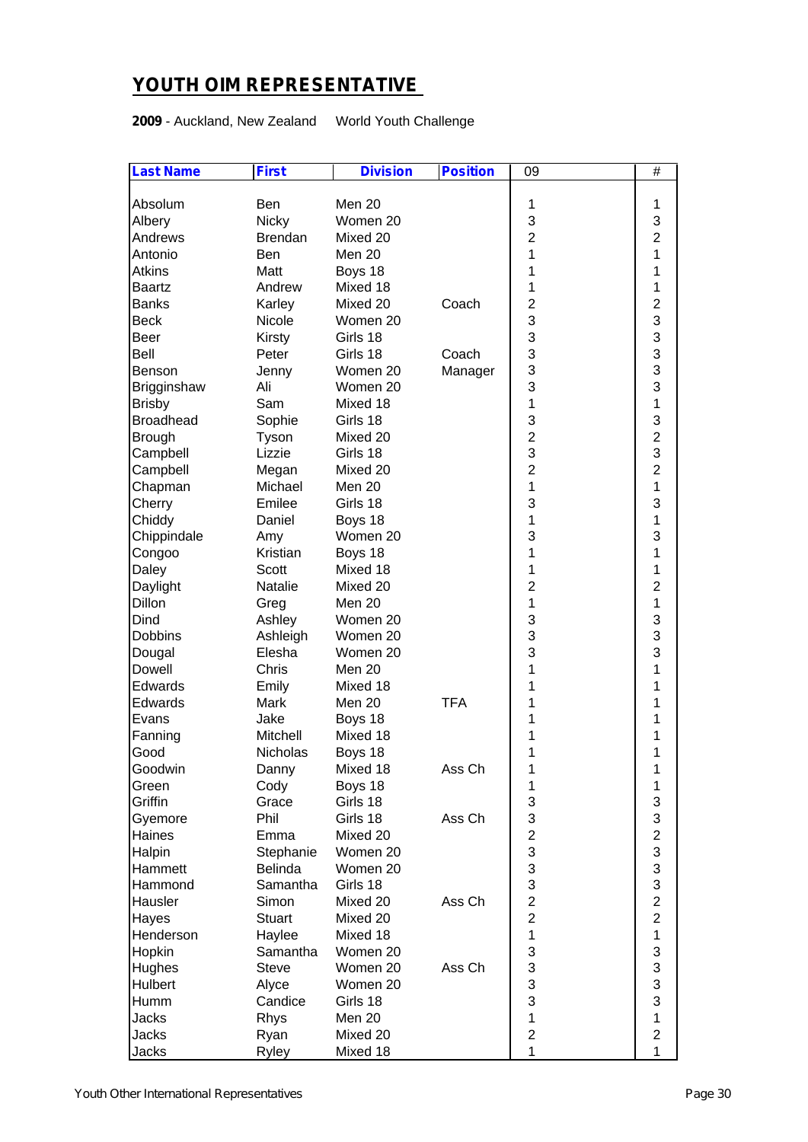# **YOUTH OIM REPRESENTATIVE**

**2009** - Auckland, New Zealand World Youth Challenge

| Absolum<br>Men 20<br><b>Ben</b><br>1<br>1                                    |  |
|------------------------------------------------------------------------------|--|
| 3<br>3<br>Albery<br><b>Nicky</b><br>Women 20                                 |  |
| $\overline{2}$<br>$\overline{2}$<br>Andrews<br><b>Brendan</b><br>Mixed 20    |  |
| 1<br>Antonio<br>Men 20<br>1<br><b>Ben</b>                                    |  |
| <b>Atkins</b><br>Matt<br>Boys 18<br>1<br>1                                   |  |
| Andrew<br>Mixed 18<br>1<br>1<br><b>Baartz</b>                                |  |
| $\overline{2}$<br>$\mathbf 2$<br><b>Banks</b><br>Karley<br>Mixed 20<br>Coach |  |
| 3<br>3<br>Nicole<br>Women 20<br><b>Beck</b>                                  |  |
| 3<br>3<br>Girls 18<br>Beer<br>Kirsty                                         |  |
| 3<br>3<br>Bell<br>Peter<br>Girls 18<br>Coach                                 |  |
| 3<br>3<br>Manager<br>Benson<br>Jenny<br>Women 20                             |  |
| 3<br>3<br>Ali<br>Brigginshaw<br>Women 20                                     |  |
| 1<br>$\mathbf{1}$<br>Sam<br>Mixed 18<br><b>Brisby</b>                        |  |
| 3<br>3<br><b>Broadhead</b><br>Sophie<br>Girls 18                             |  |
| $\overline{2}$<br>$\overline{2}$<br><b>Brough</b><br>Tyson<br>Mixed 20       |  |
| 3<br>3<br>Lizzie<br>Campbell<br>Girls 18                                     |  |
| $\overline{2}$<br>$\overline{2}$<br>Campbell<br>Mixed 20<br>Megan            |  |
| 1<br>1<br>Michael<br>Chapman<br>Men 20                                       |  |
| 3<br>3<br>Cherry<br>Emilee<br>Girls 18                                       |  |
| 1<br>1<br>Chiddy<br>Daniel<br>Boys 18                                        |  |
| 3<br>3<br>Women 20<br>Chippindale<br>Amy                                     |  |
| Kristian<br>1<br>1<br>Boys 18<br>Congoo                                      |  |
| 1<br>1<br>Scott<br>Mixed 18<br>Daley                                         |  |
| $\overline{2}$<br>$\overline{2}$<br>Natalie<br>Daylight<br>Mixed 20          |  |
| 1<br>Dillon<br>Men 20<br>1<br>Greg                                           |  |
| 3<br>3<br>Dind<br>Ashley<br>Women 20                                         |  |
| 3<br>3<br>Dobbins<br>Ashleigh<br>Women 20                                    |  |
| 3<br>3<br>Elesha<br>Women 20<br>Dougal                                       |  |
| 1<br>Dowell<br>Chris<br>Men 20<br>1                                          |  |
| 1<br>Emily<br>Mixed 18<br>1<br>Edwards                                       |  |
| <b>TFA</b><br>Mark<br>Men 20<br>1<br>1<br>Edwards                            |  |
| Jake<br>Boys 18<br>1<br>1<br>Evans                                           |  |
| Mitchell<br>Mixed 18<br>1<br>1<br>Fanning                                    |  |
| 1<br>Good<br>Nicholas<br>Boys 18<br>1                                        |  |
| Mixed 18<br>Ass Ch<br>1<br>1<br>Goodwin<br>Danny                             |  |
| 1<br>1<br>Cody<br>Boys 18<br>Green                                           |  |
| 3<br>Griffin<br>Grace<br>Girls 18<br>3                                       |  |
| 3<br>3<br>Phil<br>Girls 18<br>Ass Ch<br>Gyemore                              |  |
| $\overline{\mathbf{c}}$<br>$\overline{c}$<br>Haines<br>Mixed 20<br>Emma      |  |
| 3<br>3<br>Halpin<br>Stephanie<br>Women 20                                    |  |
| 3<br>3<br>Hammett<br>Belinda<br>Women 20                                     |  |
| 3<br>3<br>Hammond<br>Samantha<br>Girls 18                                    |  |
| $\overline{c}$<br>$\overline{c}$<br>Hausler<br>Simon<br>Mixed 20<br>Ass Ch   |  |
| $\overline{c}$<br>$\overline{c}$<br><b>Stuart</b><br>Hayes<br>Mixed 20       |  |
| $\mathbf{1}$<br>$\mathbf{1}$<br>Haylee<br>Henderson<br>Mixed 18              |  |
| 3<br>3<br>Hopkin<br>Samantha<br>Women 20                                     |  |
| 3<br>3<br>Women 20<br>Hughes<br><b>Steve</b><br>Ass Ch                       |  |
| 3<br>3<br>Hulbert<br>Alyce<br>Women 20                                       |  |
| 3<br>3<br>Candice<br>Humm<br>Girls 18                                        |  |
| $\mathbf{1}$<br>Jacks<br>Rhys<br>Men 20<br>1                                 |  |
| $\overline{c}$<br>$\overline{c}$<br>Jacks<br>Mixed 20<br>Ryan                |  |
| 1<br>$\mathbf{1}$<br>Jacks<br>Mixed 18<br>Ryley                              |  |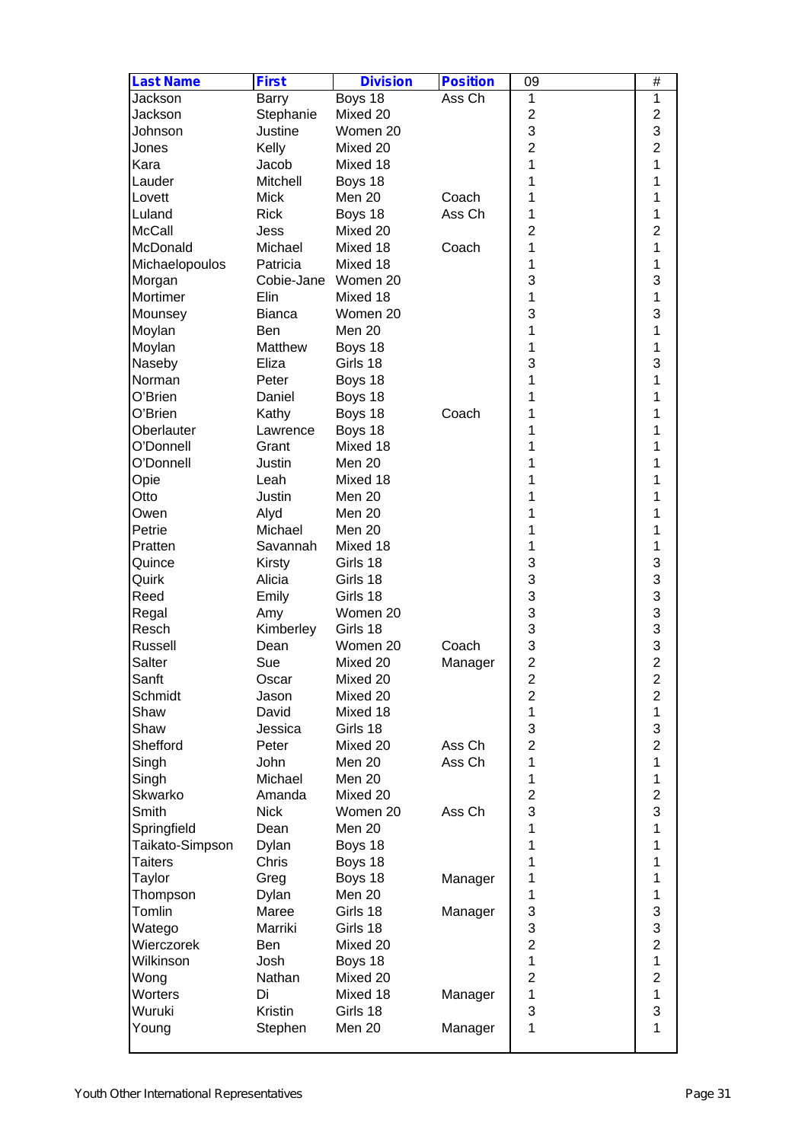| <b>Last Name</b> | <b>First</b>        | <b>Division</b> | <b>Position</b> | 09                      | $\#$                    |
|------------------|---------------------|-----------------|-----------------|-------------------------|-------------------------|
| Jackson          | Barry               | Boys 18         | Ass Ch          | 1                       | 1                       |
| Jackson          | Stephanie           | Mixed 20        |                 | $\overline{2}$          | $\overline{c}$          |
| Johnson          | Justine             | Women 20        |                 | 3                       | 3                       |
| Jones            | Kelly               | Mixed 20        |                 | $\overline{2}$          | $\overline{2}$          |
| Kara             | Jacob               | Mixed 18        |                 | 1                       | 1                       |
| Lauder           | Mitchell            | Boys 18         |                 | 1                       | 1                       |
| Lovett           | <b>Mick</b>         | Men 20          | Coach           | 1                       | 1                       |
| Luland           | <b>Rick</b>         | Boys 18         | Ass Ch          | 1                       | 1                       |
| <b>McCall</b>    | Jess                | Mixed 20        |                 | $\overline{2}$          | 2                       |
| McDonald         | Michael             | Mixed 18        | Coach           | 1                       | 1                       |
| Michaelopoulos   | Patricia            | Mixed 18        |                 | 1                       | 1                       |
| Morgan           | Cobie-Jane Women 20 |                 |                 | 3                       | 3                       |
| Mortimer         | Elin                | Mixed 18        |                 | 1                       | 1                       |
| Mounsey          | <b>Bianca</b>       | Women 20        |                 | 3                       | 3                       |
| Moylan           | Ben                 | Men 20          |                 | 1                       | 1                       |
| Moylan           | Matthew             | Boys 18         |                 | 1                       | 1                       |
| Naseby           | Eliza               | Girls 18        |                 | 3                       | 3                       |
| Norman           | Peter               | Boys 18         |                 | 1                       | 1                       |
| O'Brien          | Daniel              | Boys 18         |                 | 1                       | 1                       |
| O'Brien          | Kathy               | Boys 18         | Coach           | 1                       | 1                       |
| Oberlauter       | Lawrence            | Boys 18         |                 | 1                       | 1                       |
| O'Donnell        | Grant               | Mixed 18        |                 | 1                       | 1                       |
| O'Donnell        |                     |                 |                 | 1                       |                         |
|                  | Justin              | Men 20          |                 | 1                       | 1                       |
| Opie             | Leah                | Mixed 18        |                 |                         | 1                       |
| Otto             | Justin              | Men 20          |                 | 1                       | 1                       |
| Owen             | Alyd                | Men 20          |                 | 1                       | 1                       |
| Petrie           | Michael             | Men 20          |                 | 1                       | 1                       |
| Pratten          | Savannah            | Mixed 18        |                 | 1                       | 1                       |
| Quince           | Kirsty              | Girls 18        |                 | 3                       | 3                       |
| Quirk            | Alicia              | Girls 18        |                 | 3                       | 3                       |
| Reed             | Emily               | Girls 18        |                 | 3                       | 3                       |
| Regal            | Amy                 | Women 20        |                 | 3                       | 3                       |
| Resch            | Kimberley           | Girls 18        |                 | 3                       | 3                       |
| Russell          | Dean                | Women 20        | Coach           | 3                       | 3                       |
| Salter           | Sue                 | Mixed 20        | Manager         | $\overline{c}$          | $\overline{2}$          |
| Sanft            | Oscar               | Mixed 20        |                 | $\overline{\mathbf{c}}$ | $\overline{\mathbf{c}}$ |
| Schmidt          | Jason               | Mixed 20        |                 | $\overline{c}$          | $\overline{2}$          |
| Shaw             | David               | Mixed 18        |                 | 1                       | 1                       |
| Shaw             | Jessica             | Girls 18        |                 | 3                       | 3                       |
| Shefford         | Peter               | Mixed 20        | Ass Ch          | $\overline{2}$          | $\overline{2}$          |
| Singh            | John                | Men 20          | Ass Ch          | 1                       | 1                       |
| Singh            | Michael             | Men 20          |                 | 1                       | 1                       |
| Skwarko          | Amanda              | Mixed 20        |                 | $\overline{2}$          | $\overline{c}$          |
| Smith            | <b>Nick</b>         | Women 20        | Ass Ch          | 3                       | 3                       |
| Springfield      | Dean                | Men 20          |                 | 1                       | 1                       |
| Taikato-Simpson  | Dylan               | Boys 18         |                 | 1                       | 1                       |
| <b>Taiters</b>   | Chris               | Boys 18         |                 | 1                       | 1                       |
| Taylor           | Greg                | Boys 18         | Manager         | 1                       | 1                       |
| Thompson         | Dylan               | Men 20          |                 | 1                       | 1                       |
| Tomlin           | Maree               | Girls 18        | Manager         | 3                       | 3                       |
| Watego           | Marriki             | Girls 18        |                 | 3                       | 3                       |
| Wierczorek       | Ben                 | Mixed 20        |                 | $\overline{2}$          | $\overline{2}$          |
| Wilkinson        | Josh                | Boys 18         |                 | 1                       | 1                       |
| Wong             | Nathan              | Mixed 20        |                 | $\overline{c}$          | $\overline{c}$          |
| Worters          | Di                  | Mixed 18        | Manager         | 1                       | 1                       |
| Wuruki           | Kristin             | Girls 18        |                 | 3                       | 3                       |
| Young            | Stephen             | Men 20          | Manager         | 1                       | 1                       |
|                  |                     |                 |                 |                         |                         |